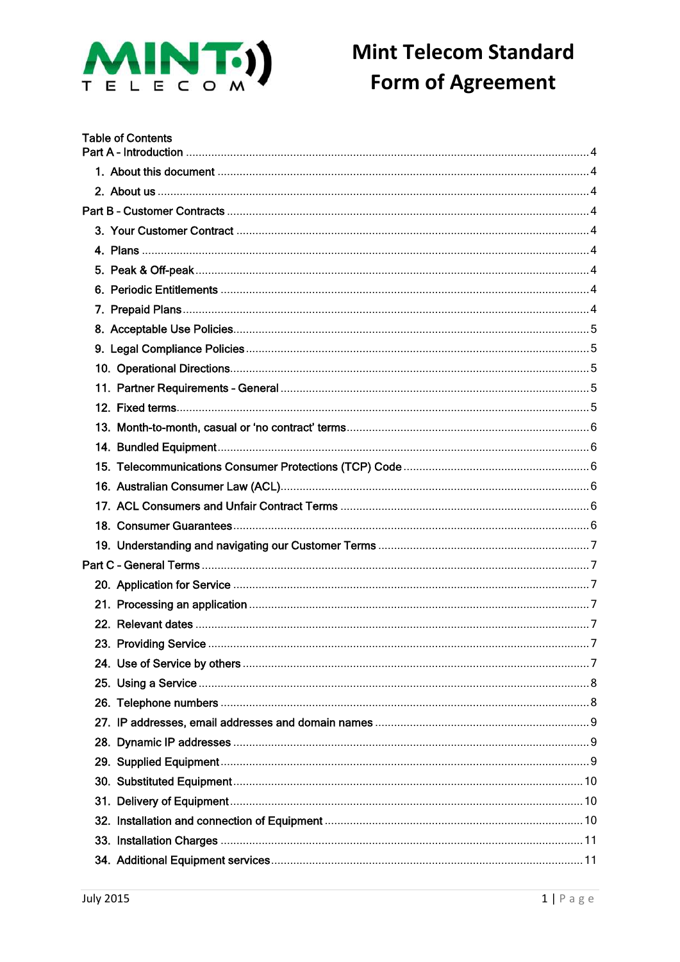

| <b>Table of Contents</b> |  |
|--------------------------|--|
|                          |  |
|                          |  |
|                          |  |
|                          |  |
|                          |  |
|                          |  |
|                          |  |
|                          |  |
|                          |  |
|                          |  |
|                          |  |
|                          |  |
|                          |  |
|                          |  |
|                          |  |
|                          |  |
|                          |  |
|                          |  |
|                          |  |
|                          |  |
|                          |  |
|                          |  |
|                          |  |
|                          |  |
|                          |  |
|                          |  |
|                          |  |
|                          |  |
|                          |  |
|                          |  |
|                          |  |
|                          |  |
|                          |  |
|                          |  |
|                          |  |
|                          |  |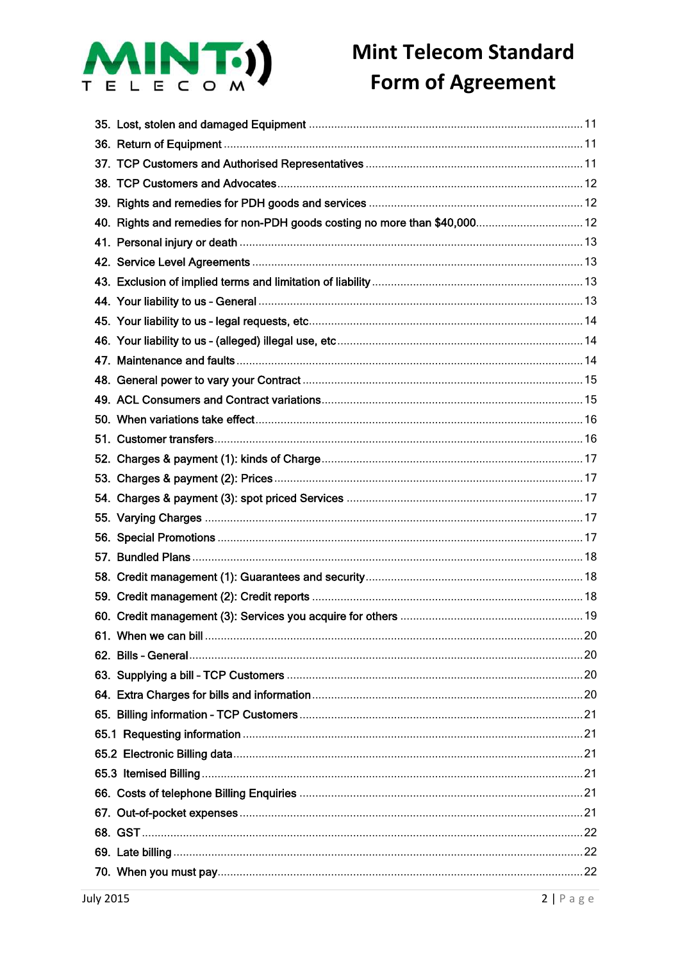

| 40. Rights and remedies for non-PDH goods costing no more than \$40,000 12 |  |
|----------------------------------------------------------------------------|--|
|                                                                            |  |
|                                                                            |  |
|                                                                            |  |
|                                                                            |  |
|                                                                            |  |
|                                                                            |  |
|                                                                            |  |
|                                                                            |  |
|                                                                            |  |
|                                                                            |  |
|                                                                            |  |
|                                                                            |  |
|                                                                            |  |
|                                                                            |  |
|                                                                            |  |
|                                                                            |  |
|                                                                            |  |
|                                                                            |  |
|                                                                            |  |
|                                                                            |  |
|                                                                            |  |
|                                                                            |  |
|                                                                            |  |
|                                                                            |  |
|                                                                            |  |
|                                                                            |  |
|                                                                            |  |
|                                                                            |  |
|                                                                            |  |
|                                                                            |  |
|                                                                            |  |
|                                                                            |  |
|                                                                            |  |
|                                                                            |  |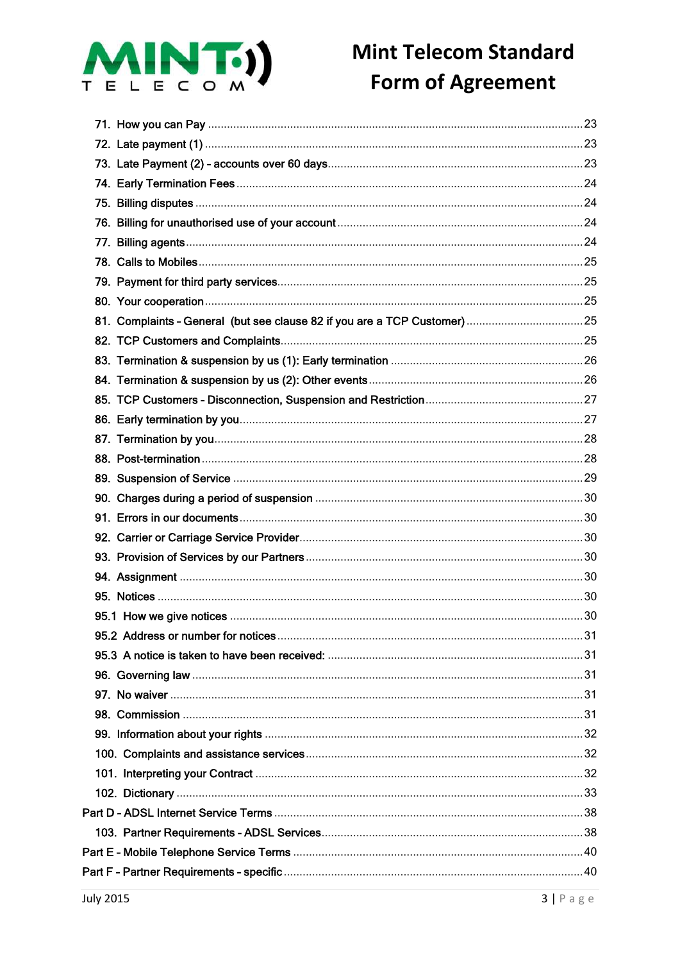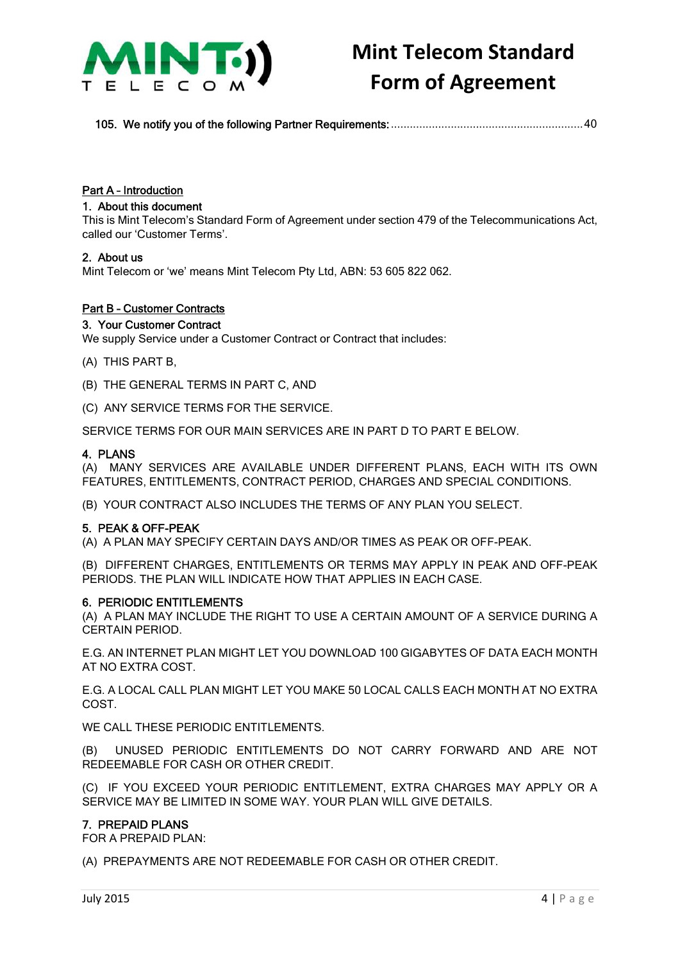

105. We notify you of the following Partner Requirements:.............................................................40

### Part A – Introduction

### 1. About this document

This is Mint Telecom's Standard Form of Agreement under section 479 of the Telecommunications Act, called our 'Customer Terms'.

#### 2. About us

Mint Telecom or 'we' means Mint Telecom Pty Ltd, ABN: 53 605 822 062.

### Part B – Customer Contracts

### 3. Your Customer Contract

We supply Service under a Customer Contract or Contract that includes:

- (A) THIS PART B,
- (B) THE GENERAL TERMS IN PART C, AND
- (C) ANY SERVICE TERMS FOR THE SERVICE.

SERVICE TERMS FOR OUR MAIN SERVICES ARE IN PART D TO PART E BELOW.

#### 4. PLANS

(A) MANY SERVICES ARE AVAILABLE UNDER DIFFERENT PLANS, EACH WITH ITS OWN FEATURES, ENTITLEMENTS, CONTRACT PERIOD, CHARGES AND SPECIAL CONDITIONS.

(B) YOUR CONTRACT ALSO INCLUDES THE TERMS OF ANY PLAN YOU SELECT.

#### 5. PEAK & OFF-PEAK

(A) A PLAN MAY SPECIFY CERTAIN DAYS AND/OR TIMES AS PEAK OR OFF-PEAK.

(B) DIFFERENT CHARGES, ENTITLEMENTS OR TERMS MAY APPLY IN PEAK AND OFF-PEAK PERIODS. THE PLAN WILL INDICATE HOW THAT APPLIES IN EACH CASE.

#### 6. PERIODIC ENTITLEMENTS

(A) A PLAN MAY INCLUDE THE RIGHT TO USE A CERTAIN AMOUNT OF A SERVICE DURING A CERTAIN PERIOD.

E.G. AN INTERNET PLAN MIGHT LET YOU DOWNLOAD 100 GIGABYTES OF DATA EACH MONTH AT NO EXTRA COST.

E.G. A LOCAL CALL PLAN MIGHT LET YOU MAKE 50 LOCAL CALLS EACH MONTH AT NO EXTRA COST.

WE CALL THESE PERIODIC ENTITLEMENTS.

(B) UNUSED PERIODIC ENTITLEMENTS DO NOT CARRY FORWARD AND ARE NOT REDEEMABLE FOR CASH OR OTHER CREDIT.

(C) IF YOU EXCEED YOUR PERIODIC ENTITLEMENT, EXTRA CHARGES MAY APPLY OR A SERVICE MAY BE LIMITED IN SOME WAY. YOUR PLAN WILL GIVE DETAILS.

#### 7. PREPAID PLANS

FOR A PREPAID PLAN:

(A) PREPAYMENTS ARE NOT REDEEMABLE FOR CASH OR OTHER CREDIT.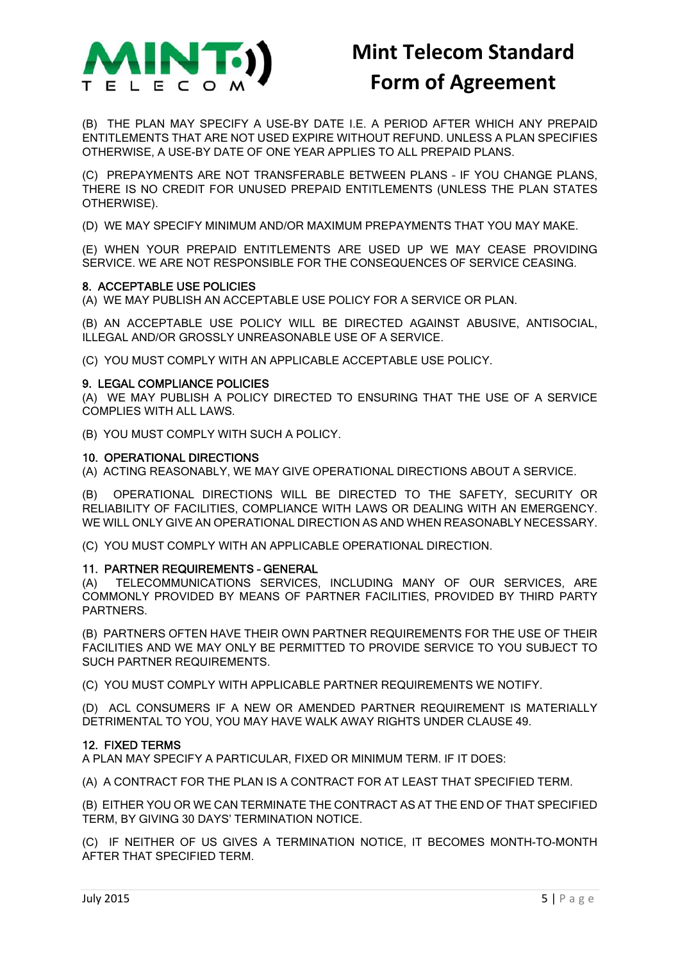

(B) THE PLAN MAY SPECIFY A USE-BY DATE I.E. A PERIOD AFTER WHICH ANY PREPAID ENTITLEMENTS THAT ARE NOT USED EXPIRE WITHOUT REFUND. UNLESS A PLAN SPECIFIES OTHERWISE, A USE-BY DATE OF ONE YEAR APPLIES TO ALL PREPAID PLANS.

(C) PREPAYMENTS ARE NOT TRANSFERABLE BETWEEN PLANS – IF YOU CHANGE PLANS, THERE IS NO CREDIT FOR UNUSED PREPAID ENTITLEMENTS (UNLESS THE PLAN STATES OTHERWISE).

(D) WE MAY SPECIFY MINIMUM AND/OR MAXIMUM PREPAYMENTS THAT YOU MAY MAKE.

(E) WHEN YOUR PREPAID ENTITLEMENTS ARE USED UP WE MAY CEASE PROVIDING SERVICE. WE ARE NOT RESPONSIBLE FOR THE CONSEQUENCES OF SERVICE CEASING.

### 8. ACCEPTABLE USE POLICIES

(A) WE MAY PUBLISH AN ACCEPTABLE USE POLICY FOR A SERVICE OR PLAN.

(B) AN ACCEPTABLE USE POLICY WILL BE DIRECTED AGAINST ABUSIVE, ANTISOCIAL, ILLEGAL AND/OR GROSSLY UNREASONABLE USE OF A SERVICE.

(C) YOU MUST COMPLY WITH AN APPLICABLE ACCEPTABLE USE POLICY.

### 9. LEGAL COMPLIANCE POLICIES

(A) WE MAY PUBLISH A POLICY DIRECTED TO ENSURING THAT THE USE OF A SERVICE COMPLIES WITH ALL LAWS.

(B) YOU MUST COMPLY WITH SUCH A POLICY.

#### 10. OPERATIONAL DIRECTIONS

(A) ACTING REASONABLY, WE MAY GIVE OPERATIONAL DIRECTIONS ABOUT A SERVICE.

(B) OPERATIONAL DIRECTIONS WILL BE DIRECTED TO THE SAFETY, SECURITY OR RELIABILITY OF FACILITIES, COMPLIANCE WITH LAWS OR DEALING WITH AN EMERGENCY. WE WILL ONLY GIVE AN OPERATIONAL DIRECTION AS AND WHEN REASONABLY NECESSARY.

(C) YOU MUST COMPLY WITH AN APPLICABLE OPERATIONAL DIRECTION.

#### 11. PARTNER REQUIREMENTS – GENERAL

(A) TELECOMMUNICATIONS SERVICES, INCLUDING MANY OF OUR SERVICES, ARE COMMONLY PROVIDED BY MEANS OF PARTNER FACILITIES, PROVIDED BY THIRD PARTY PARTNERS.

(B) PARTNERS OFTEN HAVE THEIR OWN PARTNER REQUIREMENTS FOR THE USE OF THEIR FACILITIES AND WE MAY ONLY BE PERMITTED TO PROVIDE SERVICE TO YOU SUBJECT TO SUCH PARTNER REQUIREMENTS.

(C) YOU MUST COMPLY WITH APPLICABLE PARTNER REQUIREMENTS WE NOTIFY.

(D) ACL CONSUMERS IF A NEW OR AMENDED PARTNER REQUIREMENT IS MATERIALLY DETRIMENTAL TO YOU, YOU MAY HAVE WALK AWAY RIGHTS UNDER CLAUSE 49.

#### 12. FIXED TERMS

A PLAN MAY SPECIFY A PARTICULAR, FIXED OR MINIMUM TERM. IF IT DOES:

(A) A CONTRACT FOR THE PLAN IS A CONTRACT FOR AT LEAST THAT SPECIFIED TERM.

(B) EITHER YOU OR WE CAN TERMINATE THE CONTRACT AS AT THE END OF THAT SPECIFIED TERM, BY GIVING 30 DAYS' TERMINATION NOTICE.

(C) IF NEITHER OF US GIVES A TERMINATION NOTICE, IT BECOMES MONTH-TO-MONTH AFTER THAT SPECIFIED TERM.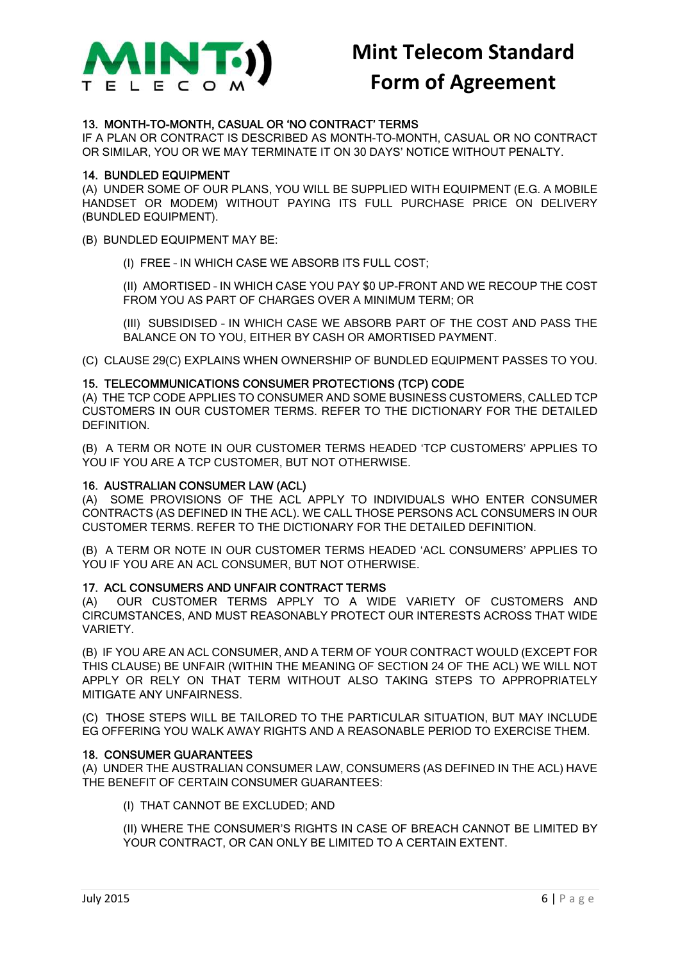

### 13. MONTH-TO-MONTH, CASUAL OR 'NO CONTRACT' TERMS

IF A PLAN OR CONTRACT IS DESCRIBED AS MONTH-TO-MONTH, CASUAL OR NO CONTRACT OR SIMILAR, YOU OR WE MAY TERMINATE IT ON 30 DAYS' NOTICE WITHOUT PENALTY.

### 14. BUNDLED EQUIPMENT

(A) UNDER SOME OF OUR PLANS, YOU WILL BE SUPPLIED WITH EQUIPMENT (E.G. A MOBILE HANDSET OR MODEM) WITHOUT PAYING ITS FULL PURCHASE PRICE ON DELIVERY (BUNDLED EQUIPMENT).

(B) BUNDLED EQUIPMENT MAY BE:

(I) FREE – IN WHICH CASE WE ABSORB ITS FULL COST;

(II) AMORTISED – IN WHICH CASE YOU PAY \$0 UP-FRONT AND WE RECOUP THE COST FROM YOU AS PART OF CHARGES OVER A MINIMUM TERM; OR

(III) SUBSIDISED – IN WHICH CASE WE ABSORB PART OF THE COST AND PASS THE BALANCE ON TO YOU, EITHER BY CASH OR AMORTISED PAYMENT.

(C) CLAUSE 29(C) EXPLAINS WHEN OWNERSHIP OF BUNDLED EQUIPMENT PASSES TO YOU.

### 15. TELECOMMUNICATIONS CONSUMER PROTECTIONS (TCP) CODE

(A) THE TCP CODE APPLIES TO CONSUMER AND SOME BUSINESS CUSTOMERS, CALLED TCP CUSTOMERS IN OUR CUSTOMER TERMS. REFER TO THE DICTIONARY FOR THE DETAILED DEFINITION.

(B) A TERM OR NOTE IN OUR CUSTOMER TERMS HEADED 'TCP CUSTOMERS' APPLIES TO YOU IF YOU ARE A TCP CUSTOMER, BUT NOT OTHERWISE.

#### 16. AUSTRALIAN CONSUMER LAW (ACL)

(A) SOME PROVISIONS OF THE ACL APPLY TO INDIVIDUALS WHO ENTER CONSUMER CONTRACTS (AS DEFINED IN THE ACL). WE CALL THOSE PERSONS ACL CONSUMERS IN OUR CUSTOMER TERMS. REFER TO THE DICTIONARY FOR THE DETAILED DEFINITION.

(B) A TERM OR NOTE IN OUR CUSTOMER TERMS HEADED 'ACL CONSUMERS' APPLIES TO YOU IF YOU ARE AN ACL CONSUMER, BUT NOT OTHERWISE.

### 17. ACL CONSUMERS AND UNFAIR CONTRACT TERMS

(A) OUR CUSTOMER TERMS APPLY TO A WIDE VARIETY OF CUSTOMERS AND CIRCUMSTANCES, AND MUST REASONABLY PROTECT OUR INTERESTS ACROSS THAT WIDE VARIETY.

(B) IF YOU ARE AN ACL CONSUMER, AND A TERM OF YOUR CONTRACT WOULD (EXCEPT FOR THIS CLAUSE) BE UNFAIR (WITHIN THE MEANING OF SECTION 24 OF THE ACL) WE WILL NOT APPLY OR RELY ON THAT TERM WITHOUT ALSO TAKING STEPS TO APPROPRIATELY MITIGATE ANY UNFAIRNESS.

(C) THOSE STEPS WILL BE TAILORED TO THE PARTICULAR SITUATION, BUT MAY INCLUDE EG OFFERING YOU WALK AWAY RIGHTS AND A REASONABLE PERIOD TO EXERCISE THEM.

#### 18. CONSUMER GUARANTEES

(A) UNDER THE AUSTRALIAN CONSUMER LAW, CONSUMERS (AS DEFINED IN THE ACL) HAVE THE BENEFIT OF CERTAIN CONSUMER GUARANTEES:

(I) THAT CANNOT BE EXCLUDED; AND

(II) WHERE THE CONSUMER'S RIGHTS IN CASE OF BREACH CANNOT BE LIMITED BY YOUR CONTRACT, OR CAN ONLY BE LIMITED TO A CERTAIN EXTENT.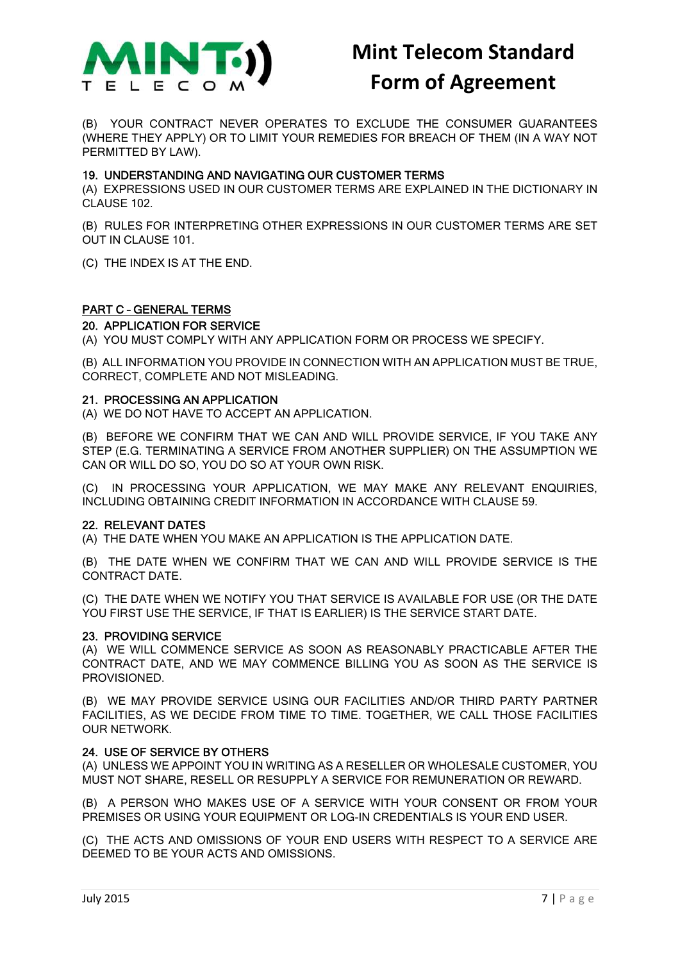

(B) YOUR CONTRACT NEVER OPERATES TO EXCLUDE THE CONSUMER GUARANTEES (WHERE THEY APPLY) OR TO LIMIT YOUR REMEDIES FOR BREACH OF THEM (IN A WAY NOT PERMITTED BY LAW).

### 19. UNDERSTANDING AND NAVIGATING OUR CUSTOMER TERMS

(A) EXPRESSIONS USED IN OUR CUSTOMER TERMS ARE EXPLAINED IN THE DICTIONARY IN CLAUSE 102.

(B) RULES FOR INTERPRETING OTHER EXPRESSIONS IN OUR CUSTOMER TERMS ARE SET OUT IN CLAUSE 101.

(C) THE INDEX IS AT THE END.

### PART C – GENERAL TERMS

### 20. APPLICATION FOR SERVICE

(A) YOU MUST COMPLY WITH ANY APPLICATION FORM OR PROCESS WE SPECIFY.

(B) ALL INFORMATION YOU PROVIDE IN CONNECTION WITH AN APPLICATION MUST BE TRUE, CORRECT, COMPLETE AND NOT MISLEADING.

### 21. PROCESSING AN APPLICATION

(A) WE DO NOT HAVE TO ACCEPT AN APPLICATION.

(B) BEFORE WE CONFIRM THAT WE CAN AND WILL PROVIDE SERVICE, IF YOU TAKE ANY STEP (E.G. TERMINATING A SERVICE FROM ANOTHER SUPPLIER) ON THE ASSUMPTION WE CAN OR WILL DO SO, YOU DO SO AT YOUR OWN RISK.

(C) IN PROCESSING YOUR APPLICATION, WE MAY MAKE ANY RELEVANT ENQUIRIES, INCLUDING OBTAINING CREDIT INFORMATION IN ACCORDANCE WITH CLAUSE 59.

### 22. RELEVANT DATES

(A) THE DATE WHEN YOU MAKE AN APPLICATION IS THE APPLICATION DATE.

(B) THE DATE WHEN WE CONFIRM THAT WE CAN AND WILL PROVIDE SERVICE IS THE CONTRACT DATE.

(C) THE DATE WHEN WE NOTIFY YOU THAT SERVICE IS AVAILABLE FOR USE (OR THE DATE YOU FIRST USE THE SERVICE, IF THAT IS EARLIER) IS THE SERVICE START DATE.

### 23. PROVIDING SERVICE

(A) WE WILL COMMENCE SERVICE AS SOON AS REASONABLY PRACTICABLE AFTER THE CONTRACT DATE, AND WE MAY COMMENCE BILLING YOU AS SOON AS THE SERVICE IS PROVISIONED.

(B) WE MAY PROVIDE SERVICE USING OUR FACILITIES AND/OR THIRD PARTY PARTNER FACILITIES, AS WE DECIDE FROM TIME TO TIME. TOGETHER, WE CALL THOSE FACILITIES OUR NETWORK.

### 24. USE OF SERVICE BY OTHERS

(A) UNLESS WE APPOINT YOU IN WRITING AS A RESELLER OR WHOLESALE CUSTOMER, YOU MUST NOT SHARE, RESELL OR RESUPPLY A SERVICE FOR REMUNERATION OR REWARD.

(B) A PERSON WHO MAKES USE OF A SERVICE WITH YOUR CONSENT OR FROM YOUR PREMISES OR USING YOUR EQUIPMENT OR LOG-IN CREDENTIALS IS YOUR END USER.

(C) THE ACTS AND OMISSIONS OF YOUR END USERS WITH RESPECT TO A SERVICE ARE DEEMED TO BE YOUR ACTS AND OMISSIONS.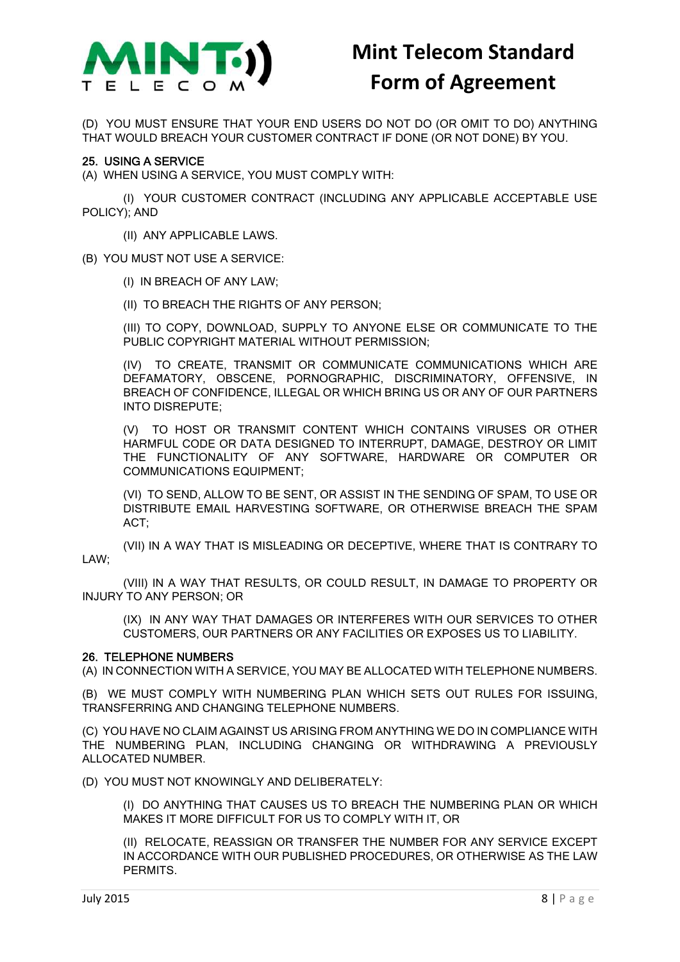

(D) YOU MUST ENSURE THAT YOUR END USERS DO NOT DO (OR OMIT TO DO) ANYTHING THAT WOULD BREACH YOUR CUSTOMER CONTRACT IF DONE (OR NOT DONE) BY YOU.

### 25. USING A SERVICE

(A) WHEN USING A SERVICE, YOU MUST COMPLY WITH:

(I) YOUR CUSTOMER CONTRACT (INCLUDING ANY APPLICABLE ACCEPTABLE USE POLICY); AND

(II) ANY APPLICABLE LAWS.

(B) YOU MUST NOT USE A SERVICE:

(I) IN BREACH OF ANY LAW;

(II) TO BREACH THE RIGHTS OF ANY PERSON;

(III) TO COPY, DOWNLOAD, SUPPLY TO ANYONE ELSE OR COMMUNICATE TO THE PUBLIC COPYRIGHT MATERIAL WITHOUT PERMISSION;

(IV) TO CREATE, TRANSMIT OR COMMUNICATE COMMUNICATIONS WHICH ARE DEFAMATORY, OBSCENE, PORNOGRAPHIC, DISCRIMINATORY, OFFENSIVE, IN BREACH OF CONFIDENCE, ILLEGAL OR WHICH BRING US OR ANY OF OUR PARTNERS INTO DISREPUTE;

(V) TO HOST OR TRANSMIT CONTENT WHICH CONTAINS VIRUSES OR OTHER HARMFUL CODE OR DATA DESIGNED TO INTERRUPT, DAMAGE, DESTROY OR LIMIT THE FUNCTIONALITY OF ANY SOFTWARE, HARDWARE OR COMPUTER OR COMMUNICATIONS EQUIPMENT;

(VI) TO SEND, ALLOW TO BE SENT, OR ASSIST IN THE SENDING OF SPAM, TO USE OR DISTRIBUTE EMAIL HARVESTING SOFTWARE, OR OTHERWISE BREACH THE SPAM ACT;

(VII) IN A WAY THAT IS MISLEADING OR DECEPTIVE, WHERE THAT IS CONTRARY TO LAW;

(VIII) IN A WAY THAT RESULTS, OR COULD RESULT, IN DAMAGE TO PROPERTY OR INJURY TO ANY PERSON; OR

(IX) IN ANY WAY THAT DAMAGES OR INTERFERES WITH OUR SERVICES TO OTHER CUSTOMERS, OUR PARTNERS OR ANY FACILITIES OR EXPOSES US TO LIABILITY.

#### 26. TELEPHONE NUMBERS

(A) IN CONNECTION WITH A SERVICE, YOU MAY BE ALLOCATED WITH TELEPHONE NUMBERS.

(B) WE MUST COMPLY WITH NUMBERING PLAN WHICH SETS OUT RULES FOR ISSUING, TRANSFERRING AND CHANGING TELEPHONE NUMBERS.

(C) YOU HAVE NO CLAIM AGAINST US ARISING FROM ANYTHING WE DO IN COMPLIANCE WITH THE NUMBERING PLAN, INCLUDING CHANGING OR WITHDRAWING A PREVIOUSLY ALLOCATED NUMBER.

(D) YOU MUST NOT KNOWINGLY AND DELIBERATELY:

(I) DO ANYTHING THAT CAUSES US TO BREACH THE NUMBERING PLAN OR WHICH MAKES IT MORE DIFFICULT FOR US TO COMPLY WITH IT, OR

(II) RELOCATE, REASSIGN OR TRANSFER THE NUMBER FOR ANY SERVICE EXCEPT IN ACCORDANCE WITH OUR PUBLISHED PROCEDURES, OR OTHERWISE AS THE LAW PERMITS.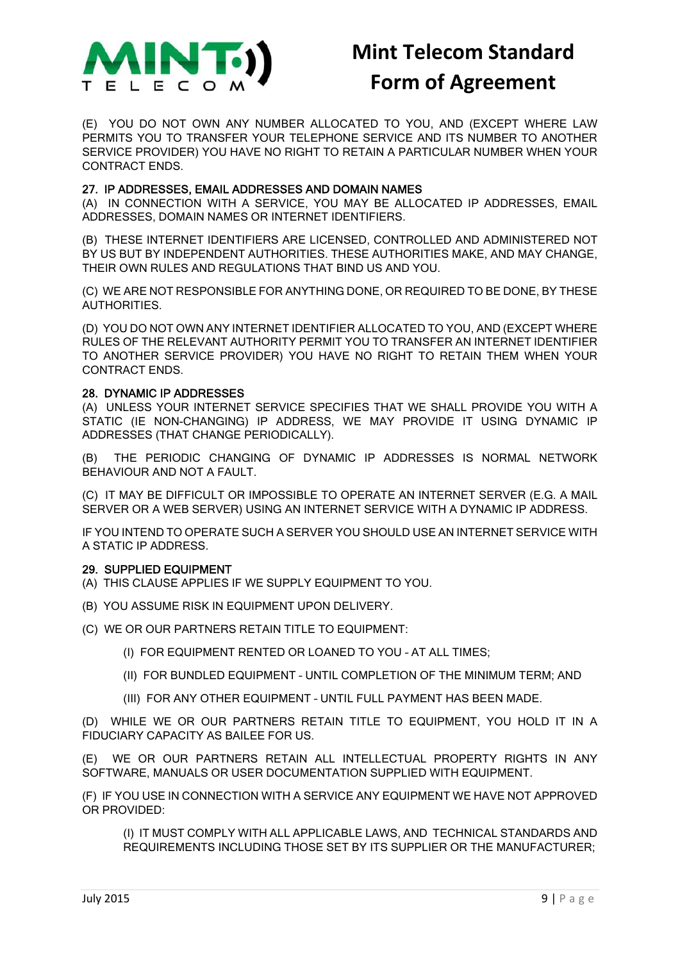

(E) YOU DO NOT OWN ANY NUMBER ALLOCATED TO YOU, AND (EXCEPT WHERE LAW PERMITS YOU TO TRANSFER YOUR TELEPHONE SERVICE AND ITS NUMBER TO ANOTHER SERVICE PROVIDER) YOU HAVE NO RIGHT TO RETAIN A PARTICULAR NUMBER WHEN YOUR CONTRACT ENDS.

### 27. IP ADDRESSES, EMAIL ADDRESSES AND DOMAIN NAMES

(A) IN CONNECTION WITH A SERVICE, YOU MAY BE ALLOCATED IP ADDRESSES, EMAIL ADDRESSES, DOMAIN NAMES OR INTERNET IDENTIFIERS.

(B) THESE INTERNET IDENTIFIERS ARE LICENSED, CONTROLLED AND ADMINISTERED NOT BY US BUT BY INDEPENDENT AUTHORITIES. THESE AUTHORITIES MAKE, AND MAY CHANGE, THEIR OWN RULES AND REGULATIONS THAT BIND US AND YOU.

(C) WE ARE NOT RESPONSIBLE FOR ANYTHING DONE, OR REQUIRED TO BE DONE, BY THESE AUTHORITIES.

(D) YOU DO NOT OWN ANY INTERNET IDENTIFIER ALLOCATED TO YOU, AND (EXCEPT WHERE RULES OF THE RELEVANT AUTHORITY PERMIT YOU TO TRANSFER AN INTERNET IDENTIFIER TO ANOTHER SERVICE PROVIDER) YOU HAVE NO RIGHT TO RETAIN THEM WHEN YOUR CONTRACT ENDS.

### 28. DYNAMIC IP ADDRESSES

(A) UNLESS YOUR INTERNET SERVICE SPECIFIES THAT WE SHALL PROVIDE YOU WITH A STATIC (IE NON-CHANGING) IP ADDRESS, WE MAY PROVIDE IT USING DYNAMIC IP ADDRESSES (THAT CHANGE PERIODICALLY).

(B) THE PERIODIC CHANGING OF DYNAMIC IP ADDRESSES IS NORMAL NETWORK BEHAVIOUR AND NOT A FAULT.

(C) IT MAY BE DIFFICULT OR IMPOSSIBLE TO OPERATE AN INTERNET SERVER (E.G. A MAIL SERVER OR A WEB SERVER) USING AN INTERNET SERVICE WITH A DYNAMIC IP ADDRESS.

IF YOU INTEND TO OPERATE SUCH A SERVER YOU SHOULD USE AN INTERNET SERVICE WITH A STATIC IP ADDRESS.

### 29. SUPPLIED EQUIPMENT

- (A) THIS CLAUSE APPLIES IF WE SUPPLY EQUIPMENT TO YOU.
- (B) YOU ASSUME RISK IN EQUIPMENT UPON DELIVERY.
- (C) WE OR OUR PARTNERS RETAIN TITLE TO EQUIPMENT:
	- (I) FOR EQUIPMENT RENTED OR LOANED TO YOU AT ALL TIMES;
	- (II) FOR BUNDLED EQUIPMENT UNTIL COMPLETION OF THE MINIMUM TERM; AND
	- (III) FOR ANY OTHER EQUIPMENT UNTIL FULL PAYMENT HAS BEEN MADE.

(D) WHILE WE OR OUR PARTNERS RETAIN TITLE TO EQUIPMENT, YOU HOLD IT IN A FIDUCIARY CAPACITY AS BAILEE FOR US.

(E) WE OR OUR PARTNERS RETAIN ALL INTELLECTUAL PROPERTY RIGHTS IN ANY SOFTWARE, MANUALS OR USER DOCUMENTATION SUPPLIED WITH EQUIPMENT.

(F) IF YOU USE IN CONNECTION WITH A SERVICE ANY EQUIPMENT WE HAVE NOT APPROVED OR PROVIDED:

(I) IT MUST COMPLY WITH ALL APPLICABLE LAWS, AND TECHNICAL STANDARDS AND REQUIREMENTS INCLUDING THOSE SET BY ITS SUPPLIER OR THE MANUFACTURER;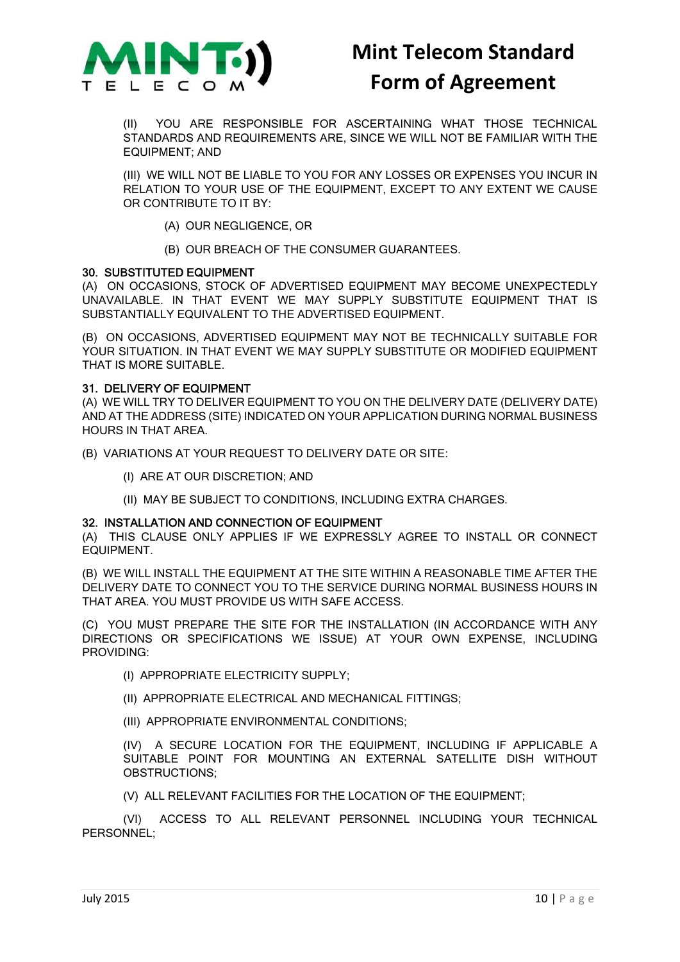

(II) YOU ARE RESPONSIBLE FOR ASCERTAINING WHAT THOSE TECHNICAL STANDARDS AND REQUIREMENTS ARE, SINCE WE WILL NOT BE FAMILIAR WITH THE EQUIPMENT; AND

(III) WE WILL NOT BE LIABLE TO YOU FOR ANY LOSSES OR EXPENSES YOU INCUR IN RELATION TO YOUR USE OF THE EQUIPMENT, EXCEPT TO ANY EXTENT WE CAUSE OR CONTRIBUTE TO IT BY:

(A) OUR NEGLIGENCE, OR

(B) OUR BREACH OF THE CONSUMER GUARANTEES.

### 30. SUBSTITUTED EQUIPMENT

(A) ON OCCASIONS, STOCK OF ADVERTISED EQUIPMENT MAY BECOME UNEXPECTEDLY UNAVAILABLE. IN THAT EVENT WE MAY SUPPLY SUBSTITUTE EQUIPMENT THAT IS SUBSTANTIALLY EQUIVALENT TO THE ADVERTISED EQUIPMENT.

(B) ON OCCASIONS, ADVERTISED EQUIPMENT MAY NOT BE TECHNICALLY SUITABLE FOR YOUR SITUATION. IN THAT EVENT WE MAY SUPPLY SUBSTITUTE OR MODIFIED EQUIPMENT THAT IS MORE SUITABLE.

### 31. DELIVERY OF EQUIPMENT

(A) WE WILL TRY TO DELIVER EQUIPMENT TO YOU ON THE DELIVERY DATE (DELIVERY DATE) AND AT THE ADDRESS (SITE) INDICATED ON YOUR APPLICATION DURING NORMAL BUSINESS HOURS IN THAT AREA.

(B) VARIATIONS AT YOUR REQUEST TO DELIVERY DATE OR SITE:

- (I) ARE AT OUR DISCRETION; AND
- (II) MAY BE SUBJECT TO CONDITIONS, INCLUDING EXTRA CHARGES.

#### 32. INSTALLATION AND CONNECTION OF EQUIPMENT

(A) THIS CLAUSE ONLY APPLIES IF WE EXPRESSLY AGREE TO INSTALL OR CONNECT EQUIPMENT.

(B) WE WILL INSTALL THE EQUIPMENT AT THE SITE WITHIN A REASONABLE TIME AFTER THE DELIVERY DATE TO CONNECT YOU TO THE SERVICE DURING NORMAL BUSINESS HOURS IN THAT AREA. YOU MUST PROVIDE US WITH SAFE ACCESS.

(C) YOU MUST PREPARE THE SITE FOR THE INSTALLATION (IN ACCORDANCE WITH ANY DIRECTIONS OR SPECIFICATIONS WE ISSUE) AT YOUR OWN EXPENSE, INCLUDING PROVIDING:

- (I) APPROPRIATE ELECTRICITY SUPPLY;
- (II) APPROPRIATE ELECTRICAL AND MECHANICAL FITTINGS;
- (III) APPROPRIATE ENVIRONMENTAL CONDITIONS;

(IV) A SECURE LOCATION FOR THE EQUIPMENT, INCLUDING IF APPLICABLE A SUITABLE POINT FOR MOUNTING AN EXTERNAL SATELLITE DISH WITHOUT OBSTRUCTIONS;

(V) ALL RELEVANT FACILITIES FOR THE LOCATION OF THE EQUIPMENT;

(VI) ACCESS TO ALL RELEVANT PERSONNEL INCLUDING YOUR TECHNICAL PERSONNEL;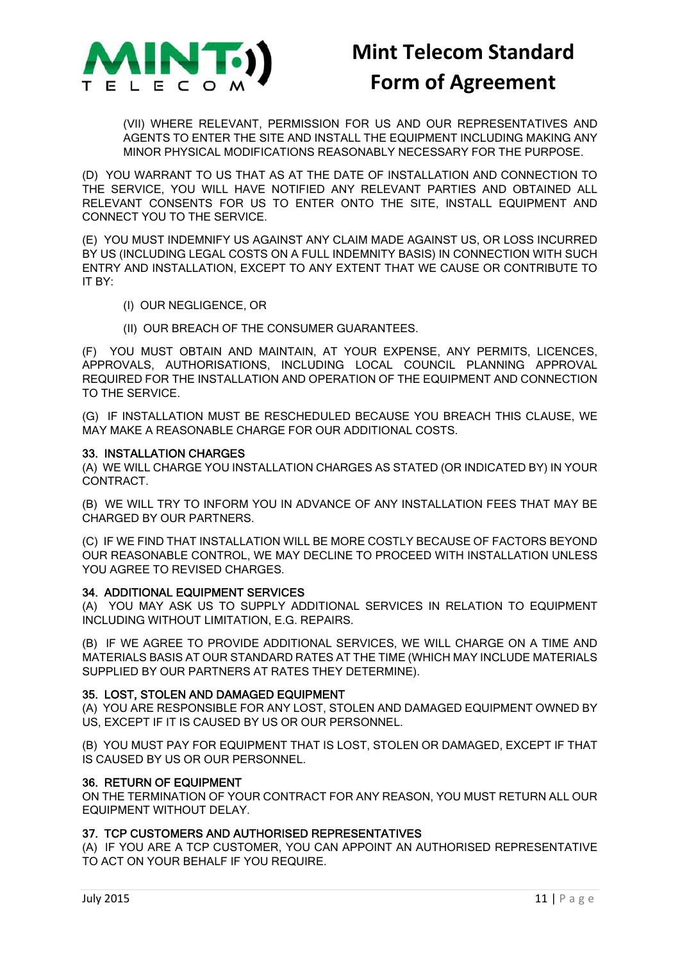

(VII) WHERE RELEVANT, PERMISSION FOR US AND OUR REPRESENTATIVES AND AGENTS TO ENTER THE SITE AND INSTALL THE EQUIPMENT INCLUDING MAKING ANY MINOR PHYSICAL MODIFICATIONS REASONABLY NECESSARY FOR THE PURPOSE.

(D) YOU WARRANT TO US THAT AS AT THE DATE OF INSTALLATION AND CONNECTION TO THE SERVICE, YOU WILL HAVE NOTIFIED ANY RELEVANT PARTIES AND OBTAINED ALL RELEVANT CONSENTS FOR US TO ENTER ONTO THE SITE, INSTALL EQUIPMENT AND CONNECT YOU TO THE SERVICE.

(E) YOU MUST INDEMNIFY US AGAINST ANY CLAIM MADE AGAINST US, OR LOSS INCURRED BY US (INCLUDING LEGAL COSTS ON A FULL INDEMNITY BASIS) IN CONNECTION WITH SUCH ENTRY AND INSTALLATION, EXCEPT TO ANY EXTENT THAT WE CAUSE OR CONTRIBUTE TO IT BY:

- (I) OUR NEGLIGENCE, OR
- (II) OUR BREACH OF THE CONSUMER GUARANTEES.

(F) YOU MUST OBTAIN AND MAINTAIN, AT YOUR EXPENSE, ANY PERMITS, LICENCES, APPROVALS, AUTHORISATIONS, INCLUDING LOCAL COUNCIL PLANNING APPROVAL REQUIRED FOR THE INSTALLATION AND OPERATION OF THE EQUIPMENT AND CONNECTION TO THE SERVICE.

(G) IF INSTALLATION MUST BE RESCHEDULED BECAUSE YOU BREACH THIS CLAUSE, WE MAY MAKE A REASONABLE CHARGE FOR OUR ADDITIONAL COSTS.

### 33. INSTALLATION CHARGES

(A) WE WILL CHARGE YOU INSTALLATION CHARGES AS STATED (OR INDICATED BY) IN YOUR CONTRACT.

(B) WE WILL TRY TO INFORM YOU IN ADVANCE OF ANY INSTALLATION FEES THAT MAY BE CHARGED BY OUR PARTNERS.

(C) IF WE FIND THAT INSTALLATION WILL BE MORE COSTLY BECAUSE OF FACTORS BEYOND OUR REASONABLE CONTROL, WE MAY DECLINE TO PROCEED WITH INSTALLATION UNLESS YOU AGREE TO REVISED CHARGES.

### 34. ADDITIONAL EQUIPMENT SERVICES

(A) YOU MAY ASK US TO SUPPLY ADDITIONAL SERVICES IN RELATION TO EQUIPMENT INCLUDING WITHOUT LIMITATION, E.G. REPAIRS.

(B) IF WE AGREE TO PROVIDE ADDITIONAL SERVICES, WE WILL CHARGE ON A TIME AND MATERIALS BASIS AT OUR STANDARD RATES AT THE TIME (WHICH MAY INCLUDE MATERIALS SUPPLIED BY OUR PARTNERS AT RATES THEY DETERMINE).

### 35. LOST, STOLEN AND DAMAGED EQUIPMENT

(A) YOU ARE RESPONSIBLE FOR ANY LOST, STOLEN AND DAMAGED EQUIPMENT OWNED BY US, EXCEPT IF IT IS CAUSED BY US OR OUR PERSONNEL.

(B) YOU MUST PAY FOR EQUIPMENT THAT IS LOST, STOLEN OR DAMAGED, EXCEPT IF THAT IS CAUSED BY US OR OUR PERSONNEL.

### 36. RETURN OF EQUIPMENT

ON THE TERMINATION OF YOUR CONTRACT FOR ANY REASON, YOU MUST RETURN ALL OUR EQUIPMENT WITHOUT DELAY.

### 37. TCP CUSTOMERS AND AUTHORISED REPRESENTATIVES

(A) IF YOU ARE A TCP CUSTOMER, YOU CAN APPOINT AN AUTHORISED REPRESENTATIVE TO ACT ON YOUR BEHALF IF YOU REQUIRE.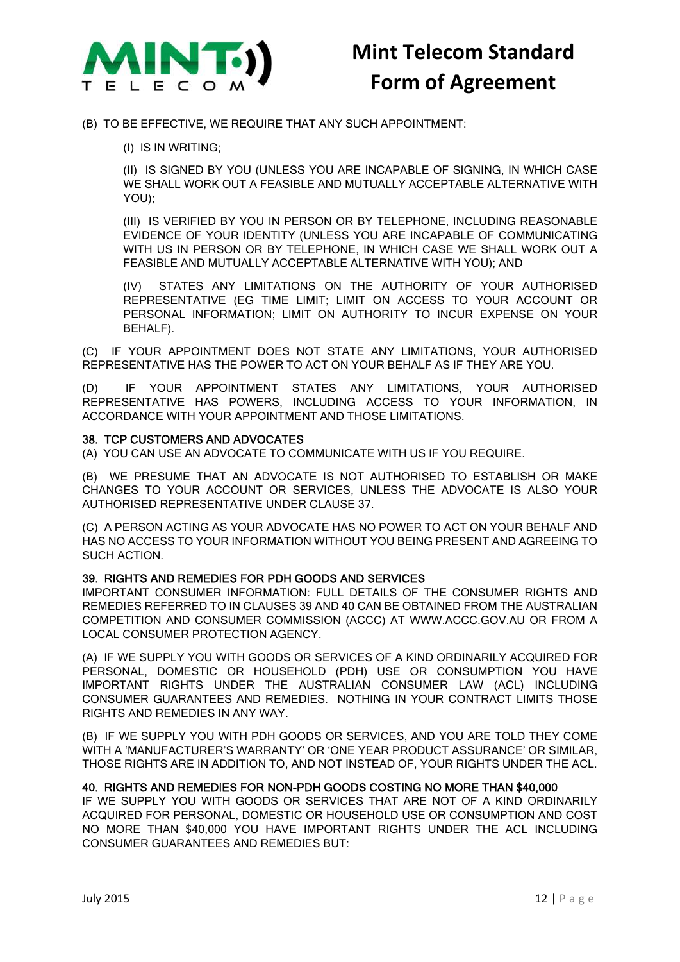

### (B) TO BE EFFECTIVE, WE REQUIRE THAT ANY SUCH APPOINTMENT:

(I) IS IN WRITING;

(II) IS SIGNED BY YOU (UNLESS YOU ARE INCAPABLE OF SIGNING, IN WHICH CASE WE SHALL WORK OUT A FEASIBLE AND MUTUALLY ACCEPTABLE ALTERNATIVE WITH YOU);

(III) IS VERIFIED BY YOU IN PERSON OR BY TELEPHONE, INCLUDING REASONABLE EVIDENCE OF YOUR IDENTITY (UNLESS YOU ARE INCAPABLE OF COMMUNICATING WITH US IN PERSON OR BY TELEPHONE, IN WHICH CASE WE SHALL WORK OUT A FEASIBLE AND MUTUALLY ACCEPTABLE ALTERNATIVE WITH YOU); AND

(IV) STATES ANY LIMITATIONS ON THE AUTHORITY OF YOUR AUTHORISED REPRESENTATIVE (EG TIME LIMIT; LIMIT ON ACCESS TO YOUR ACCOUNT OR PERSONAL INFORMATION; LIMIT ON AUTHORITY TO INCUR EXPENSE ON YOUR BEHALF).

(C) IF YOUR APPOINTMENT DOES NOT STATE ANY LIMITATIONS, YOUR AUTHORISED REPRESENTATIVE HAS THE POWER TO ACT ON YOUR BEHALF AS IF THEY ARE YOU.

(D) IF YOUR APPOINTMENT STATES ANY LIMITATIONS, YOUR AUTHORISED REPRESENTATIVE HAS POWERS, INCLUDING ACCESS TO YOUR INFORMATION, IN ACCORDANCE WITH YOUR APPOINTMENT AND THOSE LIMITATIONS.

### 38. TCP CUSTOMERS AND ADVOCATES

(A) YOU CAN USE AN ADVOCATE TO COMMUNICATE WITH US IF YOU REQUIRE.

(B) WE PRESUME THAT AN ADVOCATE IS NOT AUTHORISED TO ESTABLISH OR MAKE CHANGES TO YOUR ACCOUNT OR SERVICES, UNLESS THE ADVOCATE IS ALSO YOUR AUTHORISED REPRESENTATIVE UNDER CLAUSE 37.

(C) A PERSON ACTING AS YOUR ADVOCATE HAS NO POWER TO ACT ON YOUR BEHALF AND HAS NO ACCESS TO YOUR INFORMATION WITHOUT YOU BEING PRESENT AND AGREEING TO SUCH ACTION.

### 39. RIGHTS AND REMEDIES FOR PDH GOODS AND SERVICES

IMPORTANT CONSUMER INFORMATION: FULL DETAILS OF THE CONSUMER RIGHTS AND REMEDIES REFERRED TO IN CLAUSES 39 AND 40 CAN BE OBTAINED FROM THE AUSTRALIAN COMPETITION AND CONSUMER COMMISSION (ACCC) AT WWW.ACCC.GOV.AU OR FROM A LOCAL CONSUMER PROTECTION AGENCY.

(A) IF WE SUPPLY YOU WITH GOODS OR SERVICES OF A KIND ORDINARILY ACQUIRED FOR PERSONAL, DOMESTIC OR HOUSEHOLD (PDH) USE OR CONSUMPTION YOU HAVE IMPORTANT RIGHTS UNDER THE AUSTRALIAN CONSUMER LAW (ACL) INCLUDING CONSUMER GUARANTEES AND REMEDIES. NOTHING IN YOUR CONTRACT LIMITS THOSE RIGHTS AND REMEDIES IN ANY WAY.

(B) IF WE SUPPLY YOU WITH PDH GOODS OR SERVICES, AND YOU ARE TOLD THEY COME WITH A 'MANUFACTURER'S WARRANTY' OR 'ONE YEAR PRODUCT ASSURANCE' OR SIMILAR, THOSE RIGHTS ARE IN ADDITION TO, AND NOT INSTEAD OF, YOUR RIGHTS UNDER THE ACL.

### 40. RIGHTS AND REMEDIES FOR NON-PDH GOODS COSTING NO MORE THAN \$40,000

IF WE SUPPLY YOU WITH GOODS OR SERVICES THAT ARE NOT OF A KIND ORDINARILY ACQUIRED FOR PERSONAL, DOMESTIC OR HOUSEHOLD USE OR CONSUMPTION AND COST NO MORE THAN \$40,000 YOU HAVE IMPORTANT RIGHTS UNDER THE ACL INCLUDING CONSUMER GUARANTEES AND REMEDIES BUT: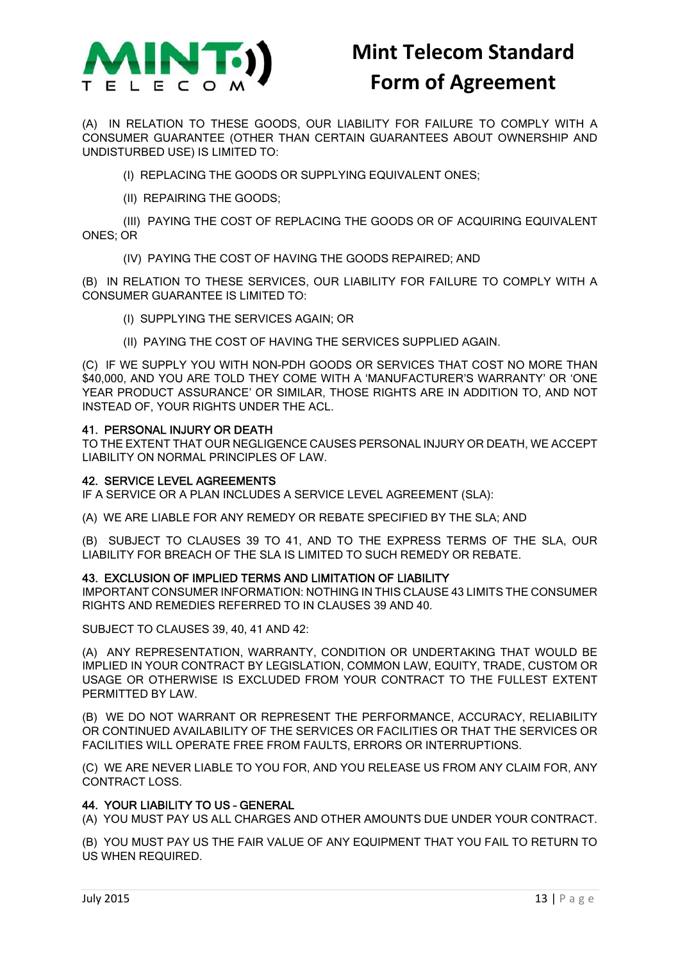

(A) IN RELATION TO THESE GOODS, OUR LIABILITY FOR FAILURE TO COMPLY WITH A CONSUMER GUARANTEE (OTHER THAN CERTAIN GUARANTEES ABOUT OWNERSHIP AND UNDISTURBED USE) IS LIMITED TO:

(I) REPLACING THE GOODS OR SUPPLYING EQUIVALENT ONES;

(II) REPAIRING THE GOODS;

(III) PAYING THE COST OF REPLACING THE GOODS OR OF ACQUIRING EQUIVALENT ONES; OR

(IV) PAYING THE COST OF HAVING THE GOODS REPAIRED; AND

(B) IN RELATION TO THESE SERVICES, OUR LIABILITY FOR FAILURE TO COMPLY WITH A CONSUMER GUARANTEE IS LIMITED TO:

- (I) SUPPLYING THE SERVICES AGAIN; OR
- (II) PAYING THE COST OF HAVING THE SERVICES SUPPLIED AGAIN.

(C) IF WE SUPPLY YOU WITH NON-PDH GOODS OR SERVICES THAT COST NO MORE THAN \$40,000, AND YOU ARE TOLD THEY COME WITH A 'MANUFACTURER'S WARRANTY' OR 'ONE YEAR PRODUCT ASSURANCE' OR SIMILAR, THOSE RIGHTS ARE IN ADDITION TO, AND NOT INSTEAD OF, YOUR RIGHTS UNDER THE ACL.

### 41. PERSONAL INJURY OR DEATH

TO THE EXTENT THAT OUR NEGLIGENCE CAUSES PERSONAL INJURY OR DEATH, WE ACCEPT LIABILITY ON NORMAL PRINCIPLES OF LAW.

### 42. SERVICE LEVEL AGREEMENTS

IF A SERVICE OR A PLAN INCLUDES A SERVICE LEVEL AGREEMENT (SLA):

(A) WE ARE LIABLE FOR ANY REMEDY OR REBATE SPECIFIED BY THE SLA; AND

(B) SUBJECT TO CLAUSES 39 TO 41, AND TO THE EXPRESS TERMS OF THE SLA, OUR LIABILITY FOR BREACH OF THE SLA IS LIMITED TO SUCH REMEDY OR REBATE.

### 43. EXCLUSION OF IMPLIED TERMS AND LIMITATION OF LIABILITY

IMPORTANT CONSUMER INFORMATION: NOTHING IN THIS CLAUSE 43 LIMITS THE CONSUMER RIGHTS AND REMEDIES REFERRED TO IN CLAUSES 39 AND 40.

SUBJECT TO CLAUSES 39, 40, 41 AND 42:

(A) ANY REPRESENTATION, WARRANTY, CONDITION OR UNDERTAKING THAT WOULD BE IMPLIED IN YOUR CONTRACT BY LEGISLATION, COMMON LAW, EQUITY, TRADE, CUSTOM OR USAGE OR OTHERWISE IS EXCLUDED FROM YOUR CONTRACT TO THE FULLEST EXTENT PERMITTED BY LAW.

(B) WE DO NOT WARRANT OR REPRESENT THE PERFORMANCE, ACCURACY, RELIABILITY OR CONTINUED AVAILABILITY OF THE SERVICES OR FACILITIES OR THAT THE SERVICES OR FACILITIES WILL OPERATE FREE FROM FAULTS, ERRORS OR INTERRUPTIONS.

(C) WE ARE NEVER LIABLE TO YOU FOR, AND YOU RELEASE US FROM ANY CLAIM FOR, ANY CONTRACT LOSS.

### 44. YOUR LIABILITY TO US – GENERAL

(A) YOU MUST PAY US ALL CHARGES AND OTHER AMOUNTS DUE UNDER YOUR CONTRACT.

(B) YOU MUST PAY US THE FAIR VALUE OF ANY EQUIPMENT THAT YOU FAIL TO RETURN TO US WHEN REQUIRED.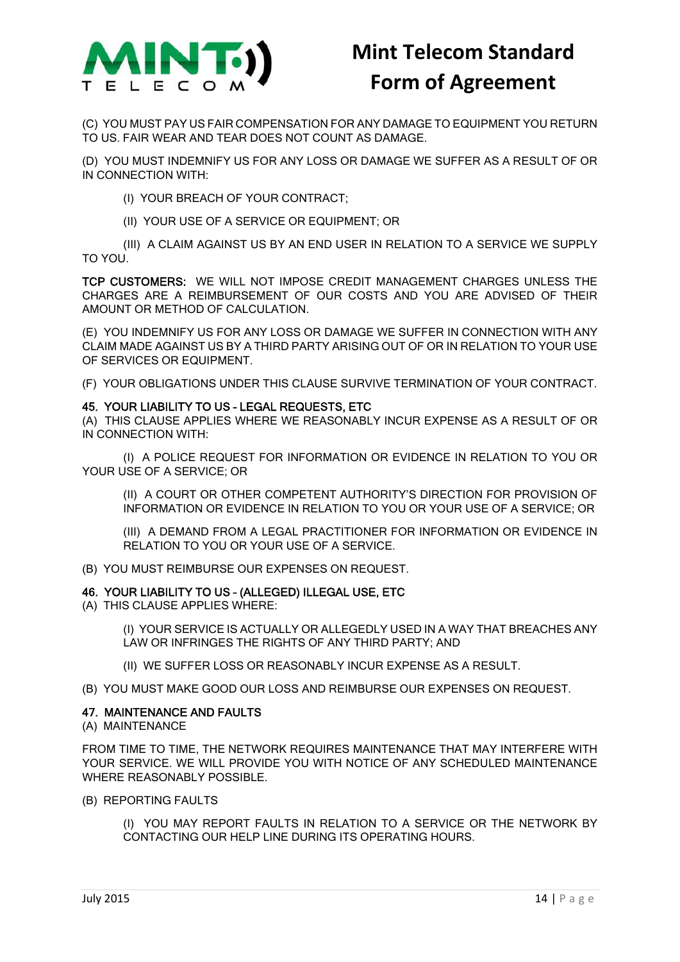

(C) YOU MUST PAY US FAIR COMPENSATION FOR ANY DAMAGE TO EQUIPMENT YOU RETURN TO US. FAIR WEAR AND TEAR DOES NOT COUNT AS DAMAGE.

(D) YOU MUST INDEMNIFY US FOR ANY LOSS OR DAMAGE WE SUFFER AS A RESULT OF OR IN CONNECTION WITH:

(I) YOUR BREACH OF YOUR CONTRACT;

(II) YOUR USE OF A SERVICE OR EQUIPMENT; OR

(III) A CLAIM AGAINST US BY AN END USER IN RELATION TO A SERVICE WE SUPPLY TO YOU.

TCP CUSTOMERS: WE WILL NOT IMPOSE CREDIT MANAGEMENT CHARGES UNLESS THE CHARGES ARE A REIMBURSEMENT OF OUR COSTS AND YOU ARE ADVISED OF THEIR AMOUNT OR METHOD OF CALCULATION.

(E) YOU INDEMNIFY US FOR ANY LOSS OR DAMAGE WE SUFFER IN CONNECTION WITH ANY CLAIM MADE AGAINST US BY A THIRD PARTY ARISING OUT OF OR IN RELATION TO YOUR USE OF SERVICES OR FOUIPMENT.

(F) YOUR OBLIGATIONS UNDER THIS CLAUSE SURVIVE TERMINATION OF YOUR CONTRACT.

### 45. YOUR LIABILITY TO US – LEGAL REQUESTS, ETC

(A) THIS CLAUSE APPLIES WHERE WE REASONABLY INCUR EXPENSE AS A RESULT OF OR IN CONNECTION WITH:

(I) A POLICE REQUEST FOR INFORMATION OR EVIDENCE IN RELATION TO YOU OR YOUR USE OF A SERVICE; OR

(II) A COURT OR OTHER COMPETENT AUTHORITY'S DIRECTION FOR PROVISION OF INFORMATION OR EVIDENCE IN RELATION TO YOU OR YOUR USE OF A SERVICE; OR

(III) A DEMAND FROM A LEGAL PRACTITIONER FOR INFORMATION OR EVIDENCE IN RELATION TO YOU OR YOUR USE OF A SERVICE.

(B) YOU MUST REIMBURSE OUR EXPENSES ON REQUEST.

### 46. YOUR LIABILITY TO US – (ALLEGED) ILLEGAL USE, ETC

(A) THIS CLAUSE APPLIES WHERE:

(I) YOUR SERVICE IS ACTUALLY OR ALLEGEDLY USED IN A WAY THAT BREACHES ANY LAW OR INFRINGES THE RIGHTS OF ANY THIRD PARTY; AND

(II) WE SUFFER LOSS OR REASONABLY INCUR EXPENSE AS A RESULT.

(B) YOU MUST MAKE GOOD OUR LOSS AND REIMBURSE OUR EXPENSES ON REQUEST.

### 47. MAINTENANCE AND FAULTS

(A) MAINTENANCE

FROM TIME TO TIME, THE NETWORK REQUIRES MAINTENANCE THAT MAY INTERFERE WITH YOUR SERVICE. WE WILL PROVIDE YOU WITH NOTICE OF ANY SCHEDULED MAINTENANCE WHERE REASONABLY POSSIBLE.

(B) REPORTING FAULTS

(I) YOU MAY REPORT FAULTS IN RELATION TO A SERVICE OR THE NETWORK BY CONTACTING OUR HELP LINE DURING ITS OPERATING HOURS.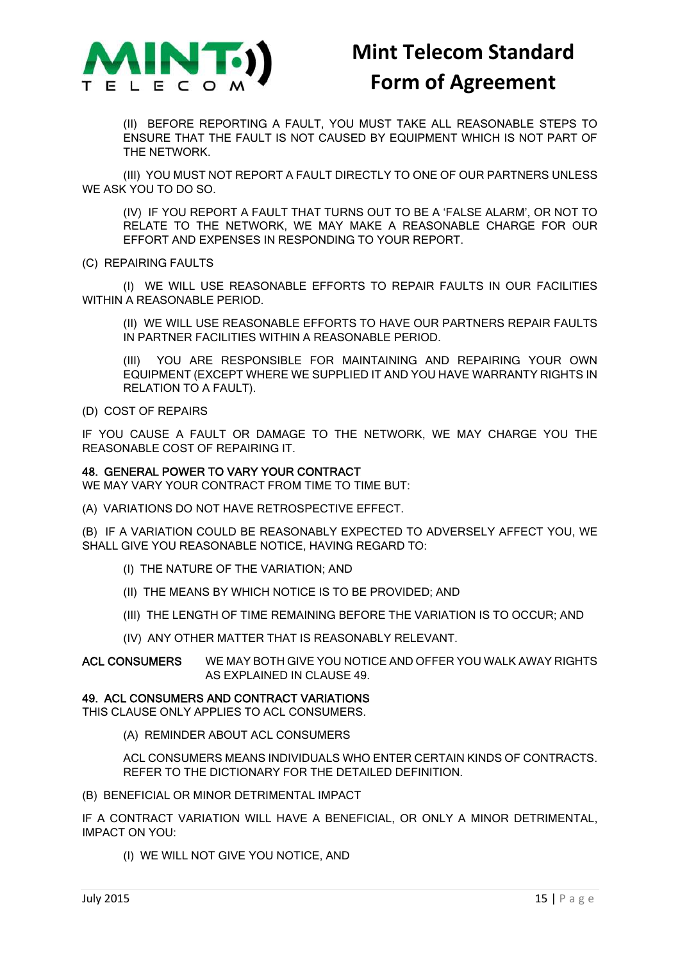

(II) BEFORE REPORTING A FAULT, YOU MUST TAKE ALL REASONABLE STEPS TO ENSURE THAT THE FAULT IS NOT CAUSED BY EQUIPMENT WHICH IS NOT PART OF THE NETWORK.

(III) YOU MUST NOT REPORT A FAULT DIRECTLY TO ONE OF OUR PARTNERS UNLESS WE ASK YOU TO DO SO.

(IV) IF YOU REPORT A FAULT THAT TURNS OUT TO BE A 'FALSE ALARM', OR NOT TO RELATE TO THE NETWORK, WE MAY MAKE A REASONABLE CHARGE FOR OUR EFFORT AND EXPENSES IN RESPONDING TO YOUR REPORT.

(C) REPAIRING FAULTS

(I) WE WILL USE REASONABLE EFFORTS TO REPAIR FAULTS IN OUR FACILITIES WITHIN A REASONABLE PERIOD.

(II) WE WILL USE REASONABLE EFFORTS TO HAVE OUR PARTNERS REPAIR FAULTS IN PARTNER FACILITIES WITHIN A REASONABLE PERIOD.

(III) YOU ARE RESPONSIBLE FOR MAINTAINING AND REPAIRING YOUR OWN EQUIPMENT (EXCEPT WHERE WE SUPPLIED IT AND YOU HAVE WARRANTY RIGHTS IN RELATION TO A FAULT).

(D) COST OF REPAIRS

IF YOU CAUSE A FAULT OR DAMAGE TO THE NETWORK, WE MAY CHARGE YOU THE REASONABLE COST OF REPAIRING IT.

### 48. GENERAL POWER TO VARY YOUR CONTRACT

WE MAY VARY YOUR CONTRACT FROM TIME TO TIME BUT:

(A) VARIATIONS DO NOT HAVE RETROSPECTIVE EFFECT.

(B) IF A VARIATION COULD BE REASONABLY EXPECTED TO ADVERSELY AFFECT YOU, WE SHALL GIVE YOU REASONABLE NOTICE, HAVING REGARD TO:

- (I) THE NATURE OF THE VARIATION; AND
- (II) THE MEANS BY WHICH NOTICE IS TO BE PROVIDED; AND
- (III) THE LENGTH OF TIME REMAINING BEFORE THE VARIATION IS TO OCCUR; AND
- (IV) ANY OTHER MATTER THAT IS REASONABLY RELEVANT.

ACL CONSUMERS WE MAY BOTH GIVE YOU NOTICE AND OFFER YOU WALK AWAY RIGHTS AS EXPLAINED IN CLAUSE 49.

#### 49. ACL CONSUMERS AND CONTRACT VARIATIONS

THIS CLAUSE ONLY APPLIES TO ACL CONSUMERS.

(A) REMINDER ABOUT ACL CONSUMERS

ACL CONSUMERS MEANS INDIVIDUALS WHO ENTER CERTAIN KINDS OF CONTRACTS. REFER TO THE DICTIONARY FOR THE DETAILED DEFINITION.

(B) BENEFICIAL OR MINOR DETRIMENTAL IMPACT

IF A CONTRACT VARIATION WILL HAVE A BENEFICIAL, OR ONLY A MINOR DETRIMENTAL, IMPACT ON YOU:

(I) WE WILL NOT GIVE YOU NOTICE, AND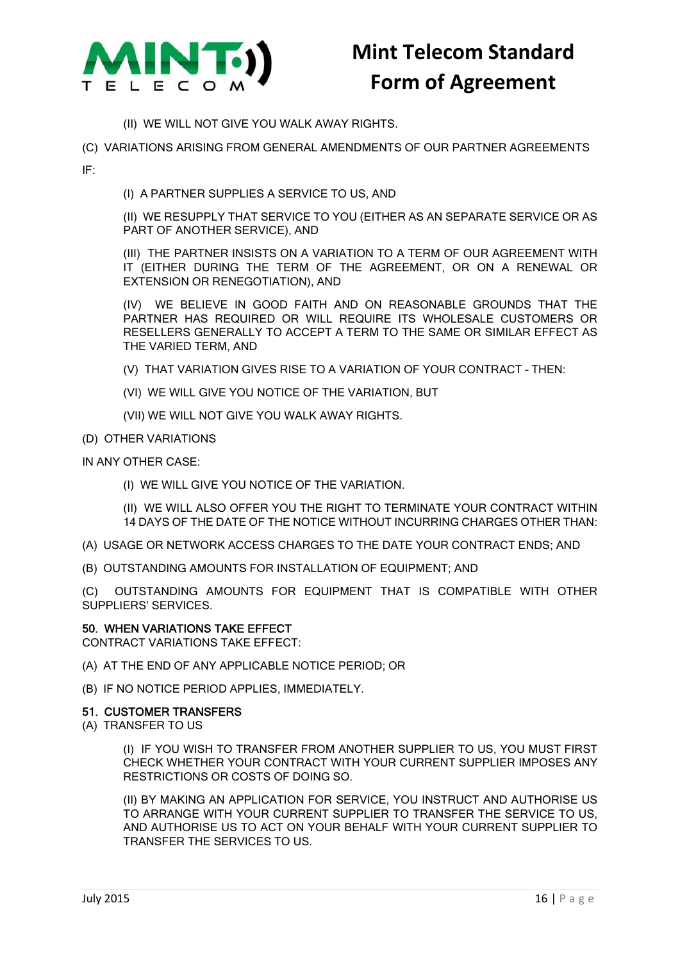

- (II) WE WILL NOT GIVE YOU WALK AWAY RIGHTS.
- (C) VARIATIONS ARISING FROM GENERAL AMENDMENTS OF OUR PARTNER AGREEMENTS

IF:

(I) A PARTNER SUPPLIES A SERVICE TO US, AND

(II) WE RESUPPLY THAT SERVICE TO YOU (EITHER AS AN SEPARATE SERVICE OR AS PART OF ANOTHER SERVICE), AND

(III) THE PARTNER INSISTS ON A VARIATION TO A TERM OF OUR AGREEMENT WITH IT (EITHER DURING THE TERM OF THE AGREEMENT, OR ON A RENEWAL OR EXTENSION OR RENEGOTIATION), AND

(IV) WE BELIEVE IN GOOD FAITH AND ON REASONABLE GROUNDS THAT THE PARTNER HAS REQUIRED OR WILL REQUIRE ITS WHOLESALE CUSTOMERS OR RESELLERS GENERALLY TO ACCEPT A TERM TO THE SAME OR SIMILAR EFFECT AS THE VARIED TERM, AND

- (V) THAT VARIATION GIVES RISE TO A VARIATION OF YOUR CONTRACT THEN:
- (VI) WE WILL GIVE YOU NOTICE OF THE VARIATION, BUT
- (VII) WE WILL NOT GIVE YOU WALK AWAY RIGHTS.
- (D) OTHER VARIATIONS
- IN ANY OTHER CASE:
	- (I) WE WILL GIVE YOU NOTICE OF THE VARIATION.
	- (II) WE WILL ALSO OFFER YOU THE RIGHT TO TERMINATE YOUR CONTRACT WITHIN 14 DAYS OF THE DATE OF THE NOTICE WITHOUT INCURRING CHARGES OTHER THAN:
- (A) USAGE OR NETWORK ACCESS CHARGES TO THE DATE YOUR CONTRACT ENDS; AND
- (B) OUTSTANDING AMOUNTS FOR INSTALLATION OF EQUIPMENT; AND

(C) OUTSTANDING AMOUNTS FOR EQUIPMENT THAT IS COMPATIBLE WITH OTHER SUPPLIERS' SERVICES.

#### 50. WHEN VARIATIONS TAKE EFFECT

CONTRACT VARIATIONS TAKE EFFECT:

- (A) AT THE END OF ANY APPLICABLE NOTICE PERIOD; OR
- (B) IF NO NOTICE PERIOD APPLIES, IMMEDIATELY.

#### 51. CUSTOMER TRANSFERS

(A) TRANSFER TO US

(I) IF YOU WISH TO TRANSFER FROM ANOTHER SUPPLIER TO US, YOU MUST FIRST CHECK WHETHER YOUR CONTRACT WITH YOUR CURRENT SUPPLIER IMPOSES ANY RESTRICTIONS OR COSTS OF DOING SO.

(II) BY MAKING AN APPLICATION FOR SERVICE, YOU INSTRUCT AND AUTHORISE US TO ARRANGE WITH YOUR CURRENT SUPPLIER TO TRANSFER THE SERVICE TO US, AND AUTHORISE US TO ACT ON YOUR BEHALF WITH YOUR CURRENT SUPPLIER TO TRANSFER THE SERVICES TO US.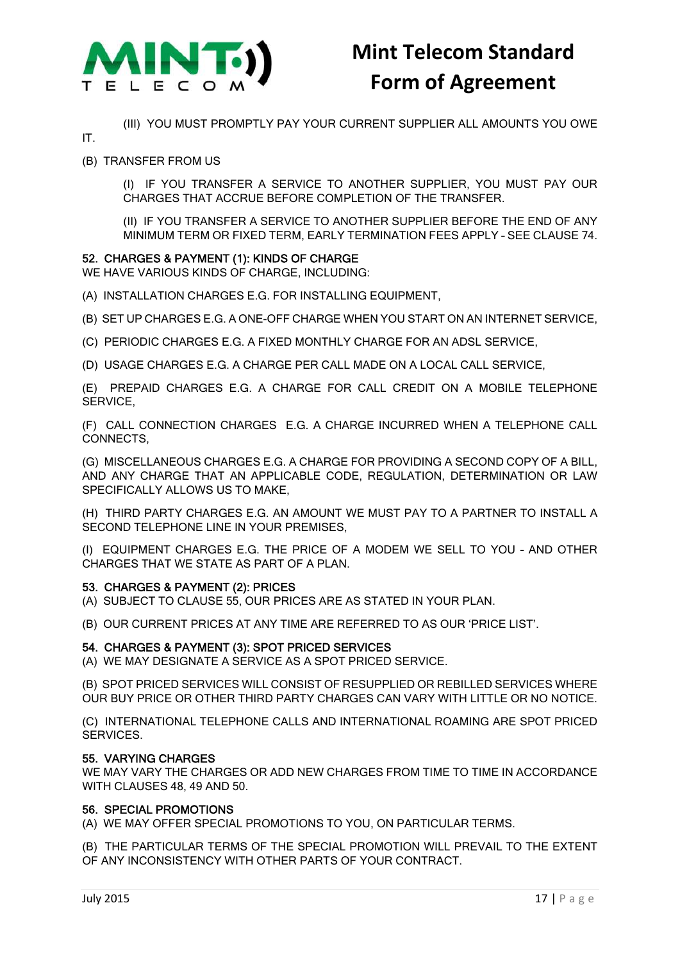

(III) YOU MUST PROMPTLY PAY YOUR CURRENT SUPPLIER ALL AMOUNTS YOU OWE

IT.

(B) TRANSFER FROM US

(I) IF YOU TRANSFER A SERVICE TO ANOTHER SUPPLIER, YOU MUST PAY OUR CHARGES THAT ACCRUE BEFORE COMPLETION OF THE TRANSFER.

(II) IF YOU TRANSFER A SERVICE TO ANOTHER SUPPLIER BEFORE THE END OF ANY MINIMUM TERM OR FIXED TERM, EARLY TERMINATION FEES APPLY – SEE CLAUSE 74.

### 52. CHARGES & PAYMENT (1): KINDS OF CHARGE

WE HAVE VARIOUS KINDS OF CHARGE, INCLUDING:

(A) INSTALLATION CHARGES E.G. FOR INSTALLING EQUIPMENT,

(B) SET UP CHARGES E.G. A ONE-OFF CHARGE WHEN YOU START ON AN INTERNET SERVICE,

(C) PERIODIC CHARGES E.G. A FIXED MONTHLY CHARGE FOR AN ADSL SERVICE,

(D) USAGE CHARGES E.G. A CHARGE PER CALL MADE ON A LOCAL CALL SERVICE,

(E) PREPAID CHARGES E.G. A CHARGE FOR CALL CREDIT ON A MOBILE TELEPHONE SERVICE,

(F) CALL CONNECTION CHARGES E.G. A CHARGE INCURRED WHEN A TELEPHONE CALL CONNECTS,

(G) MISCELLANEOUS CHARGES E.G. A CHARGE FOR PROVIDING A SECOND COPY OF A BILL, AND ANY CHARGE THAT AN APPLICABLE CODE, REGULATION, DETERMINATION OR LAW SPECIFICALLY ALLOWS US TO MAKE,

(H) THIRD PARTY CHARGES E.G. AN AMOUNT WE MUST PAY TO A PARTNER TO INSTALL A SECOND TELEPHONE LINE IN YOUR PREMISES,

(I) EQUIPMENT CHARGES E.G. THE PRICE OF A MODEM WE SELL TO YOU – AND OTHER CHARGES THAT WE STATE AS PART OF A PLAN.

### 53. CHARGES & PAYMENT (2): PRICES

(A) SUBJECT TO CLAUSE 55, OUR PRICES ARE AS STATED IN YOUR PLAN.

(B) OUR CURRENT PRICES AT ANY TIME ARE REFERRED TO AS OUR 'PRICE LIST'.

### 54. CHARGES & PAYMENT (3): SPOT PRICED SERVICES

(A) WE MAY DESIGNATE A SERVICE AS A SPOT PRICED SERVICE.

(B) SPOT PRICED SERVICES WILL CONSIST OF RESUPPLIED OR REBILLED SERVICES WHERE OUR BUY PRICE OR OTHER THIRD PARTY CHARGES CAN VARY WITH LITTLE OR NO NOTICE.

(C) INTERNATIONAL TELEPHONE CALLS AND INTERNATIONAL ROAMING ARE SPOT PRICED SERVICES.

### 55. VARYING CHARGES

WE MAY VARY THE CHARGES OR ADD NEW CHARGES FROM TIME TO TIME IN ACCORDANCE WITH CLAUSES 48, 49 AND 50.

### 56. SPECIAL PROMOTIONS

(A) WE MAY OFFER SPECIAL PROMOTIONS TO YOU, ON PARTICULAR TERMS.

(B) THE PARTICULAR TERMS OF THE SPECIAL PROMOTION WILL PREVAIL TO THE EXTENT OF ANY INCONSISTENCY WITH OTHER PARTS OF YOUR CONTRACT.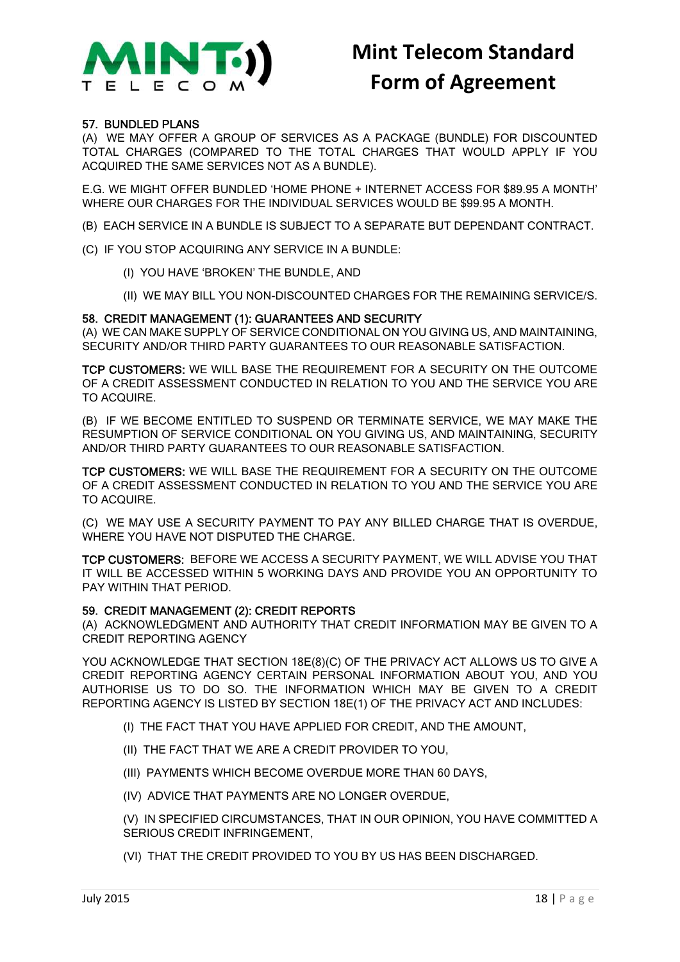

### 57. BUNDLED PLANS

(A) WE MAY OFFER A GROUP OF SERVICES AS A PACKAGE (BUNDLE) FOR DISCOUNTED TOTAL CHARGES (COMPARED TO THE TOTAL CHARGES THAT WOULD APPLY IF YOU ACQUIRED THE SAME SERVICES NOT AS A BUNDLE).

E.G. WE MIGHT OFFER BUNDLED 'HOME PHONE + INTERNET ACCESS FOR \$89.95 A MONTH' WHERE OUR CHARGES FOR THE INDIVIDUAL SERVICES WOULD BE \$99.95 A MONTH.

- (B) EACH SERVICE IN A BUNDLE IS SUBJECT TO A SEPARATE BUT DEPENDANT CONTRACT.
- (C) IF YOU STOP ACQUIRING ANY SERVICE IN A BUNDLE:
	- (I) YOU HAVE 'BROKEN' THE BUNDLE, AND
	- (II) WE MAY BILL YOU NON-DISCOUNTED CHARGES FOR THE REMAINING SERVICE/S.

### 58. CREDIT MANAGEMENT (1): GUARANTEES AND SECURITY

(A) WE CAN MAKE SUPPLY OF SERVICE CONDITIONAL ON YOU GIVING US, AND MAINTAINING, SECURITY AND/OR THIRD PARTY GUARANTEES TO OUR REASONABLE SATISFACTION.

TCP CUSTOMERS: WE WILL BASE THE REQUIREMENT FOR A SECURITY ON THE OUTCOME OF A CREDIT ASSESSMENT CONDUCTED IN RELATION TO YOU AND THE SERVICE YOU ARE TO ACQUIRE.

(B) IF WE BECOME ENTITLED TO SUSPEND OR TERMINATE SERVICE, WE MAY MAKE THE RESUMPTION OF SERVICE CONDITIONAL ON YOU GIVING US, AND MAINTAINING, SECURITY AND/OR THIRD PARTY GUARANTEES TO OUR REASONABLE SATISFACTION.

TCP CUSTOMERS: WE WILL BASE THE REQUIREMENT FOR A SECURITY ON THE OUTCOME OF A CREDIT ASSESSMENT CONDUCTED IN RELATION TO YOU AND THE SERVICE YOU ARE TO ACQUIRE.

(C) WE MAY USE A SECURITY PAYMENT TO PAY ANY BILLED CHARGE THAT IS OVERDUE, WHERE YOU HAVE NOT DISPUTED THE CHARGE.

TCP CUSTOMERS: BEFORE WE ACCESS A SECURITY PAYMENT, WE WILL ADVISE YOU THAT IT WILL BE ACCESSED WITHIN 5 WORKING DAYS AND PROVIDE YOU AN OPPORTUNITY TO PAY WITHIN THAT PERIOD.

### 59. CREDIT MANAGEMENT (2): CREDIT REPORTS

(A) ACKNOWLEDGMENT AND AUTHORITY THAT CREDIT INFORMATION MAY BE GIVEN TO A CREDIT REPORTING AGENCY

YOU ACKNOWLEDGE THAT SECTION 18E(8)(C) OF THE PRIVACY ACT ALLOWS US TO GIVE A CREDIT REPORTING AGENCY CERTAIN PERSONAL INFORMATION ABOUT YOU, AND YOU AUTHORISE US TO DO SO. THE INFORMATION WHICH MAY BE GIVEN TO A CREDIT REPORTING AGENCY IS LISTED BY SECTION 18E(1) OF THE PRIVACY ACT AND INCLUDES:

- (I) THE FACT THAT YOU HAVE APPLIED FOR CREDIT, AND THE AMOUNT,
- (II) THE FACT THAT WE ARE A CREDIT PROVIDER TO YOU,
- (III) PAYMENTS WHICH BECOME OVERDUE MORE THAN 60 DAYS,
- (IV) ADVICE THAT PAYMENTS ARE NO LONGER OVERDUE,

(V) IN SPECIFIED CIRCUMSTANCES, THAT IN OUR OPINION, YOU HAVE COMMITTED A SERIOUS CREDIT INFRINGEMENT,

(VI) THAT THE CREDIT PROVIDED TO YOU BY US HAS BEEN DISCHARGED.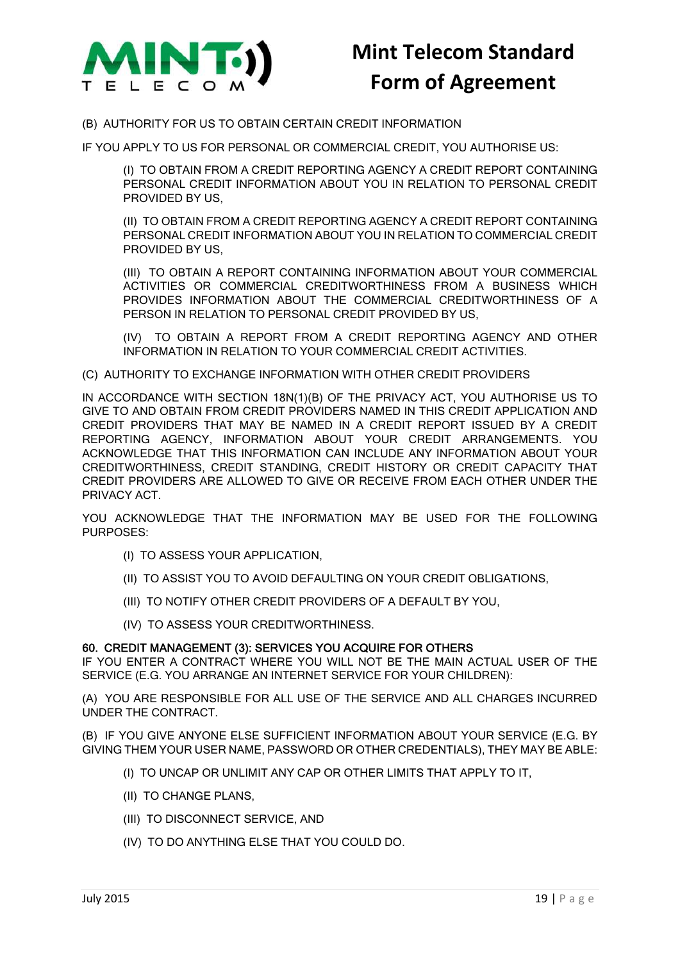

(B) AUTHORITY FOR US TO OBTAIN CERTAIN CREDIT INFORMATION

IF YOU APPLY TO US FOR PERSONAL OR COMMERCIAL CREDIT, YOU AUTHORISE US:

(I) TO OBTAIN FROM A CREDIT REPORTING AGENCY A CREDIT REPORT CONTAINING PERSONAL CREDIT INFORMATION ABOUT YOU IN RELATION TO PERSONAL CREDIT PROVIDED BY US,

(II) TO OBTAIN FROM A CREDIT REPORTING AGENCY A CREDIT REPORT CONTAINING PERSONAL CREDIT INFORMATION ABOUT YOU IN RELATION TO COMMERCIAL CREDIT PROVIDED BY US,

(III) TO OBTAIN A REPORT CONTAINING INFORMATION ABOUT YOUR COMMERCIAL ACTIVITIES OR COMMERCIAL CREDITWORTHINESS FROM A BUSINESS WHICH PROVIDES INFORMATION ABOUT THE COMMERCIAL CREDITWORTHINESS OF A PERSON IN RELATION TO PERSONAL CREDIT PROVIDED BY US,

(IV) TO OBTAIN A REPORT FROM A CREDIT REPORTING AGENCY AND OTHER INFORMATION IN RELATION TO YOUR COMMERCIAL CREDIT ACTIVITIES.

(C) AUTHORITY TO EXCHANGE INFORMATION WITH OTHER CREDIT PROVIDERS

IN ACCORDANCE WITH SECTION 18N(1)(B) OF THE PRIVACY ACT, YOU AUTHORISE US TO GIVE TO AND OBTAIN FROM CREDIT PROVIDERS NAMED IN THIS CREDIT APPLICATION AND CREDIT PROVIDERS THAT MAY BE NAMED IN A CREDIT REPORT ISSUED BY A CREDIT REPORTING AGENCY, INFORMATION ABOUT YOUR CREDIT ARRANGEMENTS. YOU ACKNOWLEDGE THAT THIS INFORMATION CAN INCLUDE ANY INFORMATION ABOUT YOUR CREDITWORTHINESS, CREDIT STANDING, CREDIT HISTORY OR CREDIT CAPACITY THAT CREDIT PROVIDERS ARE ALLOWED TO GIVE OR RECEIVE FROM EACH OTHER UNDER THE PRIVACY ACT.

YOU ACKNOWLEDGE THAT THE INFORMATION MAY BE USED FOR THE FOLLOWING PURPOSES:

- (I) TO ASSESS YOUR APPLICATION,
- (II) TO ASSIST YOU TO AVOID DEFAULTING ON YOUR CREDIT OBLIGATIONS,
- (III) TO NOTIFY OTHER CREDIT PROVIDERS OF A DEFAULT BY YOU,
- (IV) TO ASSESS YOUR CREDITWORTHINESS.

#### 60. CREDIT MANAGEMENT (3): SERVICES YOU ACQUIRE FOR OTHERS

IF YOU ENTER A CONTRACT WHERE YOU WILL NOT BE THE MAIN ACTUAL USER OF THE SERVICE (E.G. YOU ARRANGE AN INTERNET SERVICE FOR YOUR CHILDREN):

(A) YOU ARE RESPONSIBLE FOR ALL USE OF THE SERVICE AND ALL CHARGES INCURRED UNDER THE CONTRACT.

(B) IF YOU GIVE ANYONE ELSE SUFFICIENT INFORMATION ABOUT YOUR SERVICE (E.G. BY GIVING THEM YOUR USER NAME, PASSWORD OR OTHER CREDENTIALS), THEY MAY BE ABLE:

- (I) TO UNCAP OR UNLIMIT ANY CAP OR OTHER LIMITS THAT APPLY TO IT,
- (II) TO CHANGE PLANS,
- (III) TO DISCONNECT SERVICE, AND
- (IV) TO DO ANYTHING ELSE THAT YOU COULD DO.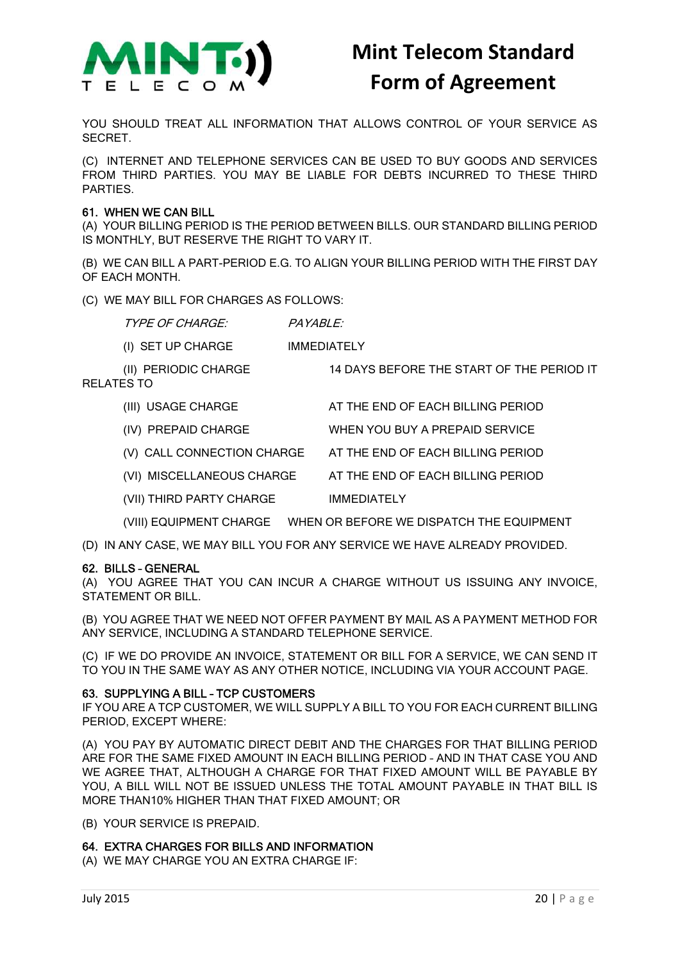

YOU SHOULD TREAT ALL INFORMATION THAT ALLOWS CONTROL OF YOUR SERVICE AS SECRET.

(C) INTERNET AND TELEPHONE SERVICES CAN BE USED TO BUY GOODS AND SERVICES FROM THIRD PARTIES. YOU MAY BE LIABLE FOR DEBTS INCURRED TO THESE THIRD PARTIES.

### 61. WHEN WE CAN BILL

(A) YOUR BILLING PERIOD IS THE PERIOD BETWEEN BILLS. OUR STANDARD BILLING PERIOD IS MONTHLY, BUT RESERVE THE RIGHT TO VARY IT.

(B) WE CAN BILL A PART-PERIOD E.G. TO ALIGN YOUR BILLING PERIOD WITH THE FIRST DAY OF EACH MONTH.

(C) WE MAY BILL FOR CHARGES AS FOLLOWS:

TYPE OF CHARGE: PAYABLE:

(I) SET UP CHARGE IMMEDIATELY

(II) PERIODIC CHARGE 14 DAYS BEFORE THE START OF THE PERIOD IT

RELATES TO

- (III) USAGE CHARGE AT THE END OF EACH BILLING PERIOD
- (IV) PREPAID CHARGE WHEN YOU BUY A PREPAID SERVICE
- (V) CALL CONNECTION CHARGE AT THE END OF EACH BILLING PERIOD
- (VI) MISCELLANEOUS CHARGE AT THE END OF EACH BILLING PERIOD
- (VII) THIRD PARTY CHARGE IMMEDIATELY

(VIII) EQUIPMENT CHARGE WHEN OR BEFORE WE DISPATCH THE EQUIPMENT

(D) IN ANY CASE, WE MAY BILL YOU FOR ANY SERVICE WE HAVE ALREADY PROVIDED.

### 62. BILLS – GENERAL

(A) YOU AGREE THAT YOU CAN INCUR A CHARGE WITHOUT US ISSUING ANY INVOICE, STATEMENT OR BILL.

(B) YOU AGREE THAT WE NEED NOT OFFER PAYMENT BY MAIL AS A PAYMENT METHOD FOR ANY SERVICE, INCLUDING A STANDARD TELEPHONE SERVICE.

(C) IF WE DO PROVIDE AN INVOICE, STATEMENT OR BILL FOR A SERVICE, WE CAN SEND IT TO YOU IN THE SAME WAY AS ANY OTHER NOTICE, INCLUDING VIA YOUR ACCOUNT PAGE.

### 63. SUPPLYING A BILL – TCP CUSTOMERS

IF YOU ARE A TCP CUSTOMER, WE WILL SUPPLY A BILL TO YOU FOR EACH CURRENT BILLING PERIOD, EXCEPT WHERE:

(A) YOU PAY BY AUTOMATIC DIRECT DEBIT AND THE CHARGES FOR THAT BILLING PERIOD ARE FOR THE SAME FIXED AMOUNT IN EACH BILLING PERIOD – AND IN THAT CASE YOU AND WE AGREE THAT, ALTHOUGH A CHARGE FOR THAT FIXED AMOUNT WILL BE PAYABLE BY YOU, A BILL WILL NOT BE ISSUED UNLESS THE TOTAL AMOUNT PAYABLE IN THAT BILL IS MORE THAN10% HIGHER THAN THAT FIXED AMOUNT; OR

(B) YOUR SERVICE IS PREPAID.

### 64. EXTRA CHARGES FOR BILLS AND INFORMATION

(A) WE MAY CHARGE YOU AN EXTRA CHARGE IF: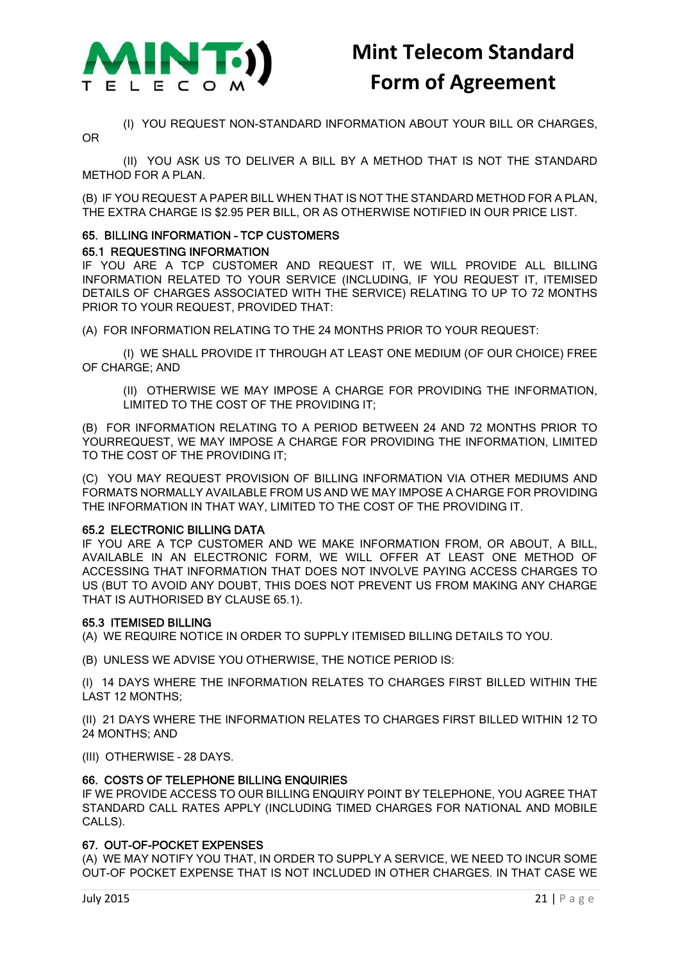

(I) YOU REQUEST NON-STANDARD INFORMATION ABOUT YOUR BILL OR CHARGES,

OR

(II) YOU ASK US TO DELIVER A BILL BY A METHOD THAT IS NOT THE STANDARD METHOD FOR A PLAN.

(B) IF YOU REQUEST A PAPER BILL WHEN THAT IS NOT THE STANDARD METHOD FOR A PLAN, THE EXTRA CHARGE IS \$2.95 PER BILL, OR AS OTHERWISE NOTIFIED IN OUR PRICE LIST.

### 65. BILLING INFORMATION – TCP CUSTOMERS

### 65.1 REQUESTING INFORMATION

IF YOU ARE A TCP CUSTOMER AND REQUEST IT, WE WILL PROVIDE ALL BILLING INFORMATION RELATED TO YOUR SERVICE (INCLUDING, IF YOU REQUEST IT, ITEMISED DETAILS OF CHARGES ASSOCIATED WITH THE SERVICE) RELATING TO UP TO 72 MONTHS PRIOR TO YOUR REQUEST, PROVIDED THAT:

(A) FOR INFORMATION RELATING TO THE 24 MONTHS PRIOR TO YOUR REQUEST:

(I) WE SHALL PROVIDE IT THROUGH AT LEAST ONE MEDIUM (OF OUR CHOICE) FREE OF CHARGE; AND

(II) OTHERWISE WE MAY IMPOSE A CHARGE FOR PROVIDING THE INFORMATION, LIMITED TO THE COST OF THE PROVIDING IT;

(B) FOR INFORMATION RELATING TO A PERIOD BETWEEN 24 AND 72 MONTHS PRIOR TO YOURREQUEST, WE MAY IMPOSE A CHARGE FOR PROVIDING THE INFORMATION, LIMITED TO THE COST OF THE PROVIDING IT;

(C) YOU MAY REQUEST PROVISION OF BILLING INFORMATION VIA OTHER MEDIUMS AND FORMATS NORMALLY AVAILABLE FROM US AND WE MAY IMPOSE A CHARGE FOR PROVIDING THE INFORMATION IN THAT WAY, LIMITED TO THE COST OF THE PROVIDING IT.

### 65.2 ELECTRONIC BILLING DATA

IF YOU ARE A TCP CUSTOMER AND WE MAKE INFORMATION FROM, OR ABOUT, A BILL, AVAILABLE IN AN ELECTRONIC FORM, WE WILL OFFER AT LEAST ONE METHOD OF ACCESSING THAT INFORMATION THAT DOES NOT INVOLVE PAYING ACCESS CHARGES TO US (BUT TO AVOID ANY DOUBT, THIS DOES NOT PREVENT US FROM MAKING ANY CHARGE THAT IS AUTHORISED BY CLAUSE 65.1).

### 65.3 ITEMISED BILLING

(A) WE REQUIRE NOTICE IN ORDER TO SUPPLY ITEMISED BILLING DETAILS TO YOU.

(B) UNLESS WE ADVISE YOU OTHERWISE, THE NOTICE PERIOD IS:

(I) 14 DAYS WHERE THE INFORMATION RELATES TO CHARGES FIRST BILLED WITHIN THE LAST 12 MONTHS;

(II) 21 DAYS WHERE THE INFORMATION RELATES TO CHARGES FIRST BILLED WITHIN 12 TO 24 MONTHS; AND

(III) OTHERWISE – 28 DAYS.

### 66. COSTS OF TELEPHONE BILLING ENQUIRIES

IF WE PROVIDE ACCESS TO OUR BILLING ENQUIRY POINT BY TELEPHONE, YOU AGREE THAT STANDARD CALL RATES APPLY (INCLUDING TIMED CHARGES FOR NATIONAL AND MOBILE CALLS).

### 67. OUT-OF-POCKET EXPENSES

(A) WE MAY NOTIFY YOU THAT, IN ORDER TO SUPPLY A SERVICE, WE NEED TO INCUR SOME OUT-OF POCKET EXPENSE THAT IS NOT INCLUDED IN OTHER CHARGES. IN THAT CASE WE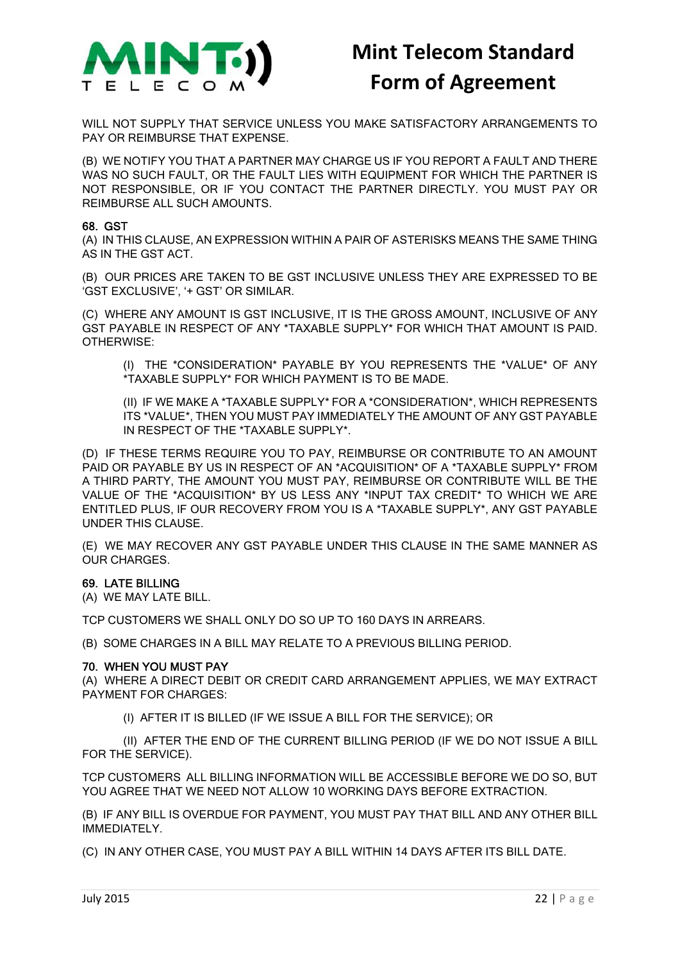

WILL NOT SUPPLY THAT SERVICE UNLESS YOU MAKE SATISFACTORY ARRANGEMENTS TO PAY OR REIMBURSE THAT EXPENSE.

(B) WE NOTIFY YOU THAT A PARTNER MAY CHARGE US IF YOU REPORT A FAULT AND THERE WAS NO SUCH FAULT, OR THE FAULT LIES WITH EQUIPMENT FOR WHICH THE PARTNER IS NOT RESPONSIBLE, OR IF YOU CONTACT THE PARTNER DIRECTLY. YOU MUST PAY OR REIMBURSE ALL SUCH AMOUNTS.

#### 68. GST

(A) IN THIS CLAUSE, AN EXPRESSION WITHIN A PAIR OF ASTERISKS MEANS THE SAME THING AS IN THE GST ACT.

(B) OUR PRICES ARE TAKEN TO BE GST INCLUSIVE UNLESS THEY ARE EXPRESSED TO BE 'GST EXCLUSIVE', '+ GST' OR SIMILAR.

(C) WHERE ANY AMOUNT IS GST INCLUSIVE, IT IS THE GROSS AMOUNT, INCLUSIVE OF ANY GST PAYABLE IN RESPECT OF ANY \*TAXABLE SUPPLY\* FOR WHICH THAT AMOUNT IS PAID. OTHERWISE:

(I) THE \*CONSIDERATION\* PAYABLE BY YOU REPRESENTS THE \*VALUE\* OF ANY \*TAXABLE SUPPLY\* FOR WHICH PAYMENT IS TO BE MADE.

(II) IF WE MAKE A \*TAXABLE SUPPLY\* FOR A \*CONSIDERATION\*, WHICH REPRESENTS ITS \*VALUE\*, THEN YOU MUST PAY IMMEDIATELY THE AMOUNT OF ANY GST PAYABLE IN RESPECT OF THE \*TAXABLE SUPPLY\*.

(D) IF THESE TERMS REQUIRE YOU TO PAY, REIMBURSE OR CONTRIBUTE TO AN AMOUNT PAID OR PAYABLE BY US IN RESPECT OF AN \*ACQUISITION\* OF A \*TAXABLE SUPPLY\* FROM A THIRD PARTY, THE AMOUNT YOU MUST PAY, REIMBURSE OR CONTRIBUTE WILL BE THE VALUE OF THE \*ACQUISITION\* BY US LESS ANY \*INPUT TAX CREDIT\* TO WHICH WE ARE ENTITLED PLUS, IF OUR RECOVERY FROM YOU IS A \*TAXABLE SUPPLY\*, ANY GST PAYABLE UNDER THIS CLAUSE.

(E) WE MAY RECOVER ANY GST PAYABLE UNDER THIS CLAUSE IN THE SAME MANNER AS OUR CHARGES.

### 69. LATE BILLING

(A) WE MAY LATE BILL.

TCP CUSTOMERS WE SHALL ONLY DO SO UP TO 160 DAYS IN ARREARS.

(B) SOME CHARGES IN A BILL MAY RELATE TO A PREVIOUS BILLING PERIOD.

#### 70. WHEN YOU MUST PAY

(A) WHERE A DIRECT DEBIT OR CREDIT CARD ARRANGEMENT APPLIES, WE MAY EXTRACT PAYMENT FOR CHARGES:

(I) AFTER IT IS BILLED (IF WE ISSUE A BILL FOR THE SERVICE); OR

(II) AFTER THE END OF THE CURRENT BILLING PERIOD (IF WE DO NOT ISSUE A BILL FOR THE SERVICE).

TCP CUSTOMERS ALL BILLING INFORMATION WILL BE ACCESSIBLE BEFORE WE DO SO, BUT YOU AGREE THAT WE NEED NOT ALLOW 10 WORKING DAYS BEFORE EXTRACTION.

(B) IF ANY BILL IS OVERDUE FOR PAYMENT, YOU MUST PAY THAT BILL AND ANY OTHER BILL IMMEDIATELY.

(C) IN ANY OTHER CASE, YOU MUST PAY A BILL WITHIN 14 DAYS AFTER ITS BILL DATE.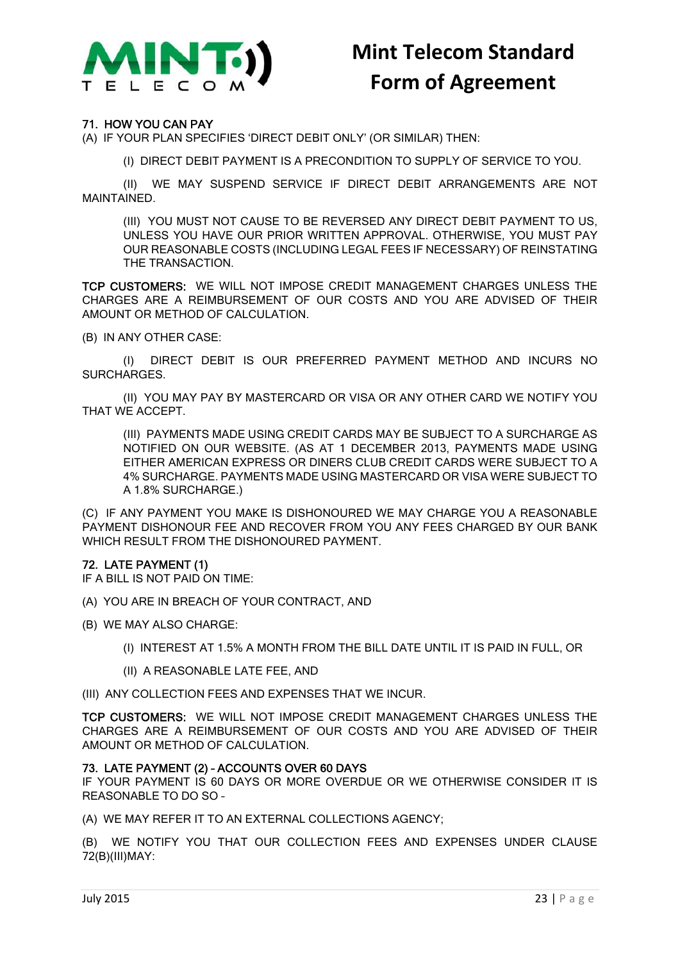

### 71. HOW YOU CAN PAY

(A) IF YOUR PLAN SPECIFIES 'DIRECT DEBIT ONLY' (OR SIMILAR) THEN:

(I) DIRECT DEBIT PAYMENT IS A PRECONDITION TO SUPPLY OF SERVICE TO YOU.

(II) WE MAY SUSPEND SERVICE IF DIRECT DEBIT ARRANGEMENTS ARE NOT MAINTAINED.

(III) YOU MUST NOT CAUSE TO BE REVERSED ANY DIRECT DEBIT PAYMENT TO US, UNLESS YOU HAVE OUR PRIOR WRITTEN APPROVAL. OTHERWISE, YOU MUST PAY OUR REASONABLE COSTS (INCLUDING LEGAL FEES IF NECESSARY) OF REINSTATING THE TRANSACTION.

TCP CUSTOMERS: WE WILL NOT IMPOSE CREDIT MANAGEMENT CHARGES UNLESS THE CHARGES ARE A REIMBURSEMENT OF OUR COSTS AND YOU ARE ADVISED OF THEIR AMOUNT OR METHOD OF CALCULATION.

(B) IN ANY OTHER CASE:

(I) DIRECT DEBIT IS OUR PREFERRED PAYMENT METHOD AND INCURS NO SURCHARGES.

(II) YOU MAY PAY BY MASTERCARD OR VISA OR ANY OTHER CARD WE NOTIFY YOU THAT WE ACCEPT.

(III) PAYMENTS MADE USING CREDIT CARDS MAY BE SUBJECT TO A SURCHARGE AS NOTIFIED ON OUR WEBSITE. (AS AT 1 DECEMBER 2013, PAYMENTS MADE USING EITHER AMERICAN EXPRESS OR DINERS CLUB CREDIT CARDS WERE SUBJECT TO A 4% SURCHARGE. PAYMENTS MADE USING MASTERCARD OR VISA WERE SUBJECT TO A 1.8% SURCHARGE.)

(C) IF ANY PAYMENT YOU MAKE IS DISHONOURED WE MAY CHARGE YOU A REASONABLE PAYMENT DISHONOUR FEE AND RECOVER FROM YOU ANY FEES CHARGED BY OUR BANK WHICH RESULT FROM THE DISHONOURED PAYMENT.

### 72. LATE PAYMENT (1)

IF A BILL IS NOT PAID ON TIME:

- (A) YOU ARE IN BREACH OF YOUR CONTRACT, AND
- (B) WE MAY ALSO CHARGE:
	- (I) INTEREST AT 1.5% A MONTH FROM THE BILL DATE UNTIL IT IS PAID IN FULL, OR
	- (II) A REASONABLE LATE FEE, AND

(III) ANY COLLECTION FEES AND EXPENSES THAT WE INCUR.

TCP CUSTOMERS: WE WILL NOT IMPOSE CREDIT MANAGEMENT CHARGES UNLESS THE CHARGES ARE A REIMBURSEMENT OF OUR COSTS AND YOU ARE ADVISED OF THEIR AMOUNT OR METHOD OF CALCULATION.

### 73. LATE PAYMENT (2) – ACCOUNTS OVER 60 DAYS

IF YOUR PAYMENT IS 60 DAYS OR MORE OVERDUE OR WE OTHERWISE CONSIDER IT IS REASONABLE TO DO SO –

(A) WE MAY REFER IT TO AN EXTERNAL COLLECTIONS AGENCY;

(B) WE NOTIFY YOU THAT OUR COLLECTION FEES AND EXPENSES UNDER CLAUSE 72(B)(III)MAY: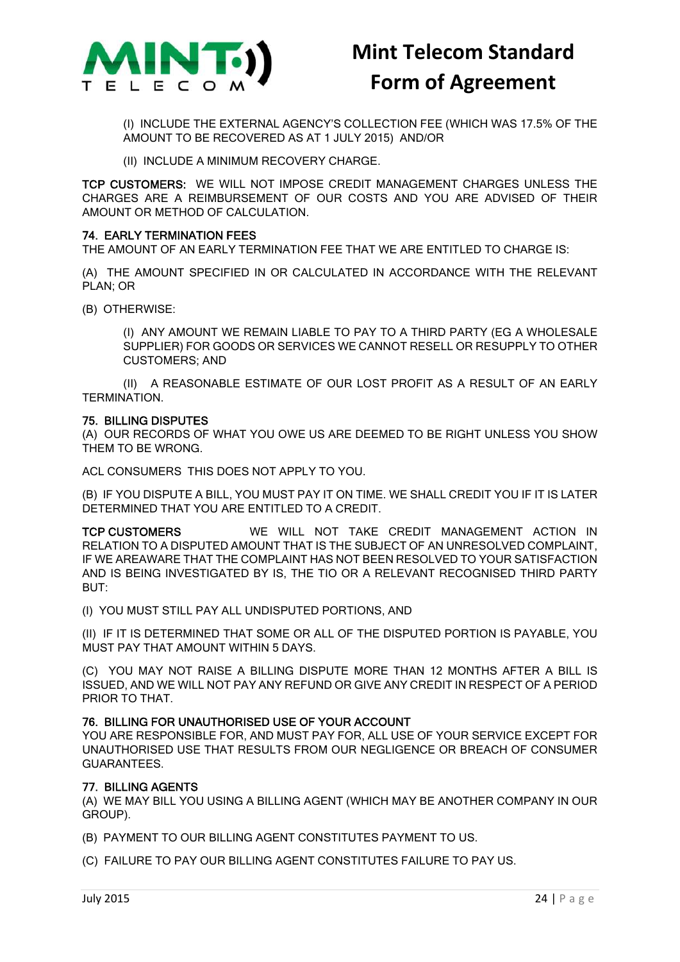

(I) INCLUDE THE EXTERNAL AGENCY'S COLLECTION FEE (WHICH WAS 17.5% OF THE AMOUNT TO BE RECOVERED AS AT 1 JULY 2015) AND/OR

(II) INCLUDE A MINIMUM RECOVERY CHARGE.

TCP CUSTOMERS: WE WILL NOT IMPOSE CREDIT MANAGEMENT CHARGES UNLESS THE CHARGES ARE A REIMBURSEMENT OF OUR COSTS AND YOU ARE ADVISED OF THEIR AMOUNT OR METHOD OF CALCULATION.

### 74. EARLY TERMINATION FEES

THE AMOUNT OF AN EARLY TERMINATION FEE THAT WE ARE ENTITLED TO CHARGE IS:

(A) THE AMOUNT SPECIFIED IN OR CALCULATED IN ACCORDANCE WITH THE RELEVANT PLAN; OR

(B) OTHERWISE:

(I) ANY AMOUNT WE REMAIN LIABLE TO PAY TO A THIRD PARTY (EG A WHOLESALE SUPPLIER) FOR GOODS OR SERVICES WE CANNOT RESELL OR RESUPPLY TO OTHER CUSTOMERS; AND

(II) A REASONABLE ESTIMATE OF OUR LOST PROFIT AS A RESULT OF AN EARLY TERMINATION.

### 75. BILLING DISPUTES

(A) OUR RECORDS OF WHAT YOU OWE US ARE DEEMED TO BE RIGHT UNLESS YOU SHOW THEM TO BE WRONG.

ACL CONSUMERS THIS DOES NOT APPLY TO YOU.

(B) IF YOU DISPUTE A BILL, YOU MUST PAY IT ON TIME. WE SHALL CREDIT YOU IF IT IS LATER DETERMINED THAT YOU ARE ENTITLED TO A CREDIT.

TCP CUSTOMERS WE WILL NOT TAKE CREDIT MANAGEMENT ACTION IN RELATION TO A DISPUTED AMOUNT THAT IS THE SUBJECT OF AN UNRESOLVED COMPLAINT, IF WE AREAWARE THAT THE COMPLAINT HAS NOT BEEN RESOLVED TO YOUR SATISFACTION AND IS BEING INVESTIGATED BY IS, THE TIO OR A RELEVANT RECOGNISED THIRD PARTY BUT:

(I) YOU MUST STILL PAY ALL UNDISPUTED PORTIONS, AND

(II) IF IT IS DETERMINED THAT SOME OR ALL OF THE DISPUTED PORTION IS PAYABLE, YOU MUST PAY THAT AMOUNT WITHIN 5 DAYS.

(C) YOU MAY NOT RAISE A BILLING DISPUTE MORE THAN 12 MONTHS AFTER A BILL IS ISSUED, AND WE WILL NOT PAY ANY REFUND OR GIVE ANY CREDIT IN RESPECT OF A PERIOD PRIOR TO THAT.

### 76. BILLING FOR UNAUTHORISED USE OF YOUR ACCOUNT

YOU ARE RESPONSIBLE FOR, AND MUST PAY FOR, ALL USE OF YOUR SERVICE EXCEPT FOR UNAUTHORISED USE THAT RESULTS FROM OUR NEGLIGENCE OR BREACH OF CONSUMER GUARANTEES.

### 77. BILLING AGENTS

(A) WE MAY BILL YOU USING A BILLING AGENT (WHICH MAY BE ANOTHER COMPANY IN OUR GROUP).

(B) PAYMENT TO OUR BILLING AGENT CONSTITUTES PAYMENT TO US.

(C) FAILURE TO PAY OUR BILLING AGENT CONSTITUTES FAILURE TO PAY US.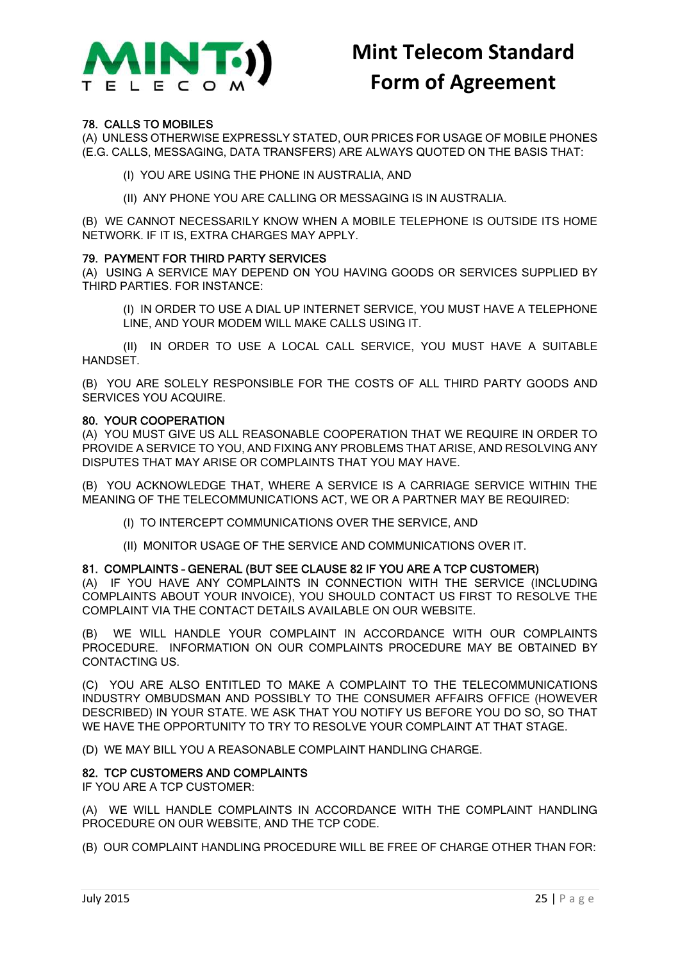

### 78. CALLS TO MOBILES

(A) UNLESS OTHERWISE EXPRESSLY STATED, OUR PRICES FOR USAGE OF MOBILE PHONES (E.G. CALLS, MESSAGING, DATA TRANSFERS) ARE ALWAYS QUOTED ON THE BASIS THAT:

(I) YOU ARE USING THE PHONE IN AUSTRALIA, AND

(II) ANY PHONE YOU ARE CALLING OR MESSAGING IS IN AUSTRALIA.

(B) WE CANNOT NECESSARILY KNOW WHEN A MOBILE TELEPHONE IS OUTSIDE ITS HOME NETWORK. IF IT IS, EXTRA CHARGES MAY APPLY.

### 79. PAYMENT FOR THIRD PARTY SERVICES

(A) USING A SERVICE MAY DEPEND ON YOU HAVING GOODS OR SERVICES SUPPLIED BY THIRD PARTIES. FOR INSTANCE:

(I) IN ORDER TO USE A DIAL UP INTERNET SERVICE, YOU MUST HAVE A TELEPHONE LINE, AND YOUR MODEM WILL MAKE CALLS USING IT.

(II) IN ORDER TO USE A LOCAL CALL SERVICE, YOU MUST HAVE A SUITABLE **HANDSFT.** 

(B) YOU ARE SOLELY RESPONSIBLE FOR THE COSTS OF ALL THIRD PARTY GOODS AND SERVICES YOU ACQUIRE.

#### 80. YOUR COOPERATION

(A) YOU MUST GIVE US ALL REASONABLE COOPERATION THAT WE REQUIRE IN ORDER TO PROVIDE A SERVICE TO YOU, AND FIXING ANY PROBLEMS THAT ARISE, AND RESOLVING ANY DISPUTES THAT MAY ARISE OR COMPLAINTS THAT YOU MAY HAVE.

(B) YOU ACKNOWLEDGE THAT, WHERE A SERVICE IS A CARRIAGE SERVICE WITHIN THE MEANING OF THE TELECOMMUNICATIONS ACT, WE OR A PARTNER MAY BE REQUIRED:

- (I) TO INTERCEPT COMMUNICATIONS OVER THE SERVICE, AND
- (II) MONITOR USAGE OF THE SERVICE AND COMMUNICATIONS OVER IT.

### 81. COMPLAINTS – GENERAL (BUT SEE CLAUSE 82 IF YOU ARE A TCP CUSTOMER)

(A) IF YOU HAVE ANY COMPLAINTS IN CONNECTION WITH THE SERVICE (INCLUDING COMPLAINTS ABOUT YOUR INVOICE), YOU SHOULD CONTACT US FIRST TO RESOLVE THE COMPLAINT VIA THE CONTACT DETAILS AVAILABLE ON OUR WEBSITE.

(B) WE WILL HANDLE YOUR COMPLAINT IN ACCORDANCE WITH OUR COMPLAINTS PROCEDURE. INFORMATION ON OUR COMPLAINTS PROCEDURE MAY BE OBTAINED BY CONTACTING US.

(C) YOU ARE ALSO ENTITLED TO MAKE A COMPLAINT TO THE TELECOMMUNICATIONS INDUSTRY OMBUDSMAN AND POSSIBLY TO THE CONSUMER AFFAIRS OFFICE (HOWEVER DESCRIBED) IN YOUR STATE. WE ASK THAT YOU NOTIFY US BEFORE YOU DO SO, SO THAT WE HAVE THE OPPORTUNITY TO TRY TO RESOLVE YOUR COMPLAINT AT THAT STAGE.

(D) WE MAY BILL YOU A REASONABLE COMPLAINT HANDLING CHARGE.

### 82. TCP CUSTOMERS AND COMPLAINTS

IF YOU ARE A TCP CUSTOMER:

(A) WE WILL HANDLE COMPLAINTS IN ACCORDANCE WITH THE COMPLAINT HANDLING PROCEDURE ON OUR WEBSITE, AND THE TCP CODE.

(B) OUR COMPLAINT HANDLING PROCEDURE WILL BE FREE OF CHARGE OTHER THAN FOR: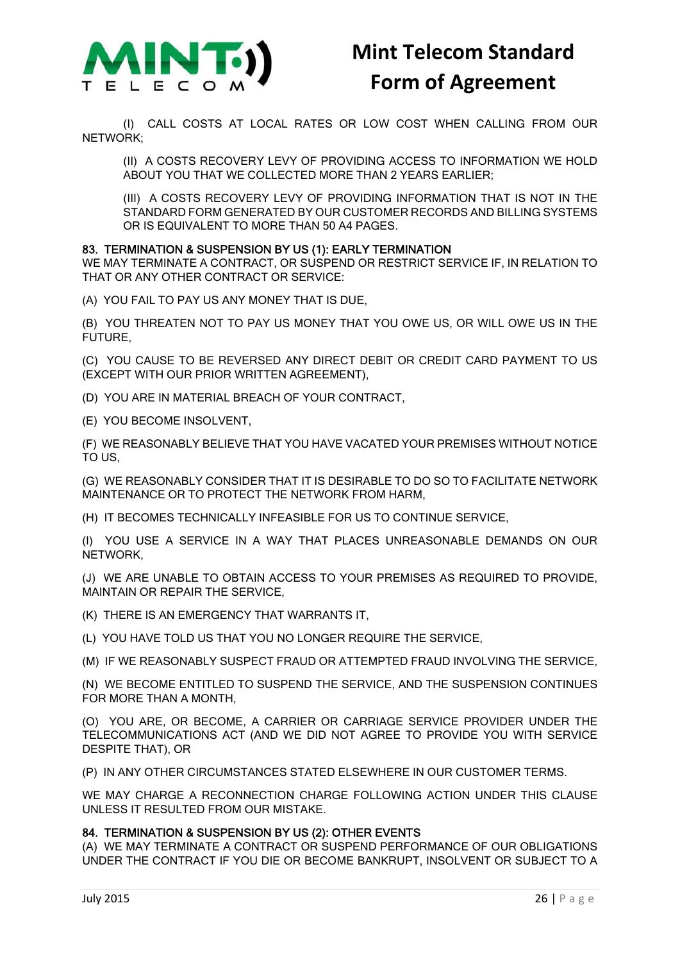

(I) CALL COSTS AT LOCAL RATES OR LOW COST WHEN CALLING FROM OUR NETWORK;

(II) A COSTS RECOVERY LEVY OF PROVIDING ACCESS TO INFORMATION WE HOLD ABOUT YOU THAT WE COLLECTED MORE THAN 2 YEARS EARLIER;

(III) A COSTS RECOVERY LEVY OF PROVIDING INFORMATION THAT IS NOT IN THE STANDARD FORM GENERATED BY OUR CUSTOMER RECORDS AND BILLING SYSTEMS OR IS EQUIVALENT TO MORE THAN 50 A4 PAGES.

### 83. TERMINATION & SUSPENSION BY US (1): EARLY TERMINATION

WE MAY TERMINATE A CONTRACT, OR SUSPEND OR RESTRICT SERVICE IF, IN RELATION TO THAT OR ANY OTHER CONTRACT OR SERVICE:

(A) YOU FAIL TO PAY US ANY MONEY THAT IS DUE,

(B) YOU THREATEN NOT TO PAY US MONEY THAT YOU OWE US, OR WILL OWE US IN THE FUTURE,

(C) YOU CAUSE TO BE REVERSED ANY DIRECT DEBIT OR CREDIT CARD PAYMENT TO US (EXCEPT WITH OUR PRIOR WRITTEN AGREEMENT),

(D) YOU ARE IN MATERIAL BREACH OF YOUR CONTRACT,

(E) YOU BECOME INSOLVENT,

(F) WE REASONABLY BELIEVE THAT YOU HAVE VACATED YOUR PREMISES WITHOUT NOTICE TO US,

(G) WE REASONABLY CONSIDER THAT IT IS DESIRABLE TO DO SO TO FACILITATE NETWORK MAINTENANCE OR TO PROTECT THE NETWORK FROM HARM,

(H) IT BECOMES TECHNICALLY INFEASIBLE FOR US TO CONTINUE SERVICE,

(I) YOU USE A SERVICE IN A WAY THAT PLACES UNREASONABLE DEMANDS ON OUR NETWORK,

(J) WE ARE UNABLE TO OBTAIN ACCESS TO YOUR PREMISES AS REQUIRED TO PROVIDE, MAINTAIN OR REPAIR THE SERVICE,

(K) THERE IS AN EMERGENCY THAT WARRANTS IT,

(L) YOU HAVE TOLD US THAT YOU NO LONGER REQUIRE THE SERVICE,

(M) IF WE REASONABLY SUSPECT FRAUD OR ATTEMPTED FRAUD INVOLVING THE SERVICE,

(N) WE BECOME ENTITLED TO SUSPEND THE SERVICE, AND THE SUSPENSION CONTINUES FOR MORE THAN A MONTH,

(O) YOU ARE, OR BECOME, A CARRIER OR CARRIAGE SERVICE PROVIDER UNDER THE TELECOMMUNICATIONS ACT (AND WE DID NOT AGREE TO PROVIDE YOU WITH SERVICE DESPITE THAT), OR

(P) IN ANY OTHER CIRCUMSTANCES STATED ELSEWHERE IN OUR CUSTOMER TERMS.

WE MAY CHARGE A RECONNECTION CHARGE FOLLOWING ACTION UNDER THIS CLAUSE UNLESS IT RESULTED FROM OUR MISTAKE.

### 84. TERMINATION & SUSPENSION BY US (2): OTHER EVENTS

(A) WE MAY TERMINATE A CONTRACT OR SUSPEND PERFORMANCE OF OUR OBLIGATIONS UNDER THE CONTRACT IF YOU DIE OR BECOME BANKRUPT, INSOLVENT OR SUBJECT TO A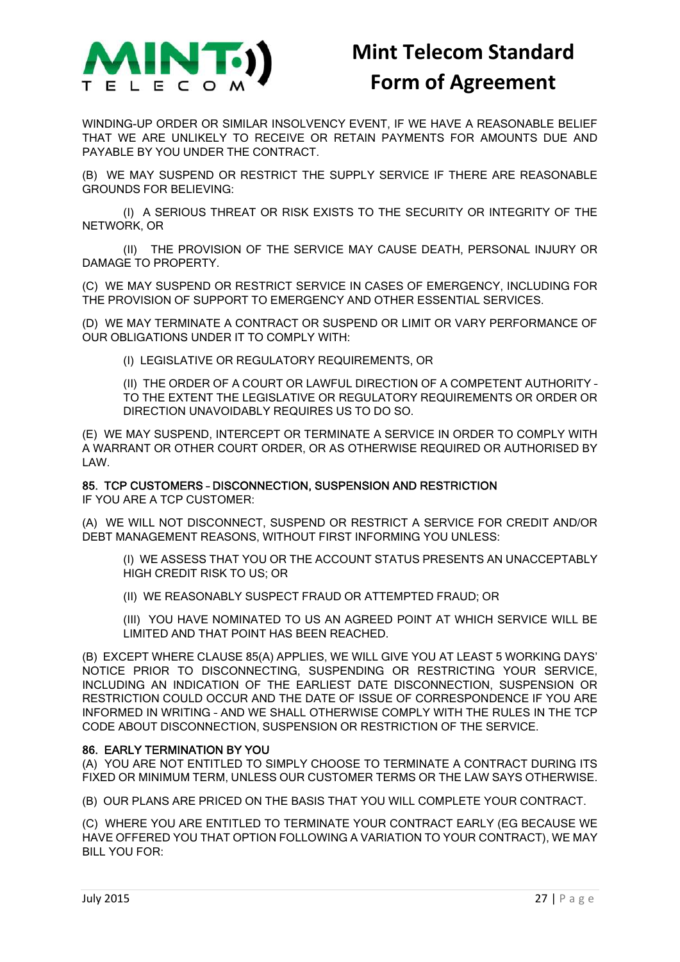

WINDING-UP ORDER OR SIMILAR INSOLVENCY EVENT, IF WE HAVE A REASONABLE BELIEF THAT WE ARE UNLIKELY TO RECEIVE OR RETAIN PAYMENTS FOR AMOUNTS DUE AND PAYABLE BY YOU UNDER THE CONTRACT.

(B) WE MAY SUSPEND OR RESTRICT THE SUPPLY SERVICE IF THERE ARE REASONABLE GROUNDS FOR BELIEVING:

(I) A SERIOUS THREAT OR RISK EXISTS TO THE SECURITY OR INTEGRITY OF THE NETWORK, OR

(II) THE PROVISION OF THE SERVICE MAY CAUSE DEATH, PERSONAL INJURY OR DAMAGE TO PROPERTY.

(C) WE MAY SUSPEND OR RESTRICT SERVICE IN CASES OF EMERGENCY, INCLUDING FOR THE PROVISION OF SUPPORT TO EMERGENCY AND OTHER ESSENTIAL SERVICES.

(D) WE MAY TERMINATE A CONTRACT OR SUSPEND OR LIMIT OR VARY PERFORMANCE OF OUR OBLIGATIONS UNDER IT TO COMPLY WITH:

(I) LEGISLATIVE OR REGULATORY REQUIREMENTS, OR

(II) THE ORDER OF A COURT OR LAWFUL DIRECTION OF A COMPETENT AUTHORITY – TO THE EXTENT THE LEGISLATIVE OR REGULATORY REQUIREMENTS OR ORDER OR DIRECTION UNAVOIDABLY REQUIRES US TO DO SO.

(E) WE MAY SUSPEND, INTERCEPT OR TERMINATE A SERVICE IN ORDER TO COMPLY WITH A WARRANT OR OTHER COURT ORDER, OR AS OTHERWISE REQUIRED OR AUTHORISED BY LAW.

### 85. TCP CUSTOMERS – DISCONNECTION, SUSPENSION AND RESTRICTION

IF YOU ARE A TCP CUSTOMER:

(A) WE WILL NOT DISCONNECT, SUSPEND OR RESTRICT A SERVICE FOR CREDIT AND/OR DEBT MANAGEMENT REASONS, WITHOUT FIRST INFORMING YOU UNLESS:

(I) WE ASSESS THAT YOU OR THE ACCOUNT STATUS PRESENTS AN UNACCEPTABLY HIGH CREDIT RISK TO US; OR

(II) WE REASONABLY SUSPECT FRAUD OR ATTEMPTED FRAUD; OR

(III) YOU HAVE NOMINATED TO US AN AGREED POINT AT WHICH SERVICE WILL BE LIMITED AND THAT POINT HAS BEEN REACHED.

(B) EXCEPT WHERE CLAUSE 85(A) APPLIES, WE WILL GIVE YOU AT LEAST 5 WORKING DAYS' NOTICE PRIOR TO DISCONNECTING, SUSPENDING OR RESTRICTING YOUR SERVICE, INCLUDING AN INDICATION OF THE EARLIEST DATE DISCONNECTION, SUSPENSION OR RESTRICTION COULD OCCUR AND THE DATE OF ISSUE OF CORRESPONDENCE IF YOU ARE INFORMED IN WRITING – AND WE SHALL OTHERWISE COMPLY WITH THE RULES IN THE TCP CODE ABOUT DISCONNECTION, SUSPENSION OR RESTRICTION OF THE SERVICE.

### 86. EARLY TERMINATION BY YOU

(A) YOU ARE NOT ENTITLED TO SIMPLY CHOOSE TO TERMINATE A CONTRACT DURING ITS FIXED OR MINIMUM TERM, UNLESS OUR CUSTOMER TERMS OR THE LAW SAYS OTHERWISE.

(B) OUR PLANS ARE PRICED ON THE BASIS THAT YOU WILL COMPLETE YOUR CONTRACT.

(C) WHERE YOU ARE ENTITLED TO TERMINATE YOUR CONTRACT EARLY (EG BECAUSE WE HAVE OFFERED YOU THAT OPTION FOLLOWING A VARIATION TO YOUR CONTRACT), WE MAY BILL YOU FOR: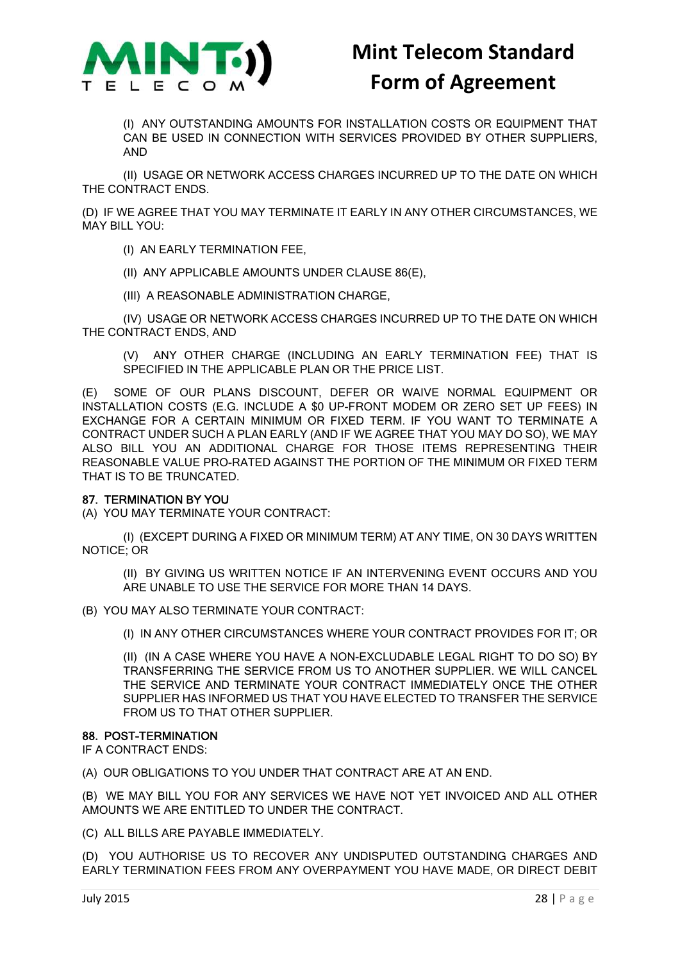

(I) ANY OUTSTANDING AMOUNTS FOR INSTALLATION COSTS OR EQUIPMENT THAT CAN BE USED IN CONNECTION WITH SERVICES PROVIDED BY OTHER SUPPLIERS, AND

(II) USAGE OR NETWORK ACCESS CHARGES INCURRED UP TO THE DATE ON WHICH THE CONTRACT ENDS.

(D) IF WE AGREE THAT YOU MAY TERMINATE IT EARLY IN ANY OTHER CIRCUMSTANCES, WE MAY BILL YOU:

(I) AN EARLY TERMINATION FEE,

(II) ANY APPLICABLE AMOUNTS UNDER CLAUSE 86(E),

(III) A REASONABLE ADMINISTRATION CHARGE,

(IV) USAGE OR NETWORK ACCESS CHARGES INCURRED UP TO THE DATE ON WHICH THE CONTRACT ENDS, AND

(V) ANY OTHER CHARGE (INCLUDING AN EARLY TERMINATION FEE) THAT IS SPECIFIED IN THE APPLICABLE PLAN OR THE PRICE LIST.

(E) SOME OF OUR PLANS DISCOUNT, DEFER OR WAIVE NORMAL EQUIPMENT OR INSTALLATION COSTS (E.G. INCLUDE A \$0 UP-FRONT MODEM OR ZERO SET UP FEES) IN EXCHANGE FOR A CERTAIN MINIMUM OR FIXED TERM. IF YOU WANT TO TERMINATE A CONTRACT UNDER SUCH A PLAN EARLY (AND IF WE AGREE THAT YOU MAY DO SO), WE MAY ALSO BILL YOU AN ADDITIONAL CHARGE FOR THOSE ITEMS REPRESENTING THEIR REASONABLE VALUE PRO-RATED AGAINST THE PORTION OF THE MINIMUM OR FIXED TERM THAT IS TO BE TRUNCATED.

### 87. TERMINATION BY YOU

(A) YOU MAY TERMINATE YOUR CONTRACT:

(I) (EXCEPT DURING A FIXED OR MINIMUM TERM) AT ANY TIME, ON 30 DAYS WRITTEN NOTICE; OR

(II) BY GIVING US WRITTEN NOTICE IF AN INTERVENING EVENT OCCURS AND YOU ARE UNABLE TO USE THE SERVICE FOR MORE THAN 14 DAYS.

(B) YOU MAY ALSO TERMINATE YOUR CONTRACT:

(I) IN ANY OTHER CIRCUMSTANCES WHERE YOUR CONTRACT PROVIDES FOR IT; OR

(II) (IN A CASE WHERE YOU HAVE A NON-EXCLUDABLE LEGAL RIGHT TO DO SO) BY TRANSFERRING THE SERVICE FROM US TO ANOTHER SUPPLIER. WE WILL CANCEL THE SERVICE AND TERMINATE YOUR CONTRACT IMMEDIATELY ONCE THE OTHER SUPPLIER HAS INFORMED US THAT YOU HAVE ELECTED TO TRANSFER THE SERVICE FROM US TO THAT OTHER SUPPLIER.

### 88. POST-TERMINATION

IF A CONTRACT ENDS:

(A) OUR OBLIGATIONS TO YOU UNDER THAT CONTRACT ARE AT AN END.

(B) WE MAY BILL YOU FOR ANY SERVICES WE HAVE NOT YET INVOICED AND ALL OTHER AMOUNTS WE ARE ENTITLED TO UNDER THE CONTRACT.

(C) ALL BILLS ARE PAYABLE IMMEDIATELY.

(D) YOU AUTHORISE US TO RECOVER ANY UNDISPUTED OUTSTANDING CHARGES AND EARLY TERMINATION FEES FROM ANY OVERPAYMENT YOU HAVE MADE, OR DIRECT DEBIT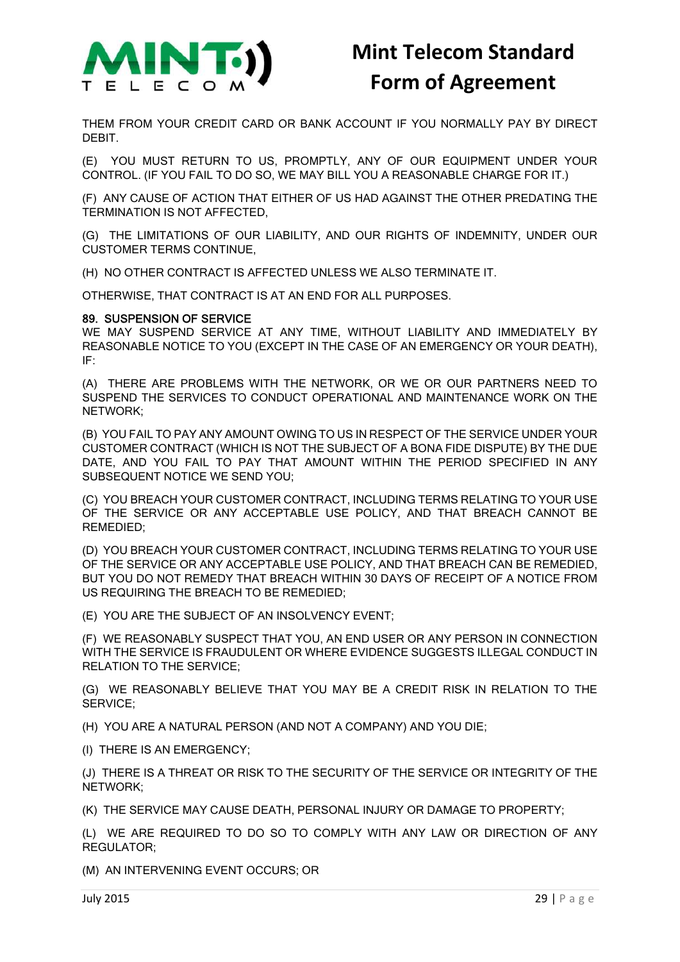

THEM FROM YOUR CREDIT CARD OR BANK ACCOUNT IF YOU NORMALLY PAY BY DIRECT DEBIT.

(E) YOU MUST RETURN TO US, PROMPTLY, ANY OF OUR EQUIPMENT UNDER YOUR CONTROL. (IF YOU FAIL TO DO SO, WE MAY BILL YOU A REASONABLE CHARGE FOR IT.)

(F) ANY CAUSE OF ACTION THAT EITHER OF US HAD AGAINST THE OTHER PREDATING THE TERMINATION IS NOT AFFECTED,

(G) THE LIMITATIONS OF OUR LIABILITY, AND OUR RIGHTS OF INDEMNITY, UNDER OUR CUSTOMER TERMS CONTINUE,

(H) NO OTHER CONTRACT IS AFFECTED UNLESS WE ALSO TERMINATE IT.

OTHERWISE, THAT CONTRACT IS AT AN END FOR ALL PURPOSES.

#### 89. SUSPENSION OF SERVICE

WE MAY SUSPEND SERVICE AT ANY TIME, WITHOUT LIABILITY AND IMMEDIATELY BY REASONABLE NOTICE TO YOU (EXCEPT IN THE CASE OF AN EMERGENCY OR YOUR DEATH), IF:

(A) THERE ARE PROBLEMS WITH THE NETWORK, OR WE OR OUR PARTNERS NEED TO SUSPEND THE SERVICES TO CONDUCT OPERATIONAL AND MAINTENANCE WORK ON THE NETWORK;

(B) YOU FAIL TO PAY ANY AMOUNT OWING TO US IN RESPECT OF THE SERVICE UNDER YOUR CUSTOMER CONTRACT (WHICH IS NOT THE SUBJECT OF A BONA FIDE DISPUTE) BY THE DUE DATE, AND YOU FAIL TO PAY THAT AMOUNT WITHIN THE PERIOD SPECIFIED IN ANY SUBSEQUENT NOTICE WE SEND YOU;

(C) YOU BREACH YOUR CUSTOMER CONTRACT, INCLUDING TERMS RELATING TO YOUR USE OF THE SERVICE OR ANY ACCEPTABLE USE POLICY, AND THAT BREACH CANNOT BE REMEDIED;

(D) YOU BREACH YOUR CUSTOMER CONTRACT, INCLUDING TERMS RELATING TO YOUR USE OF THE SERVICE OR ANY ACCEPTABLE USE POLICY, AND THAT BREACH CAN BE REMEDIED, BUT YOU DO NOT REMEDY THAT BREACH WITHIN 30 DAYS OF RECEIPT OF A NOTICE FROM US REQUIRING THE BREACH TO BE REMEDIED;

(E) YOU ARE THE SUBJECT OF AN INSOLVENCY EVENT;

(F) WE REASONABLY SUSPECT THAT YOU, AN END USER OR ANY PERSON IN CONNECTION WITH THE SERVICE IS FRAUDULENT OR WHERE EVIDENCE SUGGESTS ILLEGAL CONDUCT IN RELATION TO THE SERVICE;

(G) WE REASONABLY BELIEVE THAT YOU MAY BE A CREDIT RISK IN RELATION TO THE SERVICE;

(H) YOU ARE A NATURAL PERSON (AND NOT A COMPANY) AND YOU DIE;

(I) THERE IS AN EMERGENCY;

(J) THERE IS A THREAT OR RISK TO THE SECURITY OF THE SERVICE OR INTEGRITY OF THE NETWORK;

(K) THE SERVICE MAY CAUSE DEATH, PERSONAL INJURY OR DAMAGE TO PROPERTY;

(L) WE ARE REQUIRED TO DO SO TO COMPLY WITH ANY LAW OR DIRECTION OF ANY REGULATOR;

(M) AN INTERVENING EVENT OCCURS; OR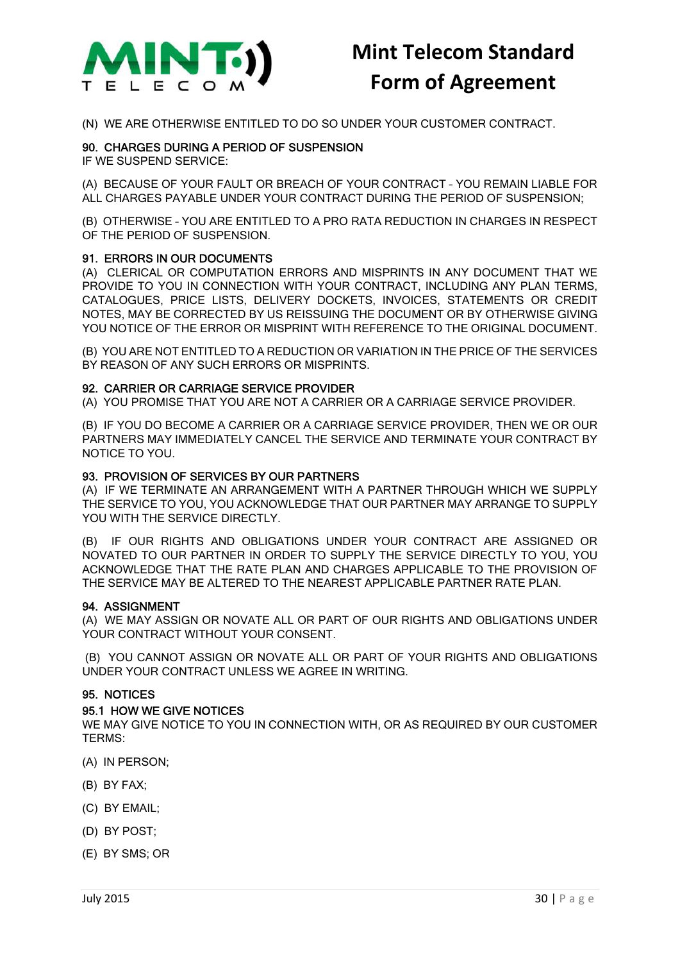

(N) WE ARE OTHERWISE ENTITLED TO DO SO UNDER YOUR CUSTOMER CONTRACT.

### 90. CHARGES DURING A PERIOD OF SUSPENSION

IF WE SUSPEND SERVICE:

(A) BECAUSE OF YOUR FAULT OR BREACH OF YOUR CONTRACT – YOU REMAIN LIABLE FOR ALL CHARGES PAYABLE UNDER YOUR CONTRACT DURING THE PERIOD OF SUSPENSION;

(B) OTHERWISE – YOU ARE ENTITLED TO A PRO RATA REDUCTION IN CHARGES IN RESPECT OF THE PERIOD OF SUSPENSION.

### 91. ERRORS IN OUR DOCUMENTS

(A) CLERICAL OR COMPUTATION ERRORS AND MISPRINTS IN ANY DOCUMENT THAT WE PROVIDE TO YOU IN CONNECTION WITH YOUR CONTRACT, INCLUDING ANY PLAN TERMS, CATALOGUES, PRICE LISTS, DELIVERY DOCKETS, INVOICES, STATEMENTS OR CREDIT NOTES, MAY BE CORRECTED BY US REISSUING THE DOCUMENT OR BY OTHERWISE GIVING YOU NOTICE OF THE ERROR OR MISPRINT WITH REFERENCE TO THE ORIGINAL DOCUMENT.

(B) YOU ARE NOT ENTITLED TO A REDUCTION OR VARIATION IN THE PRICE OF THE SERVICES BY REASON OF ANY SUCH ERRORS OR MISPRINTS.

### 92. CARRIER OR CARRIAGE SERVICE PROVIDER

(A) YOU PROMISE THAT YOU ARE NOT A CARRIER OR A CARRIAGE SERVICE PROVIDER.

(B) IF YOU DO BECOME A CARRIER OR A CARRIAGE SERVICE PROVIDER, THEN WE OR OUR PARTNERS MAY IMMEDIATELY CANCEL THE SERVICE AND TERMINATE YOUR CONTRACT BY NOTICE TO YOU.

### 93. PROVISION OF SERVICES BY OUR PARTNERS

(A) IF WE TERMINATE AN ARRANGEMENT WITH A PARTNER THROUGH WHICH WE SUPPLY THE SERVICE TO YOU, YOU ACKNOWLEDGE THAT OUR PARTNER MAY ARRANGE TO SUPPLY YOU WITH THE SERVICE DIRECTLY.

(B) IF OUR RIGHTS AND OBLIGATIONS UNDER YOUR CONTRACT ARE ASSIGNED OR NOVATED TO OUR PARTNER IN ORDER TO SUPPLY THE SERVICE DIRECTLY TO YOU, YOU ACKNOWLEDGE THAT THE RATE PLAN AND CHARGES APPLICABLE TO THE PROVISION OF THE SERVICE MAY BE ALTERED TO THE NEAREST APPLICABLE PARTNER RATE PLAN.

#### 94. ASSIGNMENT

(A) WE MAY ASSIGN OR NOVATE ALL OR PART OF OUR RIGHTS AND OBLIGATIONS UNDER YOUR CONTRACT WITHOUT YOUR CONSENT.

(B) YOU CANNOT ASSIGN OR NOVATE ALL OR PART OF YOUR RIGHTS AND OBLIGATIONS UNDER YOUR CONTRACT UNLESS WE AGREE IN WRITING.

### 95. NOTICES

#### 95.1 HOW WE GIVE NOTICES

WE MAY GIVE NOTICE TO YOU IN CONNECTION WITH, OR AS REQUIRED BY OUR CUSTOMER TERMS:

- (A) IN PERSON;
- (B) BY FAX;
- (C) BY EMAIL;
- (D) BY POST;
- (E) BY SMS; OR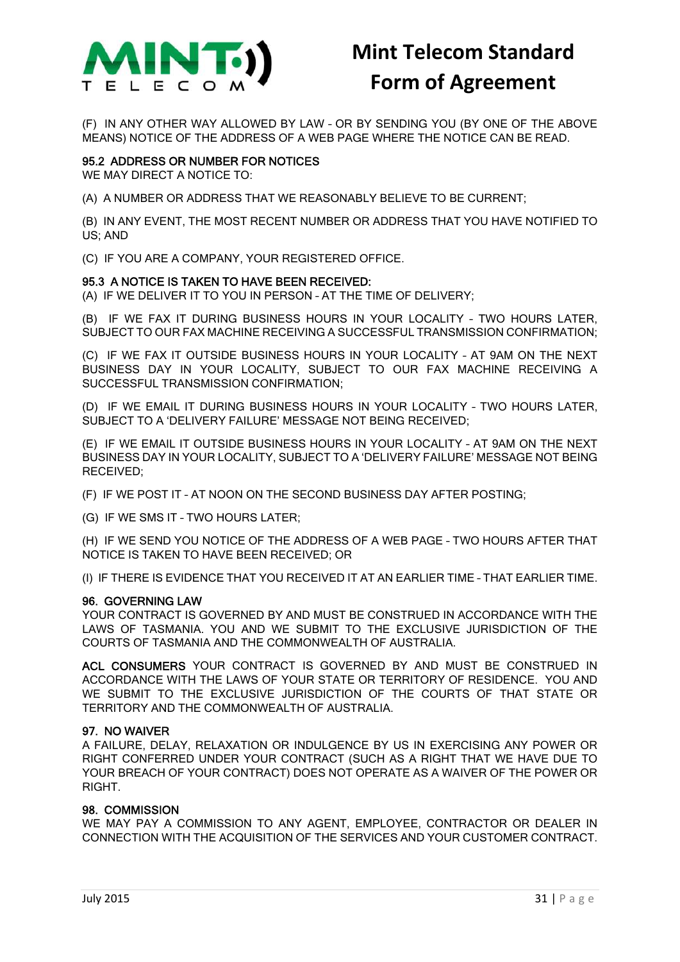

(F) IN ANY OTHER WAY ALLOWED BY LAW – OR BY SENDING YOU (BY ONE OF THE ABOVE MEANS) NOTICE OF THE ADDRESS OF A WEB PAGE WHERE THE NOTICE CAN BE READ.

### 95.2 ADDRESS OR NUMBER FOR NOTICES

WE MAY DIRECT A NOTICE TO:

(A) A NUMBER OR ADDRESS THAT WE REASONABLY BELIEVE TO BE CURRENT;

(B) IN ANY EVENT, THE MOST RECENT NUMBER OR ADDRESS THAT YOU HAVE NOTIFIED TO US; AND

(C) IF YOU ARE A COMPANY, YOUR REGISTERED OFFICE.

### 95.3 A NOTICE IS TAKEN TO HAVE BEEN RECEIVED:

(A) IF WE DELIVER IT TO YOU IN PERSON – AT THE TIME OF DELIVERY;

(B) IF WE FAX IT DURING BUSINESS HOURS IN YOUR LOCALITY – TWO HOURS LATER, SUBJECT TO OUR FAX MACHINE RECEIVING A SUCCESSFUL TRANSMISSION CONFIRMATION;

(C) IF WE FAX IT OUTSIDE BUSINESS HOURS IN YOUR LOCALITY – AT 9AM ON THE NEXT BUSINESS DAY IN YOUR LOCALITY, SUBJECT TO OUR FAX MACHINE RECEIVING A SUCCESSFUL TRANSMISSION CONFIRMATION;

(D) IF WE EMAIL IT DURING BUSINESS HOURS IN YOUR LOCALITY – TWO HOURS LATER, SUBJECT TO A 'DELIVERY FAILURE' MESSAGE NOT BEING RECEIVED;

(E) IF WE EMAIL IT OUTSIDE BUSINESS HOURS IN YOUR LOCALITY – AT 9AM ON THE NEXT BUSINESS DAY IN YOUR LOCALITY, SUBJECT TO A 'DELIVERY FAILURE' MESSAGE NOT BEING RECEIVED;

(F) IF WE POST IT – AT NOON ON THE SECOND BUSINESS DAY AFTER POSTING;

(G) IF WE SMS IT – TWO HOURS LATER;

(H) IF WE SEND YOU NOTICE OF THE ADDRESS OF A WEB PAGE – TWO HOURS AFTER THAT NOTICE IS TAKEN TO HAVE BEEN RECEIVED; OR

(I) IF THERE IS EVIDENCE THAT YOU RECEIVED IT AT AN EARLIER TIME – THAT EARLIER TIME.

#### 96. GOVERNING LAW

YOUR CONTRACT IS GOVERNED BY AND MUST BE CONSTRUED IN ACCORDANCE WITH THE LAWS OF TASMANIA. YOU AND WE SUBMIT TO THE EXCLUSIVE JURISDICTION OF THE COURTS OF TASMANIA AND THE COMMONWEALTH OF AUSTRALIA.

ACL CONSUMERS YOUR CONTRACT IS GOVERNED BY AND MUST BE CONSTRUED IN ACCORDANCE WITH THE LAWS OF YOUR STATE OR TERRITORY OF RESIDENCE. YOU AND WE SUBMIT TO THE EXCLUSIVE JURISDICTION OF THE COURTS OF THAT STATE OR TERRITORY AND THE COMMONWEALTH OF AUSTRALIA.

### 97. NO WAIVER

A FAILURE, DELAY, RELAXATION OR INDULGENCE BY US IN EXERCISING ANY POWER OR RIGHT CONFERRED UNDER YOUR CONTRACT (SUCH AS A RIGHT THAT WE HAVE DUE TO YOUR BREACH OF YOUR CONTRACT) DOES NOT OPERATE AS A WAIVER OF THE POWER OR **RIGHT** 

### 98. COMMISSION

WE MAY PAY A COMMISSION TO ANY AGENT, EMPLOYEE, CONTRACTOR OR DEALER IN CONNECTION WITH THE ACQUISITION OF THE SERVICES AND YOUR CUSTOMER CONTRACT.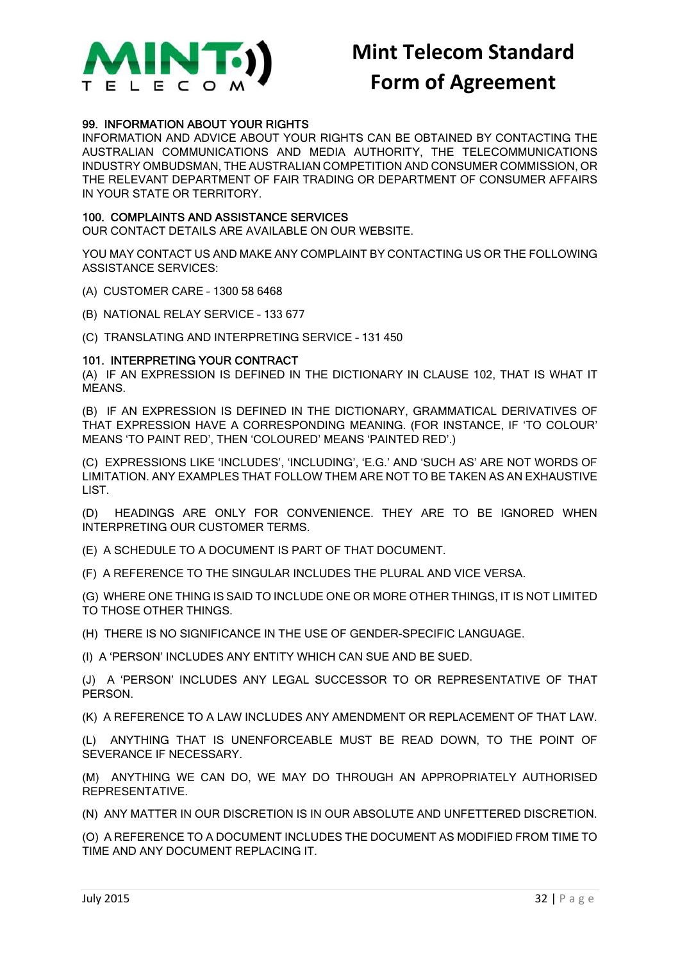

### 99. INFORMATION ABOUT YOUR RIGHTS

INFORMATION AND ADVICE ABOUT YOUR RIGHTS CAN BE OBTAINED BY CONTACTING THE AUSTRALIAN COMMUNICATIONS AND MEDIA AUTHORITY, THE TELECOMMUNICATIONS INDUSTRY OMBUDSMAN, THE AUSTRALIAN COMPETITION AND CONSUMER COMMISSION, OR THE RELEVANT DEPARTMENT OF FAIR TRADING OR DEPARTMENT OF CONSUMER AFFAIRS IN YOUR STATE OR TERRITORY.

### 100. COMPLAINTS AND ASSISTANCE SERVICES

OUR CONTACT DETAILS ARE AVAILABLE ON OUR WEBSITE.

YOU MAY CONTACT US AND MAKE ANY COMPLAINT BY CONTACTING US OR THE FOLLOWING ASSISTANCE SERVICES:

- (A) CUSTOMER CARE 1300 58 6468
- (B) NATIONAL RELAY SERVICE 133 677

(C) TRANSLATING AND INTERPRETING SERVICE – 131 450

### 101. INTERPRETING YOUR CONTRACT

(A) IF AN EXPRESSION IS DEFINED IN THE DICTIONARY IN CLAUSE 102, THAT IS WHAT IT MEANS.

(B) IF AN EXPRESSION IS DEFINED IN THE DICTIONARY, GRAMMATICAL DERIVATIVES OF THAT EXPRESSION HAVE A CORRESPONDING MEANING. (FOR INSTANCE, IF 'TO COLOUR' MEANS 'TO PAINT RED', THEN 'COLOURED' MEANS 'PAINTED RED'.)

(C) EXPRESSIONS LIKE 'INCLUDES', 'INCLUDING', 'E.G.' AND 'SUCH AS' ARE NOT WORDS OF LIMITATION. ANY EXAMPLES THAT FOLLOW THEM ARE NOT TO BE TAKEN AS AN EXHAUSTIVE LIST.

(D) HEADINGS ARE ONLY FOR CONVENIENCE. THEY ARE TO BE IGNORED WHEN INTERPRETING OUR CUSTOMER TERMS.

(E) A SCHEDULE TO A DOCUMENT IS PART OF THAT DOCUMENT.

(F) A REFERENCE TO THE SINGULAR INCLUDES THE PLURAL AND VICE VERSA.

(G) WHERE ONE THING IS SAID TO INCLUDE ONE OR MORE OTHER THINGS, IT IS NOT LIMITED TO THOSE OTHER THINGS.

(H) THERE IS NO SIGNIFICANCE IN THE USE OF GENDER-SPECIFIC LANGUAGE.

(I) A 'PERSON' INCLUDES ANY ENTITY WHICH CAN SUE AND BE SUED.

(J) A 'PERSON' INCLUDES ANY LEGAL SUCCESSOR TO OR REPRESENTATIVE OF THAT PERSON.

(K) A REFERENCE TO A LAW INCLUDES ANY AMENDMENT OR REPLACEMENT OF THAT LAW.

(L) ANYTHING THAT IS UNENFORCEABLE MUST BE READ DOWN, TO THE POINT OF SEVERANCE IF NECESSARY.

(M) ANYTHING WE CAN DO, WE MAY DO THROUGH AN APPROPRIATELY AUTHORISED REPRESENTATIVE.

(N) ANY MATTER IN OUR DISCRETION IS IN OUR ABSOLUTE AND UNFETTERED DISCRETION.

(O) A REFERENCE TO A DOCUMENT INCLUDES THE DOCUMENT AS MODIFIED FROM TIME TO TIME AND ANY DOCUMENT REPLACING IT.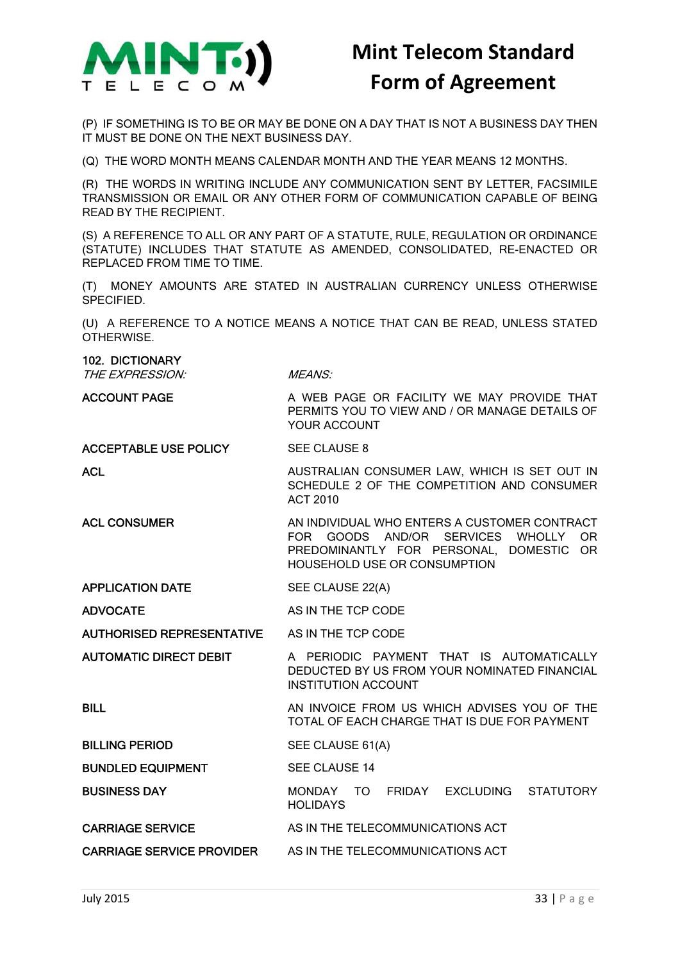

(P) IF SOMETHING IS TO BE OR MAY BE DONE ON A DAY THAT IS NOT A BUSINESS DAY THEN IT MUST BE DONE ON THE NEXT BUSINESS DAY.

(Q) THE WORD MONTH MEANS CALENDAR MONTH AND THE YEAR MEANS 12 MONTHS.

(R) THE WORDS IN WRITING INCLUDE ANY COMMUNICATION SENT BY LETTER, FACSIMILE TRANSMISSION OR EMAIL OR ANY OTHER FORM OF COMMUNICATION CAPABLE OF BEING READ BY THE RECIPIENT.

(S) A REFERENCE TO ALL OR ANY PART OF A STATUTE, RULE, REGULATION OR ORDINANCE (STATUTE) INCLUDES THAT STATUTE AS AMENDED, CONSOLIDATED, RE-ENACTED OR REPLACED FROM TIME TO TIME.

(T) MONEY AMOUNTS ARE STATED IN AUSTRALIAN CURRENCY UNLESS OTHERWISE **SPECIFIED.** 

(U) A REFERENCE TO A NOTICE MEANS A NOTICE THAT CAN BE READ, UNLESS STATED OTHERWISE.

### 102. DICTIONARY

THE EXPRESSION: MEANS:

ACCOUNT PAGE A WEB PAGE OR FACILITY WE MAY PROVIDE THAT PERMITS YOU TO VIEW AND / OR MANAGE DETAILS OF YOUR ACCOUNT

ACCEPTABLE USE POLICY SEE CLAUSE 8

ACL **AUSTRALIAN CONSUMER LAW, WHICH IS SET OUT IN** SCHEDULE 2 OF THE COMPETITION AND CONSUMER ACT 2010

TOTAL OF EACH CHARGE THAT IS DUE FOR PAYMENT

- ACL CONSUMER AN INDIVIDUAL WHO ENTERS A CUSTOMER CONTRACT FOR GOODS AND/OR SERVICES WHOLLY OR PREDOMINANTLY FOR PERSONAL, DOMESTIC OR HOUSEHOLD USE OR CONSUMPTION
- APPLICATION DATE SEE CLAUSE 22(A)

ADVOCATE AS IN THE TCP CODE

AUTHORISED REPRESENTATIVE AS IN THE TCP CODE

AUTOMATIC DIRECT DEBIT A PERIODIC PAYMENT THAT IS AUTOMATICALLY DEDUCTED BY US FROM YOUR NOMINATED FINANCIAL INSTITUTION ACCOUNT

BILL AN INVOICE FROM US WHICH ADVISES YOU OF THE

BILLING PERIOD SEE CLAUSE 61(A)

BUNDLED EQUIPMENT SEE CLAUSE 14

BUSINESS DAY MONDAY TO FRIDAY EXCLUDING STATUTORY HOLIDAYS

CARRIAGE SERVICE AS IN THE TELECOMMUNICATIONS ACT

CARRIAGE SERVICE PROVIDER AS IN THE TELECOMMUNICATIONS ACT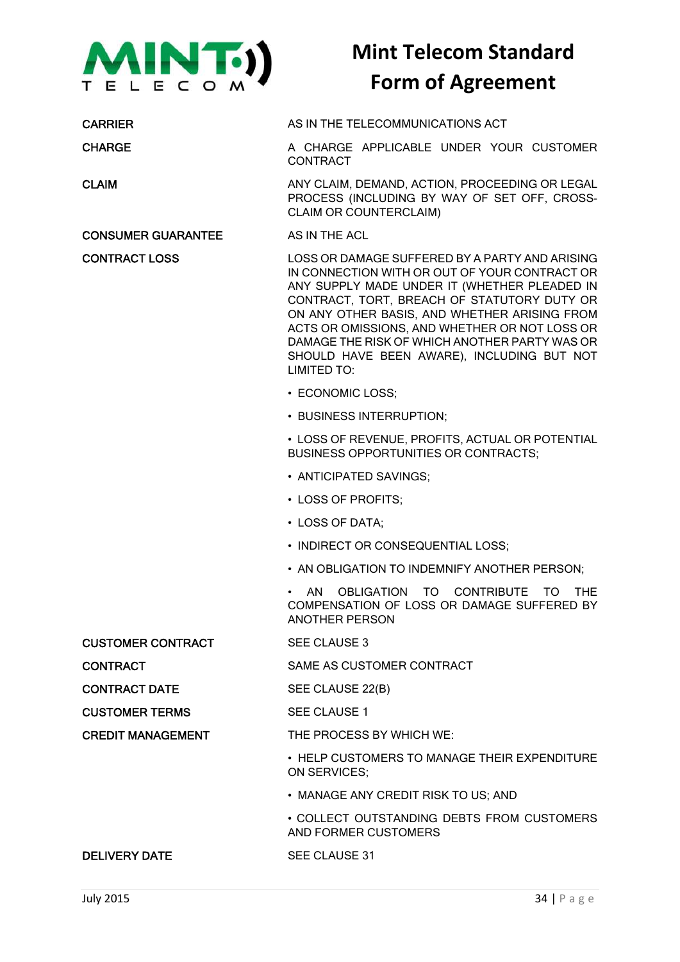

### CONSUMER GUARANTEE AS IN THE ACL

CARRIER AS IN THE TELECOMMUNICATIONS ACT

CHARGE **A CHARGE APPLICABLE UNDER YOUR CUSTOMER CONTRACT** 

CLAIM ANY CLAIM, DEMAND, ACTION, PROCEEDING OR LEGAL PROCESS (INCLUDING BY WAY OF SET OFF, CROSS-CLAIM OR COUNTERCLAIM)

CONTRACT LOSS LOSS OR DAMAGE SUFFERED BY A PARTY AND ARISING IN CONNECTION WITH OR OUT OF YOUR CONTRACT OR ANY SUPPLY MADE UNDER IT (WHETHER PLEADED IN CONTRACT, TORT, BREACH OF STATUTORY DUTY OR ON ANY OTHER BASIS, AND WHETHER ARISING FROM ACTS OR OMISSIONS, AND WHETHER OR NOT LOSS OR DAMAGE THE RISK OF WHICH ANOTHER PARTY WAS OR SHOULD HAVE BEEN AWARE), INCLUDING BUT NOT LIMITED TO:

- ECONOMIC LOSS;
- BUSINESS INTERRUPTION;

• LOSS OF REVENUE, PROFITS, ACTUAL OR POTENTIAL BUSINESS OPPORTUNITIES OR CONTRACTS;

- ANTICIPATED SAVINGS;
- LOSS OF PROFITS;
- LOSS OF DATA;
- INDIRECT OR CONSEQUENTIAL LOSS:
- AN OBLIGATION TO INDEMNIFY ANOTHER PERSON;

• AN OBLIGATION TO CONTRIBUTE TO THE COMPENSATION OF LOSS OR DAMAGE SUFFERED BY ANOTHER PERSON

CUSTOMER CONTRACT SEE CLAUSE 3

CONTRACT SAME AS CUSTOMER CONTRACT

CONTRACT DATE SEE CLAUSE 22(B)

CUSTOMER TERMS SEE CLAUSE 1

CREDIT MANAGEMENT THE PROCESS BY WHICH WE:

• HELP CUSTOMERS TO MANAGE THEIR EXPENDITURE ON SERVICES;

• MANAGE ANY CREDIT RISK TO US; AND

• COLLECT OUTSTANDING DEBTS FROM CUSTOMERS AND FORMER CUSTOMERS

### DELIVERY DATE SEE CLAUSE 31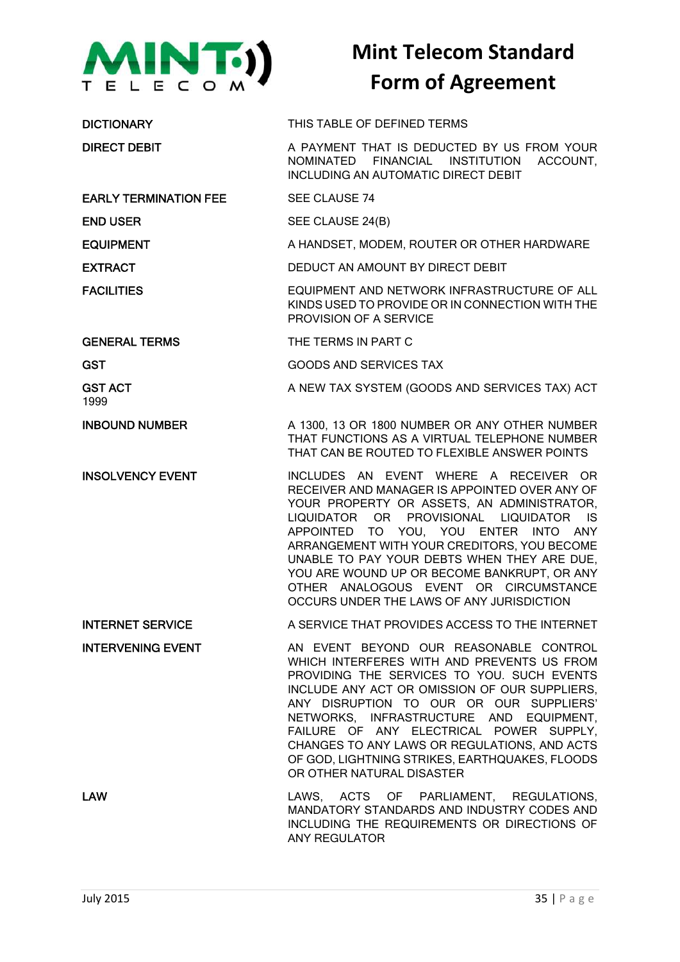

| <b>DICTIONARY</b>            | THIS TABLE OF DEFINED TERMS                                                                                                                                                                                                                                                                                                                                                                                                                                              |
|------------------------------|--------------------------------------------------------------------------------------------------------------------------------------------------------------------------------------------------------------------------------------------------------------------------------------------------------------------------------------------------------------------------------------------------------------------------------------------------------------------------|
| <b>DIRECT DEBIT</b>          | A PAYMENT THAT IS DEDUCTED BY US FROM YOUR<br>FINANCIAL INSTITUTION<br>ACCOUNT,<br>NOMINATED<br><b>INCLUDING AN AUTOMATIC DIRECT DEBIT</b>                                                                                                                                                                                                                                                                                                                               |
| <b>EARLY TERMINATION FEE</b> | SEE CLAUSE 74                                                                                                                                                                                                                                                                                                                                                                                                                                                            |
| <b>END USER</b>              | SEE CLAUSE 24(B)                                                                                                                                                                                                                                                                                                                                                                                                                                                         |
| <b>EQUIPMENT</b>             | A HANDSET, MODEM, ROUTER OR OTHER HARDWARE                                                                                                                                                                                                                                                                                                                                                                                                                               |
| <b>EXTRACT</b>               | DEDUCT AN AMOUNT BY DIRECT DEBIT                                                                                                                                                                                                                                                                                                                                                                                                                                         |
| <b>FACILITIES</b>            | EQUIPMENT AND NETWORK INFRASTRUCTURE OF ALL<br>KINDS USED TO PROVIDE OR IN CONNECTION WITH THE<br>PROVISION OF A SERVICE                                                                                                                                                                                                                                                                                                                                                 |
| <b>GENERAL TERMS</b>         | THE TERMS IN PART C                                                                                                                                                                                                                                                                                                                                                                                                                                                      |
| <b>GST</b>                   | <b>GOODS AND SERVICES TAX</b>                                                                                                                                                                                                                                                                                                                                                                                                                                            |
| <b>GST ACT</b><br>1999       | A NEW TAX SYSTEM (GOODS AND SERVICES TAX) ACT                                                                                                                                                                                                                                                                                                                                                                                                                            |
| <b>INBOUND NUMBER</b>        | A 1300, 13 OR 1800 NUMBER OR ANY OTHER NUMBER<br>THAT FUNCTIONS AS A VIRTUAL TELEPHONE NUMBER<br>THAT CAN BE ROUTED TO FLEXIBLE ANSWER POINTS                                                                                                                                                                                                                                                                                                                            |
| <b>INSOLVENCY EVENT</b>      | INCLUDES AN EVENT WHERE A RECEIVER<br>OR.<br>RECEIVER AND MANAGER IS APPOINTED OVER ANY OF<br>YOUR PROPERTY OR ASSETS, AN ADMINISTRATOR,<br>LIQUIDATOR OR PROVISIONAL LIQUIDATOR<br><b>IS</b><br>APPOINTED TO YOU, YOU ENTER INTO ANY<br>ARRANGEMENT WITH YOUR CREDITORS, YOU BECOME<br>UNABLE TO PAY YOUR DEBTS WHEN THEY ARE DUE,<br>YOU ARE WOUND UP OR BECOME BANKRUPT, OR ANY<br>OTHER ANALOGOUS EVENT OR CIRCUMSTANCE<br>OCCURS UNDER THE LAWS OF ANY JURISDICTION |
| <b>INTERNET SERVICE</b>      | A SERVICE THAT PROVIDES ACCESS TO THE INTERNET                                                                                                                                                                                                                                                                                                                                                                                                                           |
| <b>INTERVENING EVENT</b>     | AN EVENT BEYOND OUR REASONABLE CONTROL<br>WHICH INTERFERES WITH AND PREVENTS US FROM<br>PROVIDING THE SERVICES TO YOU. SUCH EVENTS<br>INCLUDE ANY ACT OR OMISSION OF OUR SUPPLIERS,<br>ANY DISRUPTION TO OUR OR OUR SUPPLIERS'<br>NETWORKS, INFRASTRUCTURE AND EQUIPMENT,<br>FAILURE OF ANY ELECTRICAL POWER SUPPLY,<br>CHANGES TO ANY LAWS OR REGULATIONS, AND ACTS<br>OF GOD, LIGHTNING STRIKES, EARTHQUAKES, FLOODS<br>OR OTHER NATURAL DISASTER                      |
| <b>LAW</b>                   | LAWS, ACTS OF PARLIAMENT, REGULATIONS,<br>MANDATORY STANDARDS AND INDUSTRY CODES AND<br>INCLUDING THE REQUIREMENTS OR DIRECTIONS OF<br>ANY REGULATOR                                                                                                                                                                                                                                                                                                                     |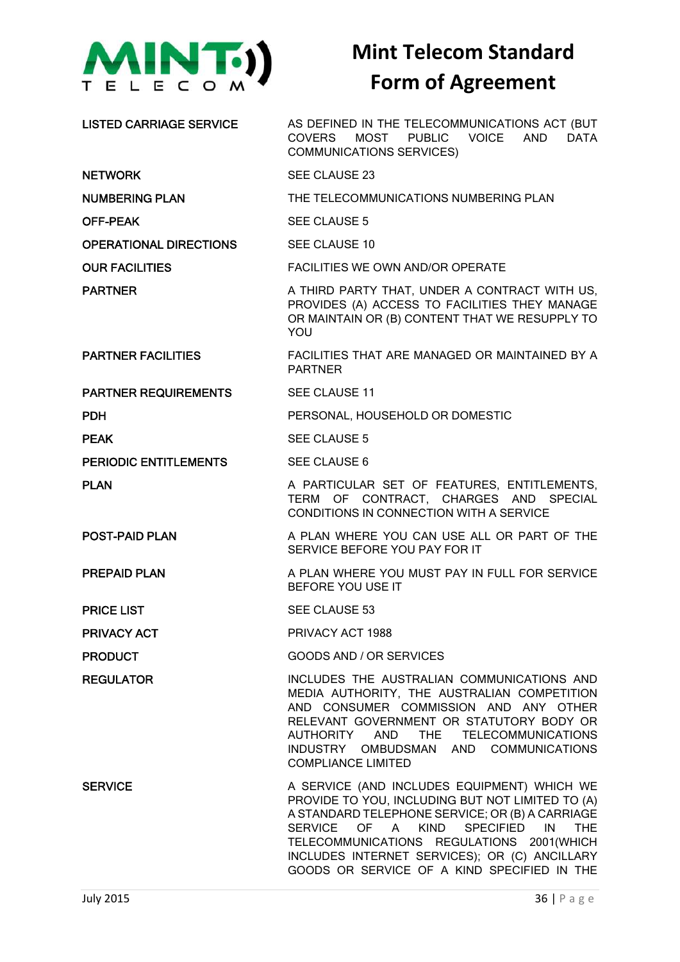

LISTED CARRIAGE SERVICE AS DEFINED IN THE TELECOMMUNICATIONS ACT (BUT COVERS MOST PUBLIC VOICE AND DATA COMMUNICATIONS SERVICES) NETWORK SEE CLAUSE 23 NUMBERING PLAN THE TELECOMMUNICATIONS NUMBERING PLAN OFF-PEAK SEE CLAUSE 5 OPERATIONAL DIRECTIONS SEE CLAUSE 10 OUR FACILITIES FACILITIES WE OWN AND/OR OPERATE PARTNER A THIRD PARTY THAT, UNDER A CONTRACT WITH US, PROVIDES (A) ACCESS TO FACILITIES THEY MANAGE OR MAINTAIN OR (B) CONTENT THAT WE RESUPPLY TO YOU PARTNER FACILITIES FACILITIES THAT ARE MANAGED OR MAINTAINED BY A PARTNER PARTNER REQUIREMENTS SEE CLAUSE 11 **PDH PERSONAL, HOUSEHOLD OR DOMESTIC PEAK** SEE CLAUSE 5 PERIODIC ENTITLEMENTS SEE CLAUSE 6 PLAN A PARTICULAR SET OF FEATURES, ENTITLEMENTS, TERM OF CONTRACT, CHARGES AND SPECIAL CONDITIONS IN CONNECTION WITH A SERVICE POST-PAID PLAN A PLAN WHERE YOU CAN USE ALL OR PART OF THE SERVICE BEFORE YOU PAY FOR IT PREPAID PLAN A PLAN WHERE YOU MUST PAY IN FULL FOR SERVICE BEFORE YOU USE IT **PRICE LIST** SEE CLAUSE 53 PRIVACY ACT PRIVACY ACT 1988 PRODUCT GOODS AND / OR SERVICES REGULATOR **INCLUDES THE AUSTRALIAN COMMUNICATIONS** AND MEDIA AUTHORITY, THE AUSTRALIAN COMPETITION AND CONSUMER COMMISSION AND ANY OTHER RELEVANT GOVERNMENT OR STATUTORY BODY OR AUTHORITY AND THE TELECOMMUNICATIONS INDUSTRY OMBUDSMAN AND COMMUNICATIONS COMPLIANCE LIMITED SERVICE A SERVICE (AND INCLUDES EQUIPMENT) WHICH WE PROVIDE TO YOU, INCLUDING BUT NOT LIMITED TO (A) A STANDARD TELEPHONE SERVICE; OR (B) A CARRIAGE SERVICE OF A KIND SPECIFIED IN THE TELECOMMUNICATIONS REGULATIONS 2001(WHICH INCLUDES INTERNET SERVICES); OR (C) ANCILLARY GOODS OR SERVICE OF A KIND SPECIFIED IN THE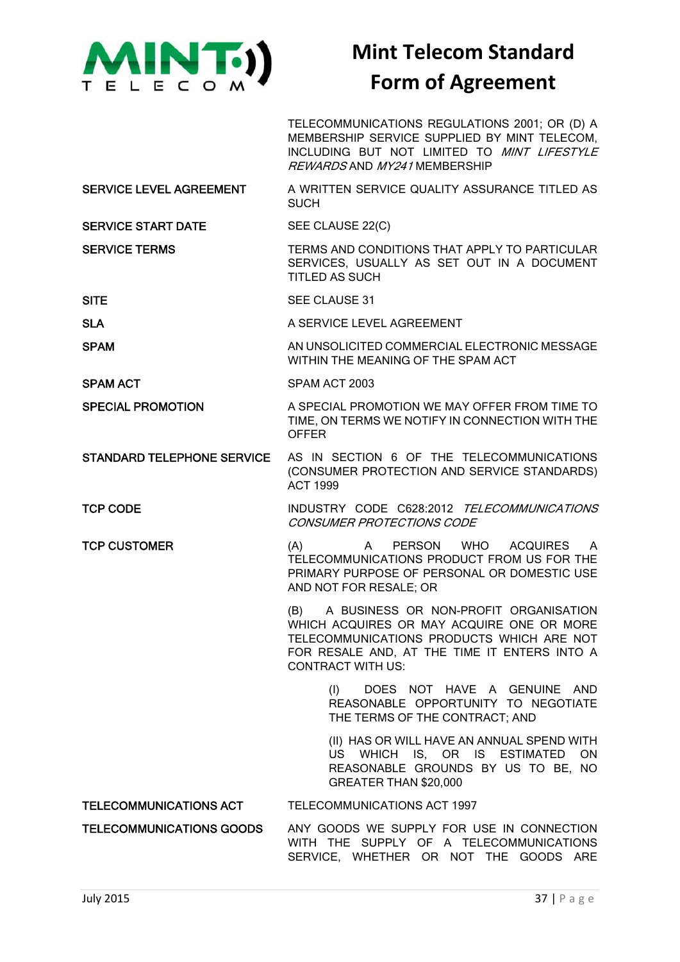

TELECOMMUNICATIONS REGULATIONS 2001; OR (D) A MEMBERSHIP SERVICE SUPPLIED BY MINT TELECOM, INCLUDING BUT NOT LIMITED TO MINT LIFESTYLE REWARDS AND MY241 MEMBERSHIP

SERVICE LEVEL AGREEMENT A WRITTEN SERVICE QUALITY ASSURANCE TITLED AS **SUCH** 

SERVICE START DATE SEE CLAUSE 22(C)

### SERVICE TERMS TERMS TERMS AND CONDITIONS THAT APPLY TO PARTICULAR SERVICES, USUALLY AS SET OUT IN A DOCUMENT TITLED AS SUCH

- SITE SITE SEE CLAUSE 31
- SLA A SERVICE LEVEL AGREEMENT
- SPAM AN UNSOLICITED COMMERCIAL ELECTRONIC MESSAGE WITHIN THE MEANING OF THE SPAM ACT
- SPAM ACT SPAM ACT 2003
- SPECIAL PROMOTION A SPECIAL PROMOTION WE MAY OFFER FROM TIME TO TIME, ON TERMS WE NOTIFY IN CONNECTION WITH THE OFFER
- STANDARD TELEPHONE SERVICE AS IN SECTION 6 OF THE TELECOMMUNICATIONS (CONSUMER PROTECTION AND SERVICE STANDARDS) ACT 1999
- TCP CODE INDUSTRY CODE C628:2012 TELECOMMUNICATIONS CONSUMER PROTECTIONS CODE
- TCP CUSTOMER (A) A PERSON WHO ACQUIRES A TELECOMMUNICATIONS PRODUCT FROM US FOR THE PRIMARY PURPOSE OF PERSONAL OR DOMESTIC USE AND NOT FOR RESALE; OR

(B) A BUSINESS OR NON-PROFIT ORGANISATION WHICH ACQUIRES OR MAY ACQUIRE ONE OR MORE TELECOMMUNICATIONS PRODUCTS WHICH ARE NOT FOR RESALE AND, AT THE TIME IT ENTERS INTO A CONTRACT WITH US:

> (I) DOES NOT HAVE A GENUINE AND REASONABLE OPPORTUNITY TO NEGOTIATE THE TERMS OF THE CONTRACT; AND

(II) HAS OR WILL HAVE AN ANNUAL SPEND WITH US WHICH IS, OR IS ESTIMATED ON REASONABLE GROUNDS BY US TO BE, NO GREATER THAN \$20,000

### TELECOMMUNICATIONS ACT TELECOMMUNICATIONS ACT 1997

TELECOMMUNICATIONS GOODS ANY GOODS WE SUPPLY FOR USE IN CONNECTION WITH THE SUPPLY OF A TELECOMMUNICATIONS SERVICE, WHETHER OR NOT THE GOODS ARE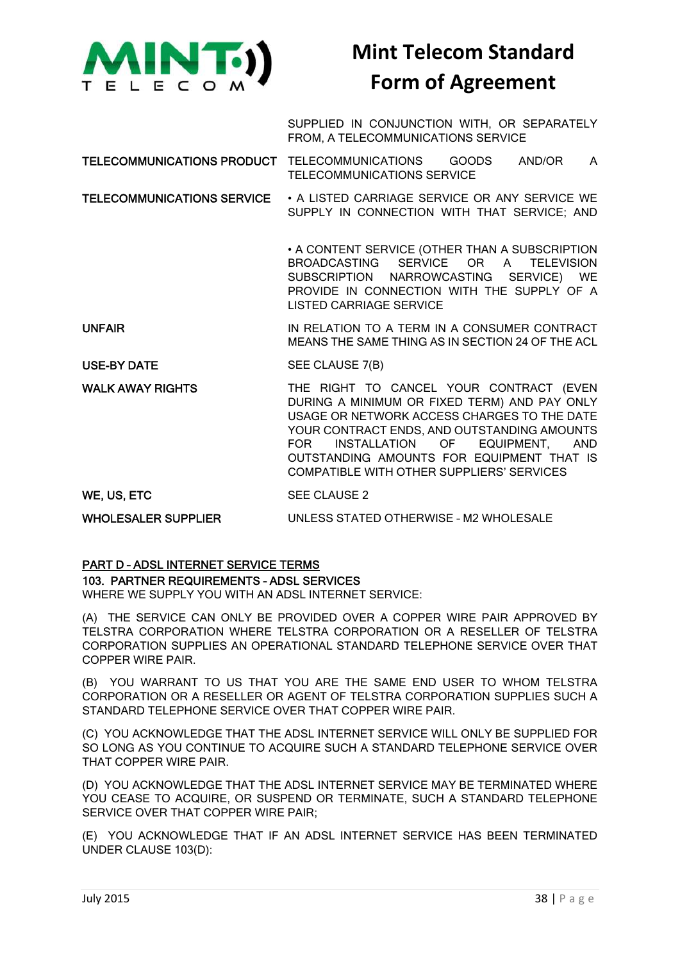

SUPPLIED IN CONJUNCTION WITH, OR SEPARATELY FROM, A TELECOMMUNICATIONS SERVICE

TELECOMMUNICATIONS PRODUCT TELECOMMUNICATIONS GOODS AND/OR A TELECOMMUNICATIONS SERVICE

TELECOMMUNICATIONS SERVICE • A LISTED CARRIAGE SERVICE OR ANY SERVICE WE SUPPLY IN CONNECTION WITH THAT SERVICE; AND

> • A CONTENT SERVICE (OTHER THAN A SUBSCRIPTION BROADCASTING SERVICE OR A TELEVISION SUBSCRIPTION NARROWCASTING SERVICE) WE PROVIDE IN CONNECTION WITH THE SUPPLY OF A LISTED CARRIAGE SERVICE

UNFAIR **IN RELATION TO A TERM IN A CONSUMER CONTRACT** MEANS THE SAME THING AS IN SECTION 24 OF THE ACL

USE-BY DATE SEE CLAUSE 7(B)

WALK AWAY RIGHTS THE RIGHT TO CANCEL YOUR CONTRACT (EVEN DURING A MINIMUM OR FIXED TERM) AND PAY ONLY USAGE OR NETWORK ACCESS CHARGES TO THE DATE YOUR CONTRACT ENDS, AND OUTSTANDING AMOUNTS FOR INSTALLATION OF EQUIPMENT, AND OUTSTANDING AMOUNTS FOR EQUIPMENT THAT IS COMPATIBLE WITH OTHER SUPPLIERS' SERVICES

WE, US, ETC SEE CLAUSE 2

WHOLESALER SUPPLIER UNLESS STATED OTHERWISE - M2 WHOLESALE

### PART D – ADSL INTERNET SERVICE TERMS

### 103. PARTNER REQUIREMENTS – ADSL SERVICES

WHERE WE SUPPLY YOU WITH AN ADSL INTERNET SERVICE:

(A) THE SERVICE CAN ONLY BE PROVIDED OVER A COPPER WIRE PAIR APPROVED BY TELSTRA CORPORATION WHERE TELSTRA CORPORATION OR A RESELLER OF TELSTRA CORPORATION SUPPLIES AN OPERATIONAL STANDARD TELEPHONE SERVICE OVER THAT COPPER WIRE PAIR.

(B) YOU WARRANT TO US THAT YOU ARE THE SAME END USER TO WHOM TELSTRA CORPORATION OR A RESELLER OR AGENT OF TELSTRA CORPORATION SUPPLIES SUCH A STANDARD TELEPHONE SERVICE OVER THAT COPPER WIRE PAIR.

(C) YOU ACKNOWLEDGE THAT THE ADSL INTERNET SERVICE WILL ONLY BE SUPPLIED FOR SO LONG AS YOU CONTINUE TO ACQUIRE SUCH A STANDARD TELEPHONE SERVICE OVER THAT COPPER WIRE PAIR.

(D) YOU ACKNOWLEDGE THAT THE ADSL INTERNET SERVICE MAY BE TERMINATED WHERE YOU CEASE TO ACQUIRE, OR SUSPEND OR TERMINATE, SUCH A STANDARD TELEPHONE SERVICE OVER THAT COPPER WIRE PAIR;

(E) YOU ACKNOWLEDGE THAT IF AN ADSL INTERNET SERVICE HAS BEEN TERMINATED UNDER CLAUSE 103(D):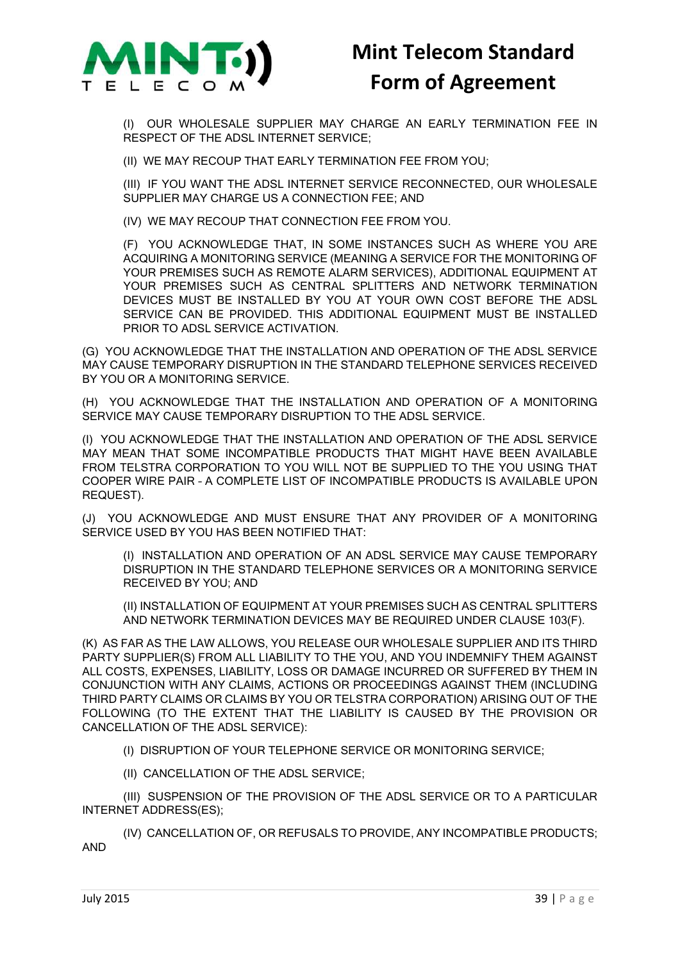

(I) OUR WHOLESALE SUPPLIER MAY CHARGE AN EARLY TERMINATION FEE IN RESPECT OF THE ADSL INTERNET SERVICE;

(II) WE MAY RECOUP THAT EARLY TERMINATION FEE FROM YOU;

(III) IF YOU WANT THE ADSL INTERNET SERVICE RECONNECTED, OUR WHOLESALE SUPPLIER MAY CHARGE US A CONNECTION FEE; AND

(IV) WE MAY RECOUP THAT CONNECTION FEE FROM YOU.

(F) YOU ACKNOWLEDGE THAT, IN SOME INSTANCES SUCH AS WHERE YOU ARE ACQUIRING A MONITORING SERVICE (MEANING A SERVICE FOR THE MONITORING OF YOUR PREMISES SUCH AS REMOTE ALARM SERVICES), ADDITIONAL EQUIPMENT AT YOUR PREMISES SUCH AS CENTRAL SPLITTERS AND NETWORK TERMINATION DEVICES MUST BE INSTALLED BY YOU AT YOUR OWN COST BEFORE THE ADSL SERVICE CAN BE PROVIDED. THIS ADDITIONAL EQUIPMENT MUST BE INSTALLED PRIOR TO ADSL SERVICE ACTIVATION.

(G) YOU ACKNOWLEDGE THAT THE INSTALLATION AND OPERATION OF THE ADSL SERVICE MAY CAUSE TEMPORARY DISRUPTION IN THE STANDARD TELEPHONE SERVICES RECEIVED BY YOU OR A MONITORING SERVICE.

(H) YOU ACKNOWLEDGE THAT THE INSTALLATION AND OPERATION OF A MONITORING SERVICE MAY CAUSE TEMPORARY DISRUPTION TO THE ADSL SERVICE.

(I) YOU ACKNOWLEDGE THAT THE INSTALLATION AND OPERATION OF THE ADSL SERVICE MAY MEAN THAT SOME INCOMPATIBLE PRODUCTS THAT MIGHT HAVE BEEN AVAILABLE FROM TELSTRA CORPORATION TO YOU WILL NOT BE SUPPLIED TO THE YOU USING THAT COOPER WIRE PAIR – A COMPLETE LIST OF INCOMPATIBLE PRODUCTS IS AVAILABLE UPON REQUEST).

(J) YOU ACKNOWLEDGE AND MUST ENSURE THAT ANY PROVIDER OF A MONITORING SERVICE USED BY YOU HAS BEEN NOTIFIED THAT:

(I) INSTALLATION AND OPERATION OF AN ADSL SERVICE MAY CAUSE TEMPORARY DISRUPTION IN THE STANDARD TELEPHONE SERVICES OR A MONITORING SERVICE RECEIVED BY YOU; AND

(II) INSTALLATION OF EQUIPMENT AT YOUR PREMISES SUCH AS CENTRAL SPLITTERS AND NETWORK TERMINATION DEVICES MAY BE REQUIRED UNDER CLAUSE 103(F).

(K) AS FAR AS THE LAW ALLOWS, YOU RELEASE OUR WHOLESALE SUPPLIER AND ITS THIRD PARTY SUPPLIER(S) FROM ALL LIABILITY TO THE YOU, AND YOU INDEMNIFY THEM AGAINST ALL COSTS, EXPENSES, LIABILITY, LOSS OR DAMAGE INCURRED OR SUFFERED BY THEM IN CONJUNCTION WITH ANY CLAIMS, ACTIONS OR PROCEEDINGS AGAINST THEM (INCLUDING THIRD PARTY CLAIMS OR CLAIMS BY YOU OR TELSTRA CORPORATION) ARISING OUT OF THE FOLLOWING (TO THE EXTENT THAT THE LIABILITY IS CAUSED BY THE PROVISION OR CANCELLATION OF THE ADSL SERVICE):

(I) DISRUPTION OF YOUR TELEPHONE SERVICE OR MONITORING SERVICE;

(II) CANCELLATION OF THE ADSL SERVICE;

(III) SUSPENSION OF THE PROVISION OF THE ADSL SERVICE OR TO A PARTICULAR INTERNET ADDRESS(ES);

(IV) CANCELLATION OF, OR REFUSALS TO PROVIDE, ANY INCOMPATIBLE PRODUCTS; AND